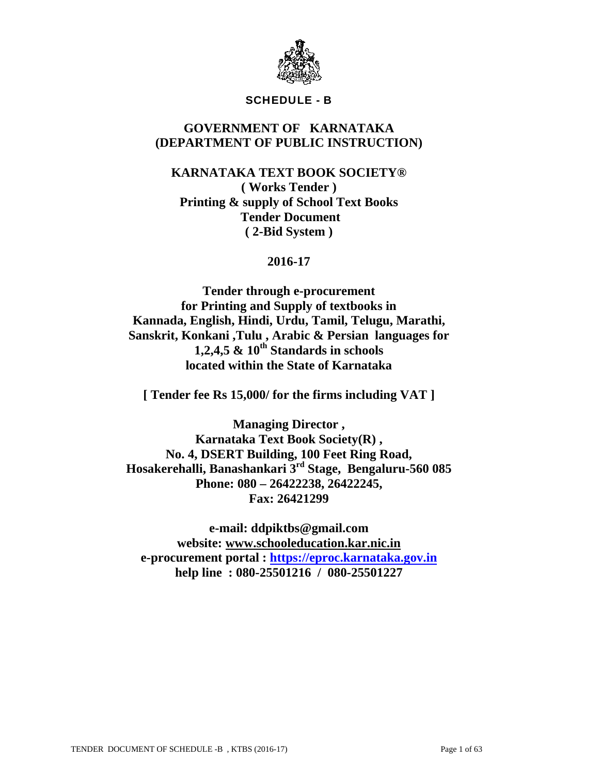

# SCHEDULE - B

# **GOVERNMENT OF KARNATAKA (DEPARTMENT OF PUBLIC INSTRUCTION)**

**KARNATAKA TEXT BOOK SOCIETY® ( Works Tender ) Printing & supply of School Text Books Tender Document ( 2-Bid System )** 

**2016-17** 

**Tender through e-procurement for Printing and Supply of textbooks in Kannada, English, Hindi, Urdu, Tamil, Telugu, Marathi, Sanskrit, Konkani ,Tulu , Arabic & Persian languages for 1,2,4,5 & 10th Standards in schools located within the State of Karnataka** 

**[ Tender fee Rs 15,000/ for the firms including VAT ]** 

**Managing Director , Karnataka Text Book Society(R) , No. 4, DSERT Building, 100 Feet Ring Road, Hosakerehalli, Banashankari 3rd Stage, Bengaluru-560 085 Phone: 080 – 26422238, 26422245, Fax: 26421299** 

**e-mail: ddpiktbs@gmail.com website: www.schooleducation.kar.nic.in e-procurement portal : https://eproc.karnataka.gov.in help line : 080-25501216 / 080-25501227**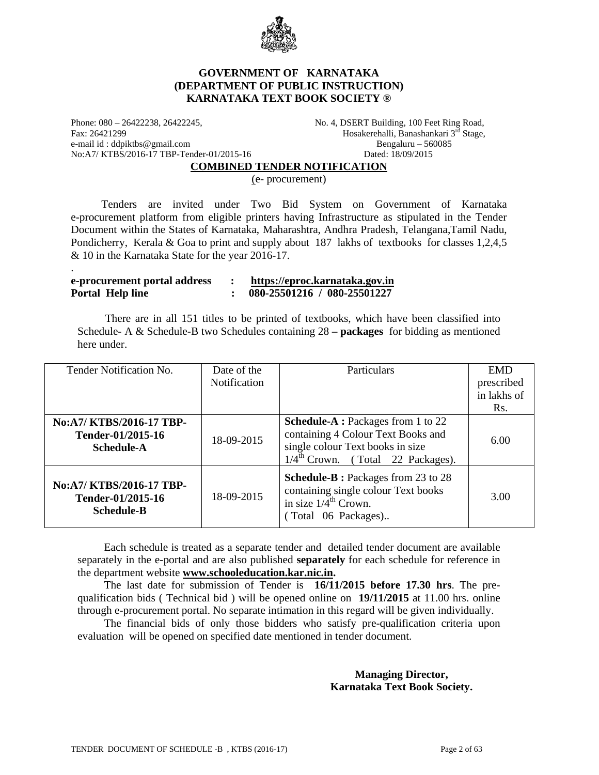

### **GOVERNMENT OF KARNATAKA (DEPARTMENT OF PUBLIC INSTRUCTION) KARNATAKA TEXT BOOK SOCIETY ®**

Phone: 080 - 26422238, 26422245, No. 4, DSERT Building, 100 Feet Ring Road, Fax: 26421299 Hosakerehalli, Banashankari 3<sup>rd</sup> Stage, e-mail id : ddpiktbs@gmail.com Bengaluru – 560085 No:A7/ KTBS/2016-17 TBP-Tender-01/2015-16 Dated: 18/09/2015

.

#### **COMBINED TENDER NOTIFICATION**

(e- procurement)

 Tenders are invited under Two Bid System on Government of Karnataka e-procurement platform from eligible printers having Infrastructure as stipulated in the Tender Document within the States of Karnataka, Maharashtra, Andhra Pradesh, Telangana,Tamil Nadu, Pondicherry, Kerala & Goa to print and supply about 187 lakhs of textbooks for classes 1,2,4,5 & 10 in the Karnataka State for the year 2016-17.

| e-procurement portal address | https://eproc.karnataka.gov.in |
|------------------------------|--------------------------------|
| <b>Portal Help line</b>      | 080-25501216 / 080-25501227    |

 There are in all 151 titles to be printed of textbooks, which have been classified into Schedule- A & Schedule-B two Schedules containing 28 **– packages** for bidding as mentioned here under.

| Tender Notification No.                                            | Date of the<br><b>Notification</b> | Particulars                                                                                                                                                          | <b>EMD</b><br>prescribed<br>in lakhs of |
|--------------------------------------------------------------------|------------------------------------|----------------------------------------------------------------------------------------------------------------------------------------------------------------------|-----------------------------------------|
|                                                                    |                                    |                                                                                                                                                                      | Rs.                                     |
| No:A7/ KTBS/2016-17 TBP-<br>Tender-01/2015-16<br><b>Schedule-A</b> | 18-09-2015                         | <b>Schedule-A</b> : Packages from 1 to 22<br>containing 4 Colour Text Books and<br>single colour Text books in size<br>$1/4^{\text{th}}$ Crown. (Total 22 Packages). | 6.00                                    |
| No:A7/ KTBS/2016-17 TBP-<br>Tender-01/2015-16<br><b>Schedule-B</b> | 18-09-2015                         | <b>Schedule-B</b> : Packages from 23 to 28<br>containing single colour Text books<br>in size $1/4^{\text{th}}$ Crown.<br>(Total 06 Packages)                         | 3.00                                    |

 Each schedule is treated as a separate tender and detailed tender document are available separately in the e-portal and are also published **separately** for each schedule for reference in the department website **www.schooleducation.kar.nic.in.**

The last date for submission of Tender is **16/11/2015 before 17.30 hrs**. The prequalification bids ( Technical bid ) will be opened online on **19/11/2015** at 11.00 hrs. online through e-procurement portal. No separate intimation in this regard will be given individually.

The financial bids of only those bidders who satisfy pre-qualification criteria upon evaluation will be opened on specified date mentioned in tender document.

> **Managing Director, Karnataka Text Book Society.**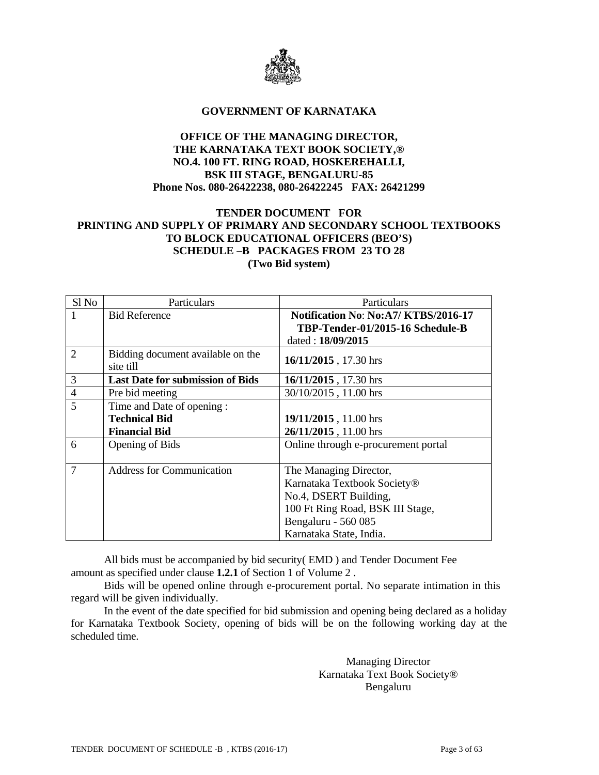

#### **GOVERNMENT OF KARNATAKA**

# **OFFICE OF THE MANAGING DIRECTOR, THE KARNATAKA TEXT BOOK SOCIETY,® NO.4. 100 FT. RING ROAD, HOSKEREHALLI, BSK III STAGE, BENGALURU-85 Phone Nos. 080-26422238, 080-26422245 FAX: 26421299**

# **TENDER DOCUMENT FOR PRINTING AND SUPPLY OF PRIMARY AND SECONDARY SCHOOL TEXTBOOKS TO BLOCK EDUCATIONAL OFFICERS (BEO'S) SCHEDULE –B PACKAGES FROM 23 TO 28 (Two Bid system)**

| Sl <sub>No</sub> | Particulars                                    | Particulars                           |
|------------------|------------------------------------------------|---------------------------------------|
| 1                | <b>Bid Reference</b>                           | Notification No: No: A7/ KTBS/2016-17 |
|                  |                                                | TBP-Tender-01/2015-16 Schedule-B      |
|                  |                                                | dated: 18/09/2015                     |
| $\overline{2}$   | Bidding document available on the<br>site till | 16/11/2015, 17.30 hrs                 |
| 3                | <b>Last Date for submission of Bids</b>        | 16/11/2015, 17.30 hrs                 |
| $\overline{4}$   | Pre bid meeting                                | 30/10/2015, 11.00 hrs                 |
| 5                | Time and Date of opening:                      |                                       |
|                  | <b>Technical Bid</b>                           | 19/11/2015, 11.00 hrs                 |
|                  | <b>Financial Bid</b>                           | 26/11/2015, 11.00 hrs                 |
| 6                | <b>Opening of Bids</b>                         | Online through e-procurement portal   |
|                  |                                                |                                       |
| 7                | <b>Address for Communication</b>               | The Managing Director,                |
|                  |                                                | Karnataka Textbook Society®           |
|                  |                                                | No.4, DSERT Building,                 |
|                  |                                                | 100 Ft Ring Road, BSK III Stage,      |
|                  |                                                | Bengaluru - 560 085                   |
|                  |                                                | Karnataka State, India.               |

 All bids must be accompanied by bid security( EMD ) and Tender Document Fee amount as specified under clause **1.2.1** of Section 1 of Volume 2 .

Bids will be opened online through e-procurement portal. No separate intimation in this regard will be given individually.

 In the event of the date specified for bid submission and opening being declared as a holiday for Karnataka Textbook Society, opening of bids will be on the following working day at the scheduled time.

> Managing Director Karnataka Text Book Society® Bengaluru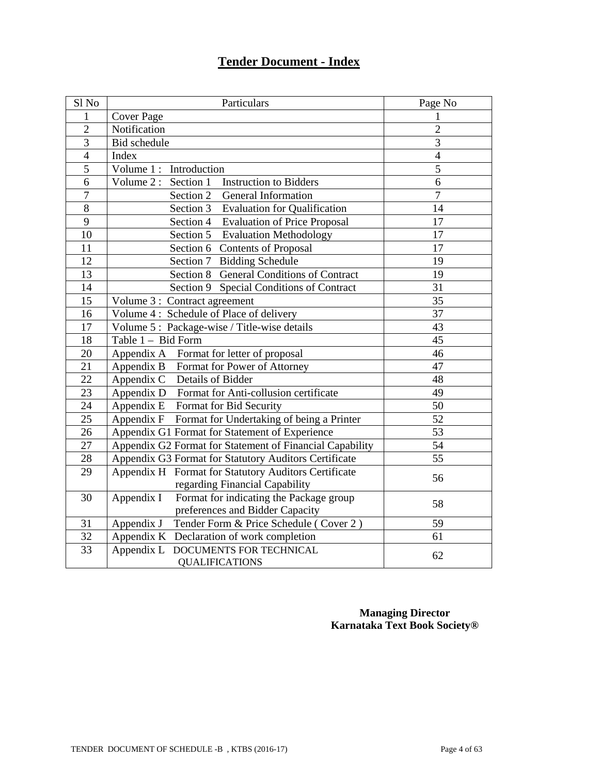# **Tender Document - Index**

| Sl No           | Particulars                                                 | Page No        |
|-----------------|-------------------------------------------------------------|----------------|
| 1               | <b>Cover Page</b>                                           | 1              |
| $\overline{2}$  | Notification                                                | $\overline{2}$ |
| $\overline{3}$  | Bid schedule                                                | $\overline{3}$ |
| $\overline{4}$  | Index                                                       | $\overline{4}$ |
| 5               | Volume 1: Introduction                                      | 5              |
| 6               | Volume 2 : Section 1<br><b>Instruction to Bidders</b>       | 6              |
| $\overline{7}$  | Section 2 General Information                               | $\overline{7}$ |
| 8               | Section 3 Evaluation for Qualification                      | 14             |
| $\overline{9}$  | Section 4 Evaluation of Price Proposal                      | 17             |
| 10              | Section 5 Evaluation Methodology                            | 17             |
| 11              | Section 6 Contents of Proposal                              | 17             |
| 12              | Section 7 Bidding Schedule                                  | 19             |
| 13              | Section 8 General Conditions of Contract                    | 19             |
| 14              | Section 9 Special Conditions of Contract                    | 31             |
| $\overline{15}$ | Volume 3 : Contract agreement                               | 35             |
| 16              | Volume 4: Schedule of Place of delivery                     | 37             |
| 17              | Volume 5: Package-wise / Title-wise details                 | 43             |
| 18              | Table 1 - Bid Form                                          | 45             |
| 20              | Appendix A Format for letter of proposal                    | 46             |
| 21              | Appendix B Format for Power of Attorney                     | 47             |
| $\overline{22}$ | Details of Bidder<br>Appendix C                             | 48             |
| $\overline{23}$ | Appendix D Format for Anti-collusion certificate            | 49             |
| 24              | Appendix E Format for Bid Security                          | 50             |
| $\overline{25}$ | Appendix F Format for Undertaking of being a Printer        | 52             |
| 26              | Appendix G1 Format for Statement of Experience              | 53             |
| 27              | Appendix G2 Format for Statement of Financial Capability    | 54             |
| $28\,$          | Appendix G3 Format for Statutory Auditors Certificate       | 55             |
| 29              | Appendix H Format for Statutory Auditors Certificate        | 56             |
|                 | regarding Financial Capability                              |                |
| 30              | Appendix I<br>Format for indicating the Package group       | 58             |
|                 | preferences and Bidder Capacity                             |                |
| 31              | Appendix J<br>Tender Form & Price Schedule (Cover 2)        | 59             |
| 32              | Appendix K Declaration of work completion                   | 61             |
| 33              | Appendix L DOCUMENTS FOR TECHNICAL<br><b>QUALIFICATIONS</b> | 62             |
|                 |                                                             |                |

**Managing Director Karnataka Text Book Society®**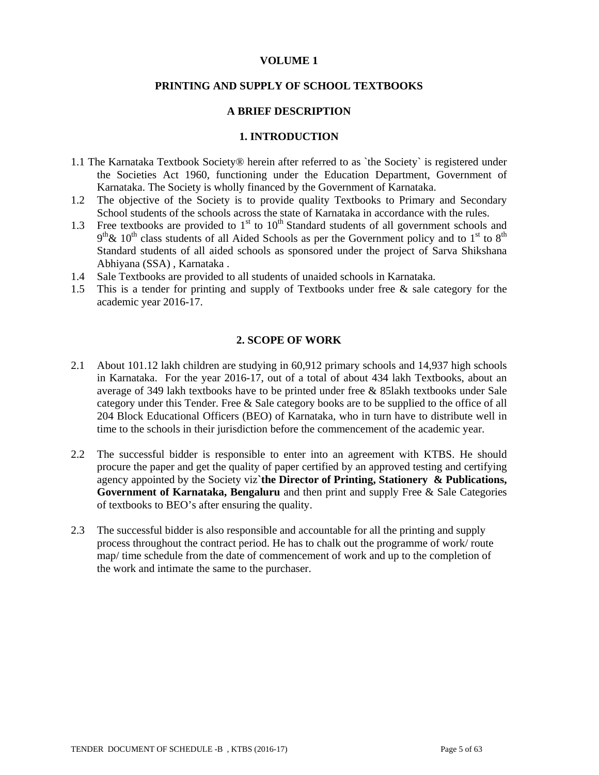### **VOLUME 1**

#### **PRINTING AND SUPPLY OF SCHOOL TEXTBOOKS**

#### **A BRIEF DESCRIPTION**

#### **1. INTRODUCTION**

- 1.1 The Karnataka Textbook Society® herein after referred to as `the Society` is registered under the Societies Act 1960, functioning under the Education Department, Government of Karnataka. The Society is wholly financed by the Government of Karnataka.
- 1.2 The objective of the Society is to provide quality Textbooks to Primary and Secondary School students of the schools across the state of Karnataka in accordance with the rules.
- 1.3 Free textbooks are provided to  $1<sup>st</sup>$  to  $10<sup>th</sup>$  Standard students of all government schools and  $9<sup>th</sup>$ &  $10<sup>th</sup>$  class students of all Aided Schools as per the Government policy and to 1<sup>st</sup> to 8<sup>th</sup> Standard students of all aided schools as sponsored under the project of Sarva Shikshana Abhiyana (SSA) , Karnataka .
- 1.4 Sale Textbooks are provided to all students of unaided schools in Karnataka.
- 1.5 This is a tender for printing and supply of Textbooks under free & sale category for the academic year 2016-17.

#### **2. SCOPE OF WORK**

- 2.1 About 101.12 lakh children are studying in 60,912 primary schools and 14,937 high schools in Karnataka. For the year 2016-17, out of a total of about 434 lakh Textbooks, about an average of 349 lakh textbooks have to be printed under free & 85lakh textbooks under Sale category under this Tender. Free & Sale category books are to be supplied to the office of all 204 Block Educational Officers (BEO) of Karnataka, who in turn have to distribute well in time to the schools in their jurisdiction before the commencement of the academic year.
- 2.2 The successful bidder is responsible to enter into an agreement with KTBS. He should procure the paper and get the quality of paper certified by an approved testing and certifying agency appointed by the Society viz**`the Director of Printing, Stationery & Publications, Government of Karnataka, Bengaluru** and then print and supply Free & Sale Categories of textbooks to BEO's after ensuring the quality.
- 2.3 The successful bidder is also responsible and accountable for all the printing and supply process throughout the contract period. He has to chalk out the programme of work/ route map/ time schedule from the date of commencement of work and up to the completion of the work and intimate the same to the purchaser.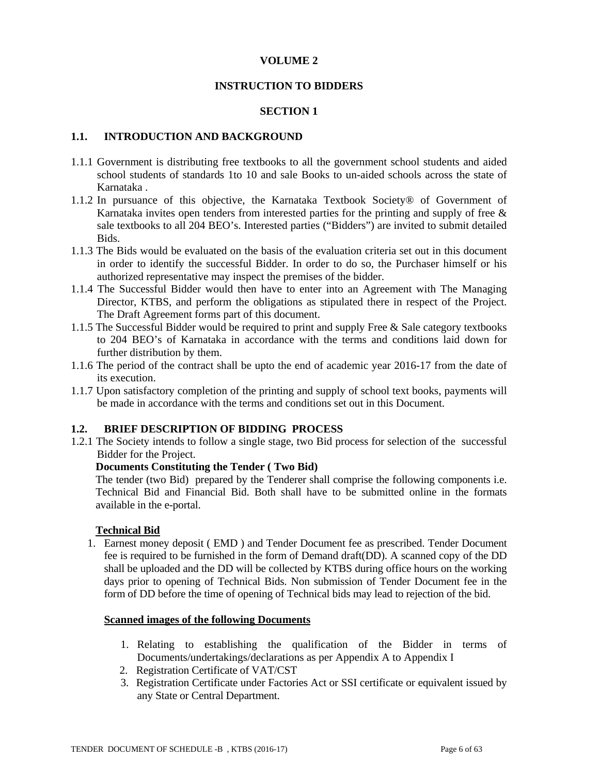### **VOLUME 2**

#### **INSTRUCTION TO BIDDERS**

#### **SECTION 1**

#### **1.1. INTRODUCTION AND BACKGROUND**

- 1.1.1 Government is distributing free textbooks to all the government school students and aided school students of standards 1to 10 and sale Books to un-aided schools across the state of Karnataka .
- 1.1.2 In pursuance of this objective, the Karnataka Textbook Society® of Government of Karnataka invites open tenders from interested parties for the printing and supply of free & sale textbooks to all 204 BEO's. Interested parties ("Bidders") are invited to submit detailed Bids.
- 1.1.3 The Bids would be evaluated on the basis of the evaluation criteria set out in this document in order to identify the successful Bidder. In order to do so, the Purchaser himself or his authorized representative may inspect the premises of the bidder.
- 1.1.4 The Successful Bidder would then have to enter into an Agreement with The Managing Director, KTBS, and perform the obligations as stipulated there in respect of the Project. The Draft Agreement forms part of this document.
- 1.1.5 The Successful Bidder would be required to print and supply Free & Sale category textbooks to 204 BEO's of Karnataka in accordance with the terms and conditions laid down for further distribution by them.
- 1.1.6 The period of the contract shall be upto the end of academic year 2016-17 from the date of its execution.
- 1.1.7 Upon satisfactory completion of the printing and supply of school text books, payments will be made in accordance with the terms and conditions set out in this Document.

#### **1.2. BRIEF DESCRIPTION OF BIDDING PROCESS**

1.2.1 The Society intends to follow a single stage, two Bid process for selection of the successful Bidder for the Project.

#### **Documents Constituting the Tender ( Two Bid)**

 The tender (two Bid) prepared by the Tenderer shall comprise the following components i.e. Technical Bid and Financial Bid. Both shall have to be submitted online in the formats available in the e-portal.

#### **Technical Bid**

1. Earnest money deposit ( EMD ) and Tender Document fee as prescribed. Tender Document fee is required to be furnished in the form of Demand draft(DD). A scanned copy of the DD shall be uploaded and the DD will be collected by KTBS during office hours on the working days prior to opening of Technical Bids. Non submission of Tender Document fee in the form of DD before the time of opening of Technical bids may lead to rejection of the bid.

#### **Scanned images of the following Documents**

- 1. Relating to establishing the qualification of the Bidder in terms of Documents/undertakings/declarations as per Appendix A to Appendix I
- 2. Registration Certificate of VAT/CST
- 3. Registration Certificate under Factories Act or SSI certificate or equivalent issued by any State or Central Department.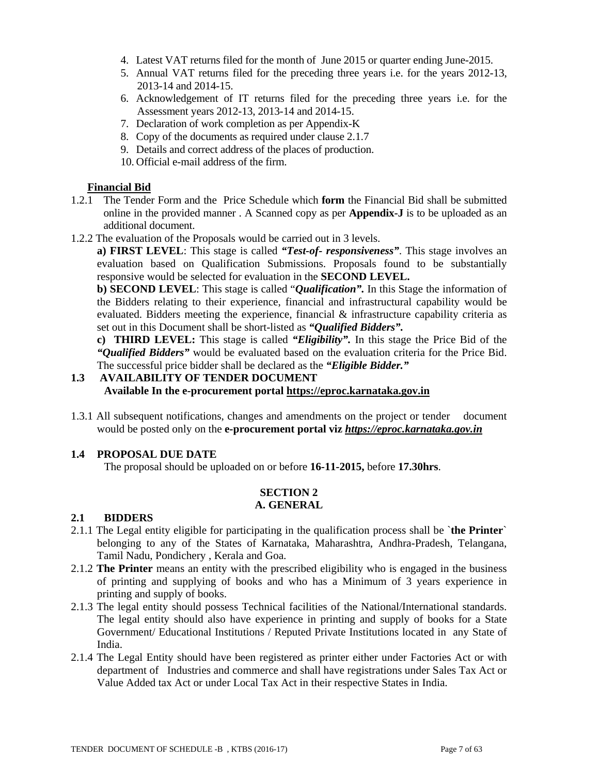- 4. Latest VAT returns filed for the month of June 2015 or quarter ending June-2015.
- 5. Annual VAT returns filed for the preceding three years i.e. for the years 2012-13, 2013-14 and 2014-15.
- 6. Acknowledgement of IT returns filed for the preceding three years i.e. for the Assessment years 2012-13, 2013-14 and 2014-15.
- 7. Declaration of work completion as per Appendix-K
- 8. Copy of the documents as required under clause 2.1.7
- 9. Details and correct address of the places of production.
- 10. Official e-mail address of the firm.

### **Financial Bid**

- 1.2.1 The Tender Form and the Price Schedule which **form** the Financial Bid shall be submitted online in the provided manner . A Scanned copy as per **Appendix-J** is to be uploaded as an additional document.
- 1.2.2 The evaluation of the Proposals would be carried out in 3 levels.

**a) FIRST LEVEL**: This stage is called *"Test-of- responsiveness"*. This stage involves an evaluation based on Qualification Submissions. Proposals found to be substantially responsive would be selected for evaluation in the **SECOND LEVEL.** 

 **b) SECOND LEVEL**: This stage is called "*Qualification".* In this Stage the information of the Bidders relating to their experience, financial and infrastructural capability would be evaluated. Bidders meeting the experience, financial & infrastructure capability criteria as set out in this Document shall be short-listed as *"Qualified Bidders".*

**c) THIRD LEVEL:** This stage is called *"Eligibility".* In this stage the Price Bid of the *"Qualified Bidders"* would be evaluated based on the evaluation criteria for the Price Bid. The successful price bidder shall be declared as the *"Eligible Bidder."* 

# **1.3 AVAILABILITY OF TENDER DOCUMENT Available In the e-procurement portal https://eproc.karnataka.gov.in**

1.3.1 All subsequent notifications, changes and amendments on the project or tender document would be posted only on the **e-procurement portal viz** *https://eproc.karnataka.gov.in*

# **1.4 PROPOSAL DUE DATE**

The proposal should be uploaded on or before **16-11-2015,** before **17.30hrs**.

#### **SECTION 2 A. GENERAL**

# **2.1 BIDDERS**

- 2.1.1 The Legal entity eligible for participating in the qualification process shall be `**the Printer**` belonging to any of the States of Karnataka, Maharashtra, Andhra-Pradesh, Telangana, Tamil Nadu, Pondichery , Kerala and Goa.
- 2.1.2 **The Printer** means an entity with the prescribed eligibility who is engaged in the business of printing and supplying of books and who has a Minimum of 3 years experience in printing and supply of books.
- 2.1.3 The legal entity should possess Technical facilities of the National/International standards. The legal entity should also have experience in printing and supply of books for a State Government/ Educational Institutions / Reputed Private Institutions located in any State of India.
- 2.1.4 The Legal Entity should have been registered as printer either under Factories Act or with department of Industries and commerce and shall have registrations under Sales Tax Act or Value Added tax Act or under Local Tax Act in their respective States in India.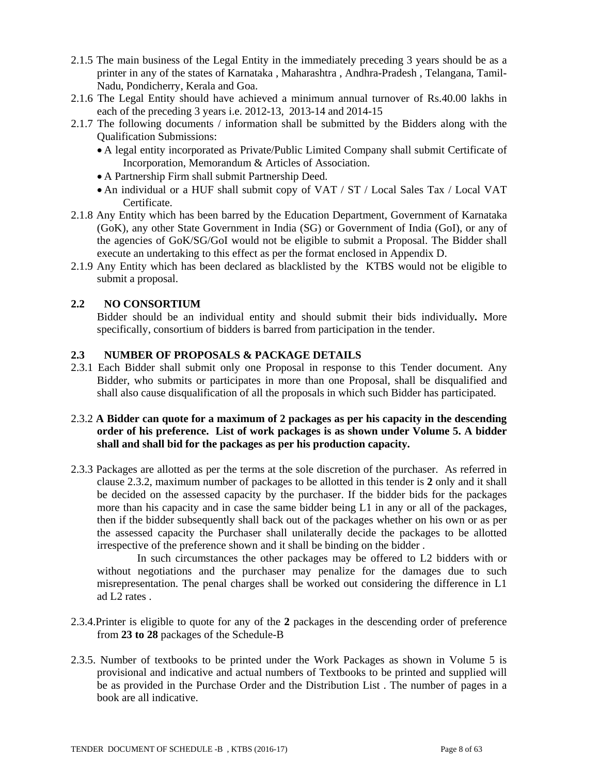- 2.1.5 The main business of the Legal Entity in the immediately preceding 3 years should be as a printer in any of the states of Karnataka , Maharashtra , Andhra-Pradesh , Telangana, Tamil-Nadu, Pondicherry, Kerala and Goa.
- 2.1.6 The Legal Entity should have achieved a minimum annual turnover of Rs.40.00 lakhs in each of the preceding 3 years i.e. 2012-13, 2013-14 and 2014-15
- 2.1.7 The following documents / information shall be submitted by the Bidders along with the Qualification Submissions:
	- A legal entity incorporated as Private/Public Limited Company shall submit Certificate of Incorporation, Memorandum & Articles of Association.
	- A Partnership Firm shall submit Partnership Deed.
	- An individual or a HUF shall submit copy of VAT / ST / Local Sales Tax / Local VAT Certificate.
- 2.1.8 Any Entity which has been barred by the Education Department, Government of Karnataka (GoK), any other State Government in India (SG) or Government of India (GoI), or any of the agencies of GoK/SG/GoI would not be eligible to submit a Proposal. The Bidder shall execute an undertaking to this effect as per the format enclosed in Appendix D.
- 2.1.9 Any Entity which has been declared as blacklisted by the KTBS would not be eligible to submit a proposal.

# **2.2 NO CONSORTIUM**

 Bidder should be an individual entity and should submit their bids individually*.* More specifically, consortium of bidders is barred from participation in the tender.

# **2.3 NUMBER OF PROPOSALS & PACKAGE DETAILS**

2.3.1 Each Bidder shall submit only one Proposal in response to this Tender document. Any Bidder, who submits or participates in more than one Proposal, shall be disqualified and shall also cause disqualification of all the proposals in which such Bidder has participated.

# 2.3.2 **A Bidder can quote for a maximum of 2 packages as per his capacity in the descending order of his preference. List of work packages is as shown under Volume 5. A bidder shall and shall bid for the packages as per his production capacity.**

2.3.3 Packages are allotted as per the terms at the sole discretion of the purchaser. As referred in clause 2.3.2, maximum number of packages to be allotted in this tender is **2** only and it shall be decided on the assessed capacity by the purchaser. If the bidder bids for the packages more than his capacity and in case the same bidder being L1 in any or all of the packages, then if the bidder subsequently shall back out of the packages whether on his own or as per the assessed capacity the Purchaser shall unilaterally decide the packages to be allotted irrespective of the preference shown and it shall be binding on the bidder .

 In such circumstances the other packages may be offered to L2 bidders with or without negotiations and the purchaser may penalize for the damages due to such misrepresentation. The penal charges shall be worked out considering the difference in L1 ad L2 rates .

- 2.3.4.Printer is eligible to quote for any of the **2** packages in the descending order of preference from **23 to 28** packages of the Schedule-B
- 2.3.5. Number of textbooks to be printed under the Work Packages as shown in Volume 5 is provisional and indicative and actual numbers of Textbooks to be printed and supplied will be as provided in the Purchase Order and the Distribution List . The number of pages in a book are all indicative.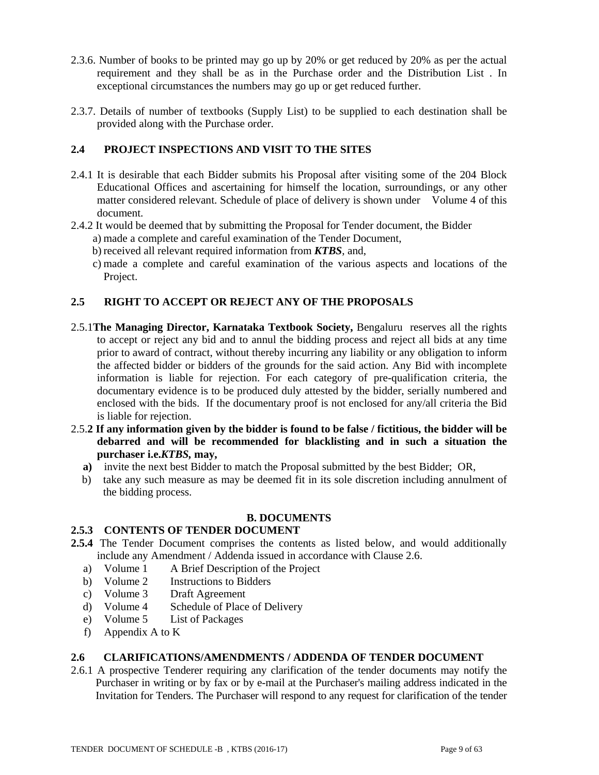- 2.3.6. Number of books to be printed may go up by 20% or get reduced by 20% as per the actual requirement and they shall be as in the Purchase order and the Distribution List . In exceptional circumstances the numbers may go up or get reduced further.
- 2.3.7. Details of number of textbooks (Supply List) to be supplied to each destination shall be provided along with the Purchase order.

### **2.4 PROJECT INSPECTIONS AND VISIT TO THE SITES**

- 2.4.1 It is desirable that each Bidder submits his Proposal after visiting some of the 204 Block Educational Offices and ascertaining for himself the location, surroundings, or any other matter considered relevant. Schedule of place of delivery is shown under Volume 4 of this document.
- 2.4.2 It would be deemed that by submitting the Proposal for Tender document, the Bidder
	- a) made a complete and careful examination of the Tender Document,
	- b) received all relevant required information from *KTBS*, and,
	- c) made a complete and careful examination of the various aspects and locations of the Project.

# **2.5 RIGHT TO ACCEPT OR REJECT ANY OF THE PROPOSALS**

- 2.5.1**The Managing Director, Karnataka Textbook Society,** Bengaluru reserves all the rights to accept or reject any bid and to annul the bidding process and reject all bids at any time prior to award of contract, without thereby incurring any liability or any obligation to inform the affected bidder or bidders of the grounds for the said action. Any Bid with incomplete information is liable for rejection. For each category of pre-qualification criteria, the documentary evidence is to be produced duly attested by the bidder, serially numbered and enclosed with the bids. If the documentary proof is not enclosed for any/all criteria the Bid is liable for rejection.
- 2.5.**2 If any information given by the bidder is found to be false / fictitious, the bidder will be debarred and will be recommended for blacklisting and in such a situation the purchaser i.e.***KTBS,* **may,** 
	- **a)** invite the next best Bidder to match the Proposal submitted by the best Bidder; OR,
	- b) take any such measure as may be deemed fit in its sole discretion including annulment of the bidding process.

### **B. DOCUMENTS**

### **2.5.3 CONTENTS OF TENDER DOCUMENT**

- **2.5.4** The Tender Document comprises the contents as listed below, and would additionally include any Amendment / Addenda issued in accordance with Clause 2.6.
	- a) Volume 1 A Brief Description of the Project
	- b) Volume 2 Instructions to Bidders
	- c) Volume 3 Draft Agreement
	- d) Volume 4 Schedule of Place of Delivery
	- e) Volume 5 List of Packages
	- f) Appendix A to K

# **2.6 CLARIFICATIONS/AMENDMENTS / ADDENDA OF TENDER DOCUMENT**

2.6.1 A prospective Tenderer requiring any clarification of the tender documents may notify the Purchaser in writing or by fax or by e-mail at the Purchaser's mailing address indicated in the Invitation for Tenders. The Purchaser will respond to any request for clarification of the tender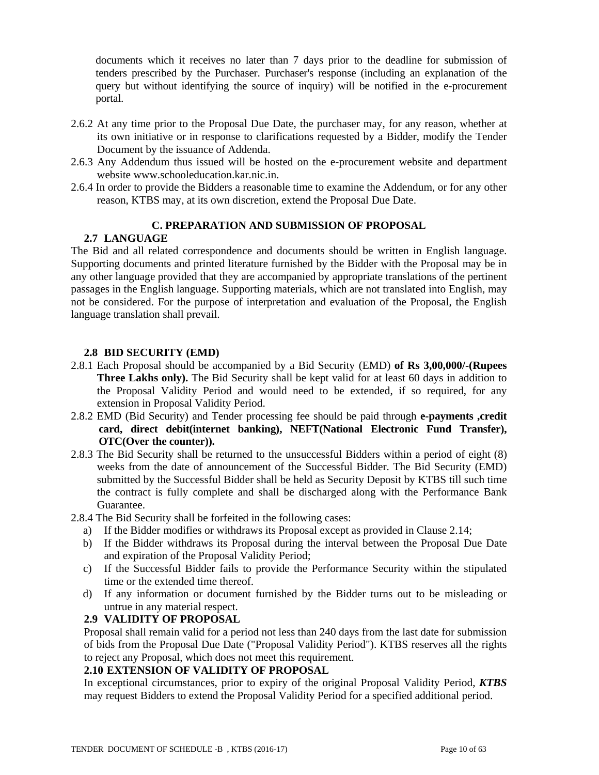documents which it receives no later than 7 days prior to the deadline for submission of tenders prescribed by the Purchaser. Purchaser's response (including an explanation of the query but without identifying the source of inquiry) will be notified in the e-procurement portal.

- 2.6.2 At any time prior to the Proposal Due Date, the purchaser may, for any reason, whether at its own initiative or in response to clarifications requested by a Bidder, modify the Tender Document by the issuance of Addenda.
- 2.6.3 Any Addendum thus issued will be hosted on the e-procurement website and department website www.schooleducation.kar.nic.in.
- 2.6.4 In order to provide the Bidders a reasonable time to examine the Addendum, or for any other reason, KTBS may, at its own discretion, extend the Proposal Due Date.

### **C. PREPARATION AND SUBMISSION OF PROPOSAL**

### **2.7 LANGUAGE**

The Bid and all related correspondence and documents should be written in English language. Supporting documents and printed literature furnished by the Bidder with the Proposal may be in any other language provided that they are accompanied by appropriate translations of the pertinent passages in the English language. Supporting materials, which are not translated into English, may not be considered. For the purpose of interpretation and evaluation of the Proposal, the English language translation shall prevail.

# **2.8 BID SECURITY (EMD)**

- 2.8.1 Each Proposal should be accompanied by a Bid Security (EMD) **of Rs 3,00,000/-(Rupees Three Lakhs only).** The Bid Security shall be kept valid for at least 60 days in addition to the Proposal Validity Period and would need to be extended, if so required, for any extension in Proposal Validity Period.
- 2.8.2 EMD (Bid Security) and Tender processing fee should be paid through **e-payments ,credit card, direct debit(internet banking), NEFT(National Electronic Fund Transfer), OTC(Over the counter)).**
- 2.8.3 The Bid Security shall be returned to the unsuccessful Bidders within a period of eight (8) weeks from the date of announcement of the Successful Bidder. The Bid Security (EMD) submitted by the Successful Bidder shall be held as Security Deposit by KTBS till such time the contract is fully complete and shall be discharged along with the Performance Bank Guarantee.
- 2.8.4 The Bid Security shall be forfeited in the following cases:
	- a) If the Bidder modifies or withdraws its Proposal except as provided in Clause 2.14;
	- b) If the Bidder withdraws its Proposal during the interval between the Proposal Due Date and expiration of the Proposal Validity Period;
	- c) If the Successful Bidder fails to provide the Performance Security within the stipulated time or the extended time thereof.
	- d) If any information or document furnished by the Bidder turns out to be misleading or untrue in any material respect.

### **2.9 VALIDITY OF PROPOSAL**

Proposal shall remain valid for a period not less than 240 days from the last date for submission of bids from the Proposal Due Date ("Proposal Validity Period"). KTBS reserves all the rights to reject any Proposal, which does not meet this requirement.

# **2.10 EXTENSION OF VALIDITY OF PROPOSAL**

In exceptional circumstances, prior to expiry of the original Proposal Validity Period, *KTBS* may request Bidders to extend the Proposal Validity Period for a specified additional period.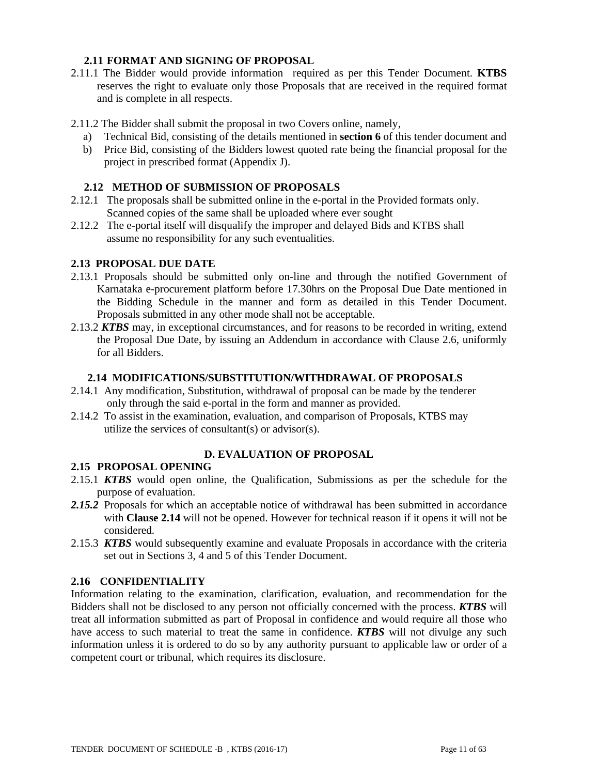# **2.11 FORMAT AND SIGNING OF PROPOSAL**

- 2.11.1 The Bidder would provide information required as per this Tender Document. **KTBS**  reserves the right to evaluate only those Proposals that are received in the required format and is complete in all respects.
- 2.11.2 The Bidder shall submit the proposal in two Covers online, namely,
	- a) Technical Bid, consisting of the details mentioned in **section 6** of this tender document and
	- b) Price Bid, consisting of the Bidders lowest quoted rate being the financial proposal for the project in prescribed format (Appendix J).

### **2.12 METHOD OF SUBMISSION OF PROPOSALS**

- 2.12.1 The proposals shall be submitted online in the e-portal in the Provided formats only. Scanned copies of the same shall be uploaded where ever sought
- 2.12.2 The e-portal itself will disqualify the improper and delayed Bids and KTBS shall assume no responsibility for any such eventualities.

# **2.13 PROPOSAL DUE DATE**

- 2.13.1 Proposals should be submitted only on-line and through the notified Government of Karnataka e-procurement platform before 17.30hrs on the Proposal Due Date mentioned in the Bidding Schedule in the manner and form as detailed in this Tender Document. Proposals submitted in any other mode shall not be acceptable.
- 2.13.2 *KTBS* may, in exceptional circumstances, and for reasons to be recorded in writing, extend the Proposal Due Date, by issuing an Addendum in accordance with Clause 2.6, uniformly for all Bidders.

### **2.14 MODIFICATIONS/SUBSTITUTION/WITHDRAWAL OF PROPOSALS**

- 2.14.1 Any modification, Substitution, withdrawal of proposal can be made by the tenderer only through the said e-portal in the form and manner as provided.
- 2.14.2 To assist in the examination, evaluation, and comparison of Proposals, KTBS may utilize the services of consultant(s) or advisor(s).

# **D. EVALUATION OF PROPOSAL**

### **2.15 PROPOSAL OPENING**

- 2.15.1 *KTBS* would open online, the Qualification, Submissions as per the schedule for the purpose of evaluation.
- *2.15.2* Proposals for which an acceptable notice of withdrawal has been submitted in accordance with **Clause 2.14** will not be opened. However for technical reason if it opens it will not be considered.
- 2.15.3 *KTBS* would subsequently examine and evaluate Proposals in accordance with the criteria set out in Sections 3, 4 and 5 of this Tender Document.

### **2.16 CONFIDENTIALITY**

Information relating to the examination, clarification, evaluation, and recommendation for the Bidders shall not be disclosed to any person not officially concerned with the process. *KTBS* will treat all information submitted as part of Proposal in confidence and would require all those who have access to such material to treat the same in confidence. *KTBS* will not divulge any such information unless it is ordered to do so by any authority pursuant to applicable law or order of a competent court or tribunal, which requires its disclosure.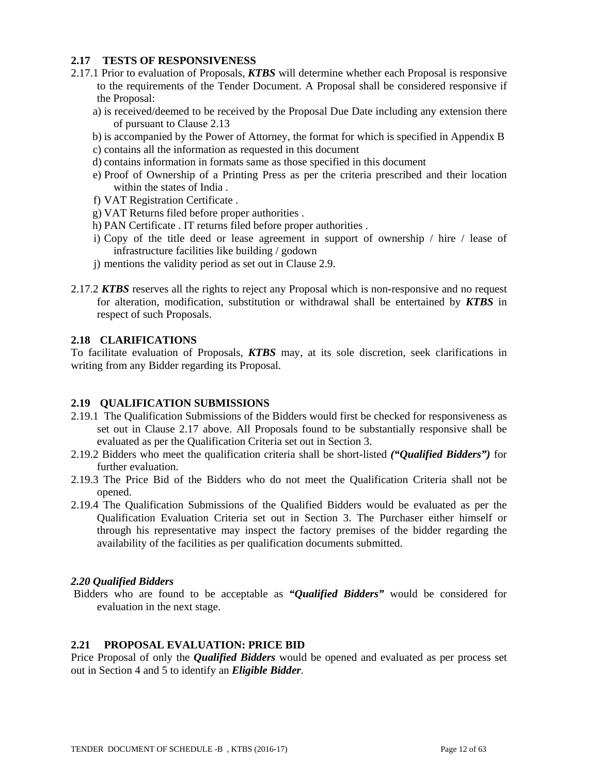# **2.17 TESTS OF RESPONSIVENESS**

- 2.17.1 Prior to evaluation of Proposals, *KTBS* will determine whether each Proposal is responsive to the requirements of the Tender Document. A Proposal shall be considered responsive if the Proposal:
	- a) is received/deemed to be received by the Proposal Due Date including any extension there of pursuant to Clause 2.13
	- b) is accompanied by the Power of Attorney, the format for which is specified in Appendix B c) contains all the information as requested in this document
	- d) contains information in formats same as those specified in this document
	- e) Proof of Ownership of a Printing Press as per the criteria prescribed and their location within the states of India .
	- f) VAT Registration Certificate .
	- g) VAT Returns filed before proper authorities .
	- h) PAN Certificate . IT returns filed before proper authorities .
	- i) Copy of the title deed or lease agreement in support of ownership / hire / lease of infrastructure facilities like building / godown
	- j) mentions the validity period as set out in Clause 2.9.
- 2.17.2 *KTBS* reserves all the rights to reject any Proposal which is non-responsive and no request for alteration, modification, substitution or withdrawal shall be entertained by *KTBS* in respect of such Proposals.

# **2.18 CLARIFICATIONS**

To facilitate evaluation of Proposals, *KTBS* may, at its sole discretion, seek clarifications in writing from any Bidder regarding its Proposal.

# **2.19 QUALIFICATION SUBMISSIONS**

- 2.19.1 The Qualification Submissions of the Bidders would first be checked for responsiveness as set out in Clause 2.17 above. All Proposals found to be substantially responsive shall be evaluated as per the Qualification Criteria set out in Section 3.
- 2.19.2 Bidders who meet the qualification criteria shall be short-listed *("Qualified Bidders")* for further evaluation.
- 2.19.3 The Price Bid of the Bidders who do not meet the Qualification Criteria shall not be opened.
- 2.19.4 The Qualification Submissions of the Qualified Bidders would be evaluated as per the Qualification Evaluation Criteria set out in Section 3. The Purchaser either himself or through his representative may inspect the factory premises of the bidder regarding the availability of the facilities as per qualification documents submitted.

### *2.20 Qualified Bidders*

 Bidders who are found to be acceptable as *"Qualified Bidders"* would be considered for evaluation in the next stage.

### **2.21 PROPOSAL EVALUATION: PRICE BID**

Price Proposal of only the *Qualified Bidders* would be opened and evaluated as per process set out in Section 4 and 5 to identify an *Eligible Bidder*.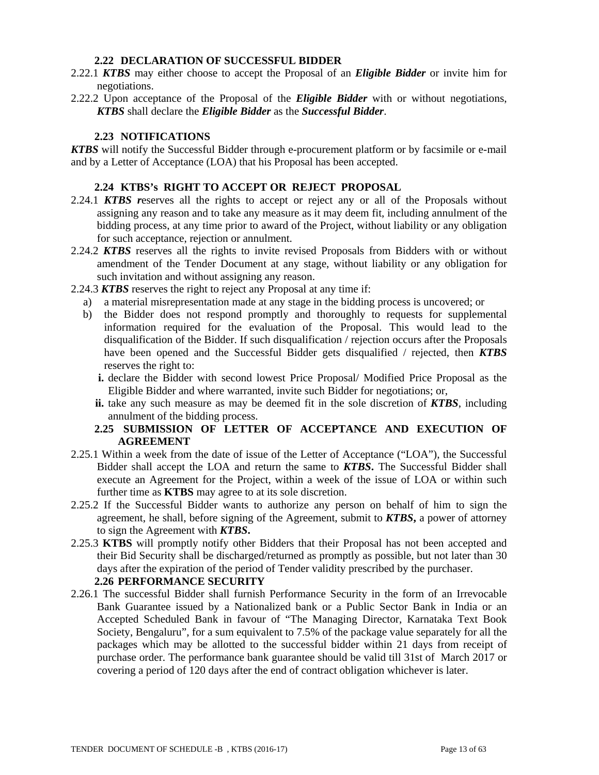### **2.22 DECLARATION OF SUCCESSFUL BIDDER**

- 2.22.1 *KTBS* may either choose to accept the Proposal of an *Eligible Bidder* or invite him for negotiations.
- 2.22.2 Upon acceptance of the Proposal of the *Eligible Bidder* with or without negotiations, *KTBS* shall declare the *Eligible Bidder* as the *Successful Bidder*.

# **2.23 NOTIFICATIONS**

*KTBS* will notify the Successful Bidder through e-procurement platform or by facsimile or e-mail and by a Letter of Acceptance (LOA) that his Proposal has been accepted.

### **2.24 KTBS's RIGHT TO ACCEPT OR REJECT PROPOSAL**

- 2.24.1 *KTBS r*eserves all the rights to accept or reject any or all of the Proposals without assigning any reason and to take any measure as it may deem fit, including annulment of the bidding process, at any time prior to award of the Project, without liability or any obligation for such acceptance, rejection or annulment.
- 2.24.2 *KTBS* reserves all the rights to invite revised Proposals from Bidders with or without amendment of the Tender Document at any stage, without liability or any obligation for such invitation and without assigning any reason.
- 2.24.3 *KTBS* reserves the right to reject any Proposal at any time if:
	- a) a material misrepresentation made at any stage in the bidding process is uncovered; or
	- b) the Bidder does not respond promptly and thoroughly to requests for supplemental information required for the evaluation of the Proposal. This would lead to the disqualification of the Bidder. If such disqualification / rejection occurs after the Proposals have been opened and the Successful Bidder gets disqualified / rejected, then *KTBS* reserves the right to:
		- **i.** declare the Bidder with second lowest Price Proposal/ Modified Price Proposal as the Eligible Bidder and where warranted, invite such Bidder for negotiations; or,
		- **ii.** take any such measure as may be deemed fit in the sole discretion of *KTBS*, including annulment of the bidding process.

# **2.25 SUBMISSION OF LETTER OF ACCEPTANCE AND EXECUTION OF AGREEMENT**

- 2.25.1 Within a week from the date of issue of the Letter of Acceptance ("LOA"), the Successful Bidder shall accept the LOA and return the same to *KTBS***.** The Successful Bidder shall execute an Agreement for the Project, within a week of the issue of LOA or within such further time as **KTBS** may agree to at its sole discretion.
- 2.25.2 If the Successful Bidder wants to authorize any person on behalf of him to sign the agreement, he shall, before signing of the Agreement, submit to *KTBS***,** a power of attorney to sign the Agreement with *KTBS***.**
- 2.25.3 **KTBS** will promptly notify other Bidders that their Proposal has not been accepted and their Bid Security shall be discharged/returned as promptly as possible, but not later than 30 days after the expiration of the period of Tender validity prescribed by the purchaser. **2.26 PERFORMANCE SECURITY**
- 2.26.1 The successful Bidder shall furnish Performance Security in the form of an Irrevocable Bank Guarantee issued by a Nationalized bank or a Public Sector Bank in India or an Accepted Scheduled Bank in favour of "The Managing Director, Karnataka Text Book Society, Bengaluru", for a sum equivalent to 7.5% of the package value separately for all the packages which may be allotted to the successful bidder within 21 days from receipt of purchase order. The performance bank guarantee should be valid till 31st of March 2017 or covering a period of 120 days after the end of contract obligation whichever is later.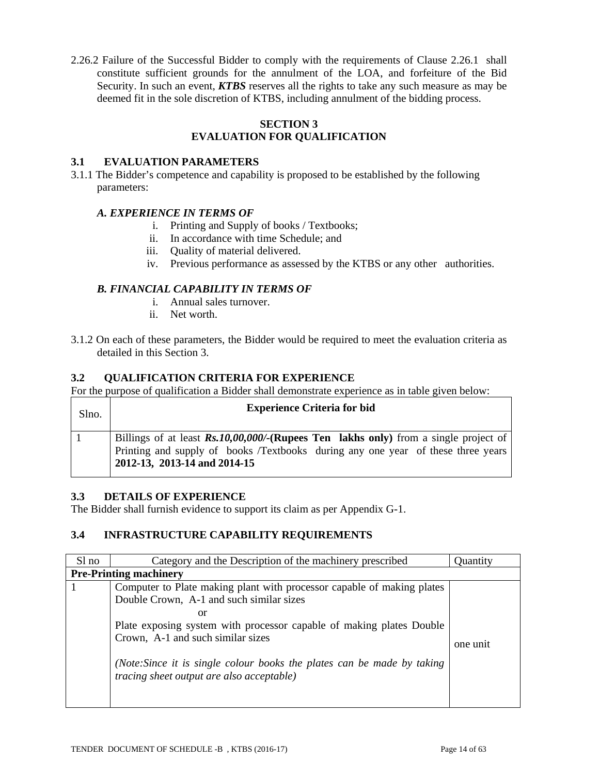2.26.2 Failure of the Successful Bidder to comply with the requirements of Clause 2.26.1 shall constitute sufficient grounds for the annulment of the LOA, and forfeiture of the Bid Security. In such an event, *KTBS* reserves all the rights to take any such measure as may be deemed fit in the sole discretion of KTBS, including annulment of the bidding process.

### **SECTION 3 EVALUATION FOR QUALIFICATION**

# **3.1 EVALUATION PARAMETERS**

3.1.1 The Bidder's competence and capability is proposed to be established by the following parameters:

# *A. EXPERIENCE IN TERMS OF*

- i. Printing and Supply of books / Textbooks;
- ii. In accordance with time Schedule; and
- iii. Quality of material delivered.
- iv. Previous performance as assessed by the KTBS or any other authorities.

# *B. FINANCIAL CAPABILITY IN TERMS OF*

- i. Annual sales turnover.
- ii. Net worth.
- 3.1.2 On each of these parameters, the Bidder would be required to meet the evaluation criteria as detailed in this Section 3.

### **3.2 QUALIFICATION CRITERIA FOR EXPERIENCE**

For the purpose of qualification a Bidder shall demonstrate experience as in table given below:

| Slno. | <b>Experience Criteria for bid</b>                                                                                                                                                                      |
|-------|---------------------------------------------------------------------------------------------------------------------------------------------------------------------------------------------------------|
|       | Billings of at least Rs.10,00,000/-(Rupees Ten lakhs only) from a single project of<br>Printing and supply of books /Textbooks during any one year of these three years<br>2012-13, 2013-14 and 2014-15 |

### **3.3 DETAILS OF EXPERIENCE**

The Bidder shall furnish evidence to support its claim as per Appendix G-1.

# **3.4 INFRASTRUCTURE CAPABILITY REQUIREMENTS**

| Sl no                         | Category and the Description of the machinery prescribed                                                                                                                                                                                                                                                                                                             | <b>Ouantity</b> |
|-------------------------------|----------------------------------------------------------------------------------------------------------------------------------------------------------------------------------------------------------------------------------------------------------------------------------------------------------------------------------------------------------------------|-----------------|
| <b>Pre-Printing machinery</b> |                                                                                                                                                                                                                                                                                                                                                                      |                 |
|                               | Computer to Plate making plant with processor capable of making plates<br>Double Crown, A-1 and such similar sizes<br>or<br>Plate exposing system with processor capable of making plates Double<br>Crown, A-1 and such similar sizes<br>(Note: Since it is single colour books the plates can be made by taking<br><i>tracing sheet output are also acceptable)</i> | one unit        |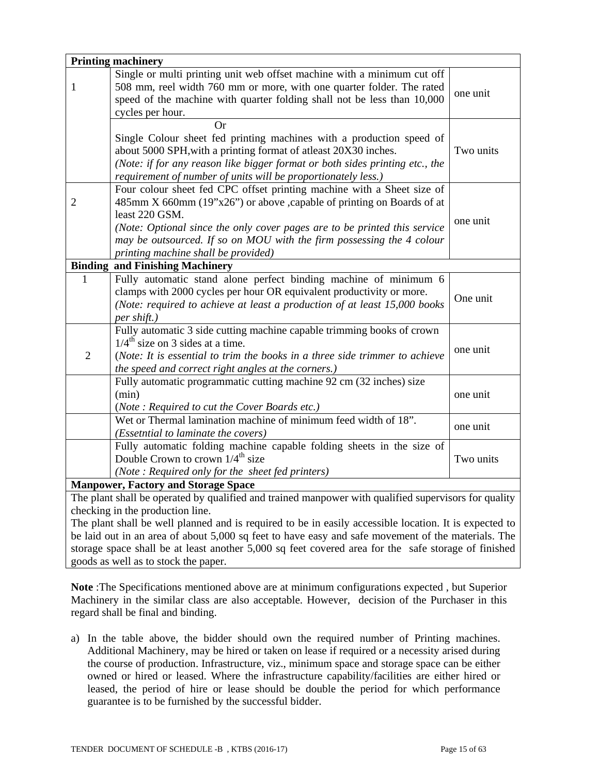|                                            | <b>Printing machinery</b>                                                                              |           |  |  |  |  |
|--------------------------------------------|--------------------------------------------------------------------------------------------------------|-----------|--|--|--|--|
|                                            | Single or multi printing unit web offset machine with a minimum cut off                                |           |  |  |  |  |
| $\mathbf{1}$                               | 508 mm, reel width 760 mm or more, with one quarter folder. The rated                                  | one unit  |  |  |  |  |
|                                            | speed of the machine with quarter folding shall not be less than 10,000                                |           |  |  |  |  |
|                                            | cycles per hour.                                                                                       |           |  |  |  |  |
|                                            | Or                                                                                                     |           |  |  |  |  |
|                                            | Single Colour sheet fed printing machines with a production speed of                                   |           |  |  |  |  |
|                                            | about 5000 SPH, with a printing format of atleast 20X30 inches.                                        | Two units |  |  |  |  |
|                                            | (Note: if for any reason like bigger format or both sides printing etc., the                           |           |  |  |  |  |
|                                            | requirement of number of units will be proportionately less.)                                          |           |  |  |  |  |
|                                            | Four colour sheet fed CPC offset printing machine with a Sheet size of                                 |           |  |  |  |  |
| $\overline{2}$                             | 485mm X 660mm (19"x26") or above , capable of printing on Boards of at                                 |           |  |  |  |  |
|                                            | least 220 GSM.                                                                                         | one unit  |  |  |  |  |
|                                            | (Note: Optional since the only cover pages are to be printed this service                              |           |  |  |  |  |
|                                            | may be outsourced. If so on MOU with the firm possessing the 4 colour                                  |           |  |  |  |  |
|                                            | printing machine shall be provided)                                                                    |           |  |  |  |  |
| <b>Binding</b>                             | and Finishing Machinery                                                                                |           |  |  |  |  |
| 1                                          | Fully automatic stand alone perfect binding machine of minimum 6                                       |           |  |  |  |  |
|                                            | clamps with 2000 cycles per hour OR equivalent productivity or more.                                   | One unit  |  |  |  |  |
|                                            | (Note: required to achieve at least a production of at least 15,000 books                              |           |  |  |  |  |
|                                            | per shift.)                                                                                            |           |  |  |  |  |
|                                            | Fully automatic 3 side cutting machine capable trimming books of crown                                 |           |  |  |  |  |
|                                            | $1/4^{\text{th}}$ size on 3 sides at a time.                                                           | one unit  |  |  |  |  |
| $\overline{2}$                             | (Note: It is essential to trim the books in a three side trimmer to achieve                            |           |  |  |  |  |
|                                            | the speed and correct right angles at the corners.)                                                    |           |  |  |  |  |
|                                            | Fully automatic programmatic cutting machine 92 cm (32 inches) size                                    |           |  |  |  |  |
|                                            | (min)                                                                                                  | one unit  |  |  |  |  |
|                                            | (Note: Required to cut the Cover Boards etc.)                                                          |           |  |  |  |  |
|                                            | Wet or Thermal lamination machine of minimum feed width of 18".                                        | one unit  |  |  |  |  |
|                                            | (Essetntial to laminate the covers)                                                                    |           |  |  |  |  |
|                                            | Fully automatic folding machine capable folding sheets in the size of                                  |           |  |  |  |  |
|                                            | Double Crown to crown 1/4 <sup>th</sup> size                                                           | Two units |  |  |  |  |
|                                            | (Note: Required only for the sheet fed printers)                                                       |           |  |  |  |  |
| <b>Manpower, Factory and Storage Space</b> |                                                                                                        |           |  |  |  |  |
|                                            | The plant shall be operated by qualified and trained manpower with qualified supervisors for quality   |           |  |  |  |  |
|                                            | checking in the production line.                                                                       |           |  |  |  |  |
|                                            | The plant shall be well planned and is required to be in easily accessible location. It is expected to |           |  |  |  |  |
|                                            | be laid out in an area of about 5,000 sq feet to have easy and safe movement of the materials. The     |           |  |  |  |  |
|                                            | storage space shall be at least another 5,000 sq feet covered area for the safe storage of finished    |           |  |  |  |  |

goods as well as to stock the paper. **Note** :The Specifications mentioned above are at minimum configurations expected , but Superior

Machinery in the similar class are also acceptable. However, decision of the Purchaser in this regard shall be final and binding.

a) In the table above, the bidder should own the required number of Printing machines. Additional Machinery, may be hired or taken on lease if required or a necessity arised during the course of production. Infrastructure, viz., minimum space and storage space can be either owned or hired or leased. Where the infrastructure capability/facilities are either hired or leased, the period of hire or lease should be double the period for which performance guarantee is to be furnished by the successful bidder.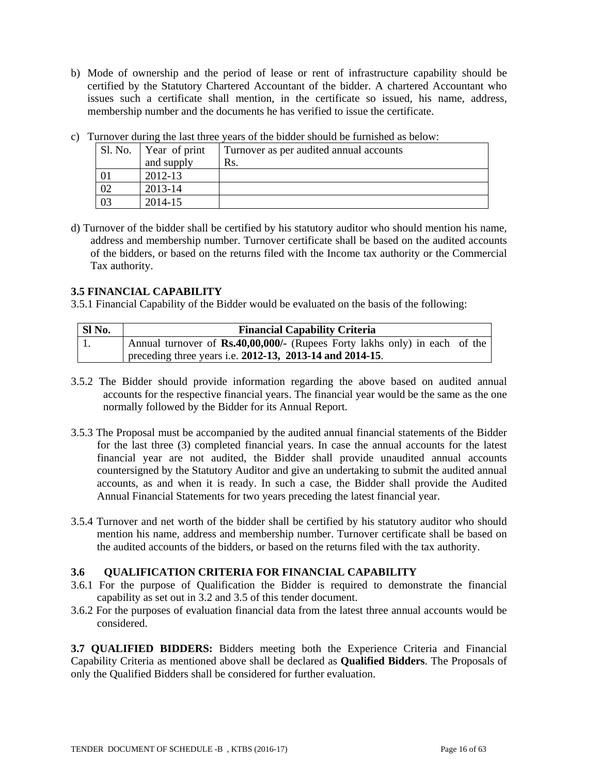b) Mode of ownership and the period of lease or rent of infrastructure capability should be certified by the Statutory Chartered Accountant of the bidder. A chartered Accountant who issues such a certificate shall mention, in the certificate so issued, his name, address, membership number and the documents he has verified to issue the certificate.

| I arrived auring the fast three years of the bidder should be furthered as below. |               |                                         |
|-----------------------------------------------------------------------------------|---------------|-----------------------------------------|
| Sl. No.                                                                           | Year of print | Turnover as per audited annual accounts |
|                                                                                   | and supply    | Rs.                                     |
|                                                                                   | 2012-13       |                                         |
|                                                                                   | 2013-14       |                                         |
|                                                                                   | 2014-15       |                                         |

c) Turnover during the last three years of the bidder should be furnished as below:

d) Turnover of the bidder shall be certified by his statutory auditor who should mention his name, address and membership number. Turnover certificate shall be based on the audited accounts of the bidders, or based on the returns filed with the Income tax authority or the Commercial Tax authority.

# **3.5 FINANCIAL CAPABILITY**

3.5.1 Financial Capability of the Bidder would be evaluated on the basis of the following:

| SI No. | <b>Financial Capability Criteria</b>                                              |  |  |  |  |
|--------|-----------------------------------------------------------------------------------|--|--|--|--|
|        | Annual turnover of <b>Rs.40,00,000/-</b> (Rupees Forty lakhs only) in each of the |  |  |  |  |
|        | preceding three years i.e. 2012-13, 2013-14 and 2014-15.                          |  |  |  |  |

- 3.5.2 The Bidder should provide information regarding the above based on audited annual accounts for the respective financial years. The financial year would be the same as the one normally followed by the Bidder for its Annual Report.
- 3.5.3 The Proposal must be accompanied by the audited annual financial statements of the Bidder for the last three (3) completed financial years. In case the annual accounts for the latest financial year are not audited, the Bidder shall provide unaudited annual accounts countersigned by the Statutory Auditor and give an undertaking to submit the audited annual accounts, as and when it is ready. In such a case, the Bidder shall provide the Audited Annual Financial Statements for two years preceding the latest financial year.
- 3.5.4 Turnover and net worth of the bidder shall be certified by his statutory auditor who should mention his name, address and membership number. Turnover certificate shall be based on the audited accounts of the bidders, or based on the returns filed with the tax authority.

### **3.6 QUALIFICATION CRITERIA FOR FINANCIAL CAPABILITY**

- 3.6.1 For the purpose of Qualification the Bidder is required to demonstrate the financial capability as set out in 3.2 and 3.5 of this tender document.
- 3.6.2 For the purposes of evaluation financial data from the latest three annual accounts would be considered.

**3.7 QUALIFIED BIDDERS:** Bidders meeting both the Experience Criteria and Financial Capability Criteria as mentioned above shall be declared as **Qualified Bidders**. The Proposals of only the Qualified Bidders shall be considered for further evaluation.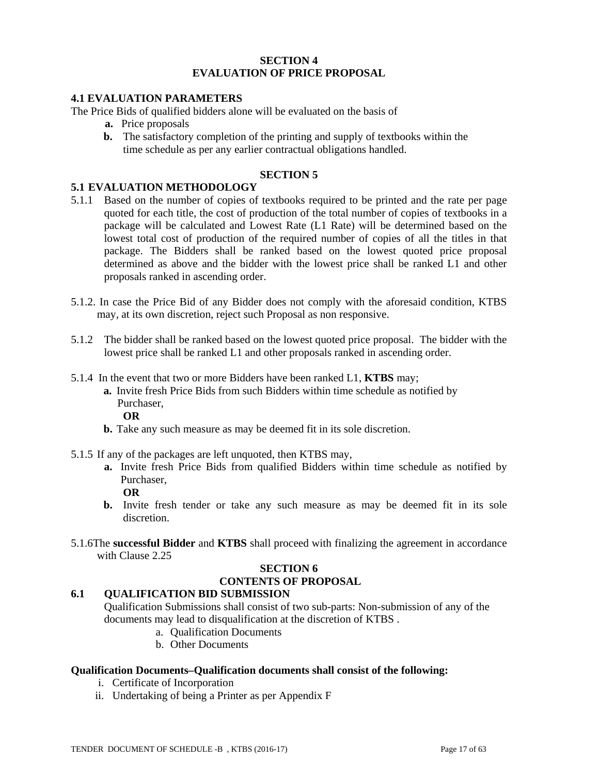### **SECTION 4 EVALUATION OF PRICE PROPOSAL**

# **4.1 EVALUATION PARAMETERS**

The Price Bids of qualified bidders alone will be evaluated on the basis of

- **a.** Price proposals
- **b.** The satisfactory completion of the printing and supply of textbooks within the time schedule as per any earlier contractual obligations handled.

# **SECTION 5**

#### **5.1 EVALUATION METHODOLOGY**

- 5.1.1 Based on the number of copies of textbooks required to be printed and the rate per page quoted for each title, the cost of production of the total number of copies of textbooks in a package will be calculated and Lowest Rate (L1 Rate) will be determined based on the lowest total cost of production of the required number of copies of all the titles in that package. The Bidders shall be ranked based on the lowest quoted price proposal determined as above and the bidder with the lowest price shall be ranked L1 and other proposals ranked in ascending order.
- 5.1.2. In case the Price Bid of any Bidder does not comply with the aforesaid condition, KTBS may, at its own discretion, reject such Proposal as non responsive.
- 5.1.2 The bidder shall be ranked based on the lowest quoted price proposal. The bidder with the lowest price shall be ranked L1 and other proposals ranked in ascending order.
- 5.1.4 In the event that two or more Bidders have been ranked L1, **KTBS** may;
	- **a.** Invite fresh Price Bids from such Bidders within time schedule as notified by Purchaser,

**OR**

- **b.** Take any such measure as may be deemed fit in its sole discretion.
- 5.1.5 If any of the packages are left unquoted, then KTBS may,
	- **a.** Invite fresh Price Bids from qualified Bidders within time schedule as notified by Purchaser,
		- **OR**
	- **b.** Invite fresh tender or take any such measure as may be deemed fit in its sole discretion.
- 5.1.6The **successful Bidder** and **KTBS** shall proceed with finalizing the agreement in accordance with Clause 2.25

# **SECTION 6**

# **CONTENTS OF PROPOSAL**

# **6.1 QUALIFICATION BID SUBMISSION**

Qualification Submissions shall consist of two sub-parts: Non-submission of any of the documents may lead to disqualification at the discretion of KTBS .

- a. Qualification Documents
- b. Other Documents

### **Qualification Documents***–***Qualification documents shall consist of the following:**

- i. Certificate of Incorporation
- ii. Undertaking of being a Printer as per Appendix F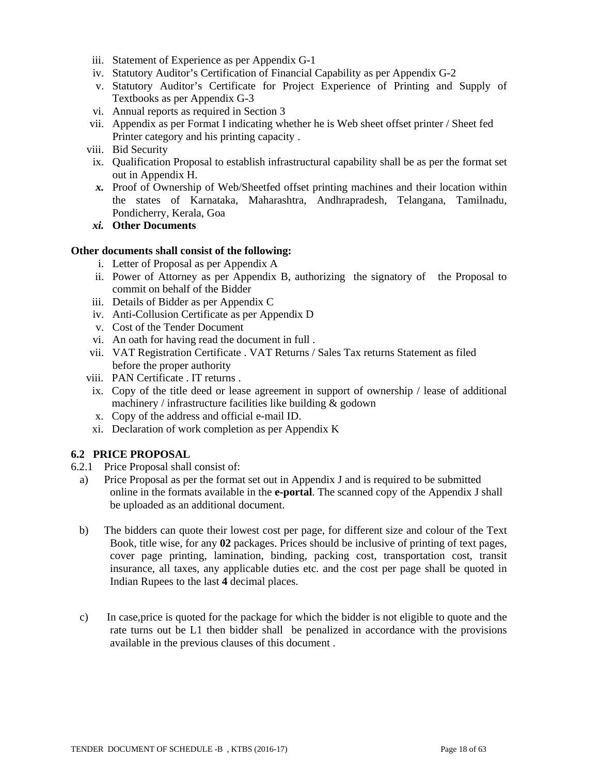- iii. Statement of Experience as per Appendix G-1
- iv. Statutory Auditor's Certification of Financial Capability as per Appendix G-2
- v. Statutory Auditor's Certificate for Project Experience of Printing and Supply of Textbooks as per Appendix G-3
- vi. Annual reports as required in Section 3
- vii. Appendix as per Format I indicating whether he is Web sheet offset printer / Sheet fed Printer category and his printing capacity .
- viii. Bid Security
- ix. Qualification Proposal to establish infrastructural capability shall be as per the format set out in Appendix H.
- *x.* Proof of Ownership of Web/Sheetfed offset printing machines and their location within the states of Karnataka, Maharashtra, Andhrapradesh, Telangana, Tamilnadu, Pondicherry, Kerala, Goa
- *xi.* **Other Documents**

#### **Other documents shall consist of the following:**

- i. Letter of Proposal as per Appendix A
- ii. Power of Attorney as per Appendix B, authorizing the signatory of the Proposal to commit on behalf of the Bidder
- iii. Details of Bidder as per Appendix C
- iv. Anti-Collusion Certificate as per Appendix D
- v. Cost of the Tender Document
- vi. An oath for having read the document in full .
- vii. VAT Registration Certificate . VAT Returns / Sales Tax returns Statement as filed before the proper authority
- viii. PAN Certificate . IT returns .
- ix. Copy of the title deed or lease agreement in support of ownership / lease of additional machinery / infrastructure facilities like building & godown
- x. Copy of the address and official e-mail ID.
- xi. Declaration of work completion as per Appendix K

# **6.2 PRICE PROPOSAL**

- 6.2.1 Price Proposal shall consist of:
	- a) Price Proposal as per the format set out in Appendix J and is required to be submitted online in the formats available in the **e-portal**. The scanned copy of the Appendix J shall be uploaded as an additional document.
	- b) The bidders can quote their lowest cost per page, for different size and colour of the Text Book, title wise, for any **02** packages. Prices should be inclusive of printing of text pages, cover page printing, lamination, binding, packing cost, transportation cost, transit insurance, all taxes, any applicable duties etc. and the cost per page shall be quoted in Indian Rupees to the last **4** decimal places.
	- c) In case,price is quoted for the package for which the bidder is not eligible to quote and the rate turns out be L1 then bidder shall be penalized in accordance with the provisions available in the previous clauses of this document .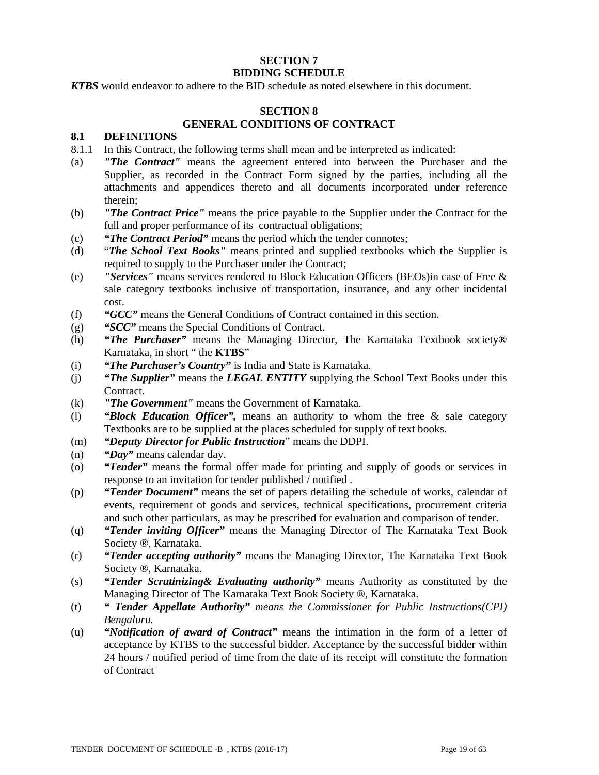#### **SECTION 7 BIDDING SCHEDULE**

*KTBS* would endeavor to adhere to the BID schedule as noted elsewhere in this document.

# **SECTION 8 GENERAL CONDITIONS OF CONTRACT**

# **8.1 DEFINITIONS**

- 8.1.1 In this Contract, the following terms shall mean and be interpreted as indicated:
- (a) *"The Contract"* means the agreement entered into between the Purchaser and the Supplier, as recorded in the Contract Form signed by the parties, including all the attachments and appendices thereto and all documents incorporated under reference therein;
- (b) *"The Contract Price"* means the price payable to the Supplier under the Contract for the full and proper performance of its contractual obligations;
- (c) *"The Contract Period"* means the period which the tender connotes*;*
- (d) "*The School Text Books"* means printed and supplied textbooks which the Supplier is required to supply to the Purchaser under the Contract;
- (e) *"Services"* means services rendered to Block Education Officers (BEOs)in case of Free & sale category textbooks inclusive of transportation, insurance, and any other incidental cost.
- (f) *"GCC"* means the General Conditions of Contract contained in this section.
- (g) *"SCC"* means the Special Conditions of Contract.
- (h) *"The Purchaser"* means the Managing Director, The Karnataka Textbook society® Karnataka, in short " the **KTBS**"
- (i) *"The Purchaser's Country"* is India and State is Karnataka.
- (j) *"The Supplier"* means the *LEGAL ENTITY* supplying the School Text Books under this **Contract**
- (k) *"The Government"* means the Government of Karnataka.
- (l) *"Block Education Officer",* means an authority to whom the free & sale category Textbooks are to be supplied at the places scheduled for supply of text books.
- (m) *"Deputy Director for Public Instruction*" means the DDPI.
- (n) *"Day"* means calendar day.
- (o) *"Tender"* means the formal offer made for printing and supply of goods or services in response to an invitation for tender published / notified .
- (p) *"Tender Document"* means the set of papers detailing the schedule of works, calendar of events, requirement of goods and services, technical specifications, procurement criteria and such other particulars, as may be prescribed for evaluation and comparison of tender.
- (q) *"Tender inviting Officer"* means the Managing Director of The Karnataka Text Book Society ®, Karnataka.
- (r) *"Tender accepting authority"* means the Managing Director, The Karnataka Text Book Society ®, Karnataka.
- (s) *"Tender Scrutinizing& Evaluating authority"* means Authority as constituted by the Managing Director of The Karnataka Text Book Society ®, Karnataka.
- (t) *" Tender Appellate Authority" means the Commissioner for Public Instructions(CPI) Bengaluru.*
- (u) *"Notification of award of Contract"* means the intimation in the form of a letter of acceptance by KTBS to the successful bidder. Acceptance by the successful bidder within 24 hours / notified period of time from the date of its receipt will constitute the formation of Contract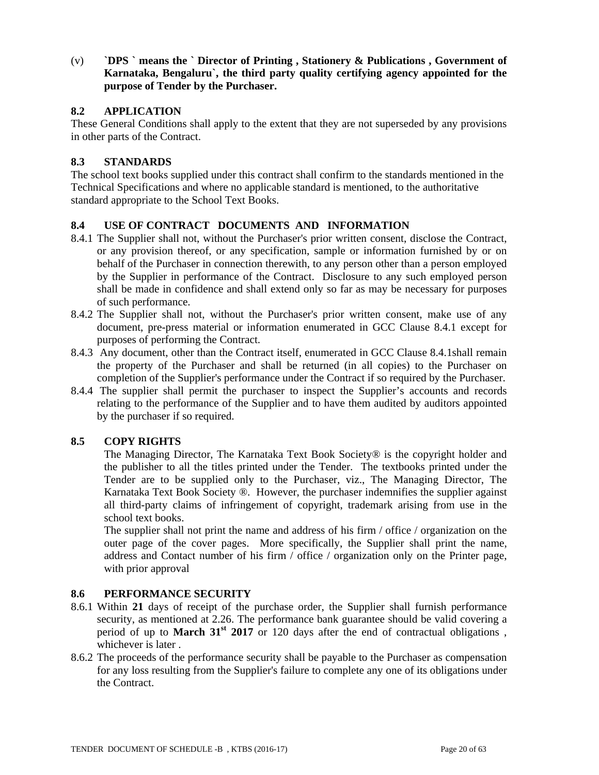(v) **`DPS ` means the ` Director of Printing , Stationery & Publications , Government of Karnataka, Bengaluru`, the third party quality certifying agency appointed for the purpose of Tender by the Purchaser.**

### **8.2 APPLICATION**

These General Conditions shall apply to the extent that they are not superseded by any provisions in other parts of the Contract.

# **8.3 STANDARDS**

The school text books supplied under this contract shall confirm to the standards mentioned in the Technical Specifications and where no applicable standard is mentioned, to the authoritative standard appropriate to the School Text Books.

# **8.4 USE OF CONTRACT DOCUMENTS AND INFORMATION**

- 8.4.1 The Supplier shall not, without the Purchaser's prior written consent, disclose the Contract, or any provision thereof, or any specification, sample or information furnished by or on behalf of the Purchaser in connection therewith, to any person other than a person employed by the Supplier in performance of the Contract. Disclosure to any such employed person shall be made in confidence and shall extend only so far as may be necessary for purposes of such performance.
- 8.4.2 The Supplier shall not, without the Purchaser's prior written consent, make use of any document, pre-press material or information enumerated in GCC Clause 8.4.1 except for purposes of performing the Contract.
- 8.4.3 Any document, other than the Contract itself, enumerated in GCC Clause 8.4.1shall remain the property of the Purchaser and shall be returned (in all copies) to the Purchaser on completion of the Supplier's performance under the Contract if so required by the Purchaser.
- 8.4.4 The supplier shall permit the purchaser to inspect the Supplier's accounts and records relating to the performance of the Supplier and to have them audited by auditors appointed by the purchaser if so required.

# **8.5 COPY RIGHTS**

The Managing Director, The Karnataka Text Book Society® is the copyright holder and the publisher to all the titles printed under the Tender. The textbooks printed under the Tender are to be supplied only to the Purchaser, viz., The Managing Director, The Karnataka Text Book Society ®. However, the purchaser indemnifies the supplier against all third-party claims of infringement of copyright, trademark arising from use in the school text books.

The supplier shall not print the name and address of his firm / office / organization on the outer page of the cover pages. More specifically, the Supplier shall print the name, address and Contact number of his firm / office / organization only on the Printer page, with prior approval

### **8.6 PERFORMANCE SECURITY**

- 8.6.1 Within **21** days of receipt of the purchase order, the Supplier shall furnish performance security, as mentioned at 2.26. The performance bank guarantee should be valid covering a period of up to **March 31<sup>st</sup>** 2017 or 120 days after the end of contractual obligations, whichever is later .
- 8.6.2 The proceeds of the performance security shall be payable to the Purchaser as compensation for any loss resulting from the Supplier's failure to complete any one of its obligations under the Contract.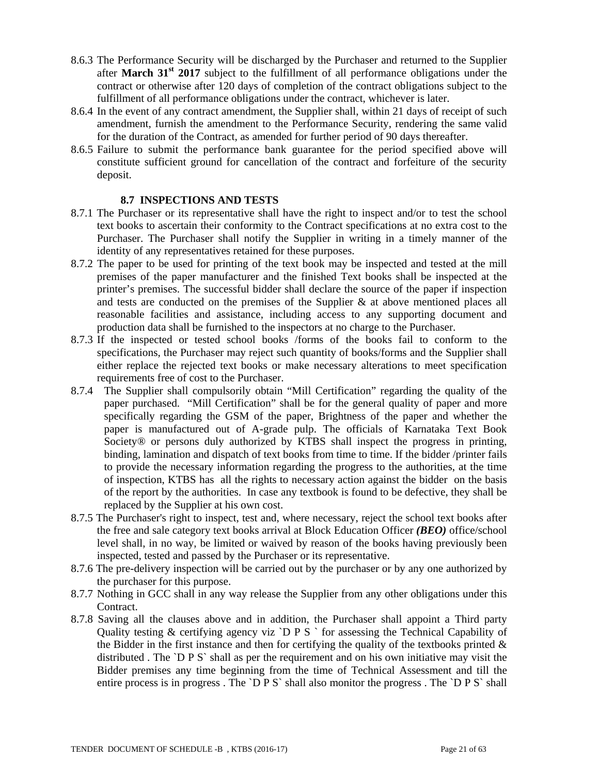- 8.6.3 The Performance Security will be discharged by the Purchaser and returned to the Supplier after **March 31st 2017** subject to the fulfillment of all performance obligations under the contract or otherwise after 120 days of completion of the contract obligations subject to the fulfillment of all performance obligations under the contract, whichever is later.
- 8.6.4 In the event of any contract amendment, the Supplier shall, within 21 days of receipt of such amendment, furnish the amendment to the Performance Security, rendering the same valid for the duration of the Contract, as amended for further period of 90 days thereafter.
- 8.6.5 Failure to submit the performance bank guarantee for the period specified above will constitute sufficient ground for cancellation of the contract and forfeiture of the security deposit.

### **8.7 INSPECTIONS AND TESTS**

- 8.7.1 The Purchaser or its representative shall have the right to inspect and/or to test the school text books to ascertain their conformity to the Contract specifications at no extra cost to the Purchaser. The Purchaser shall notify the Supplier in writing in a timely manner of the identity of any representatives retained for these purposes.
- 8.7.2 The paper to be used for printing of the text book may be inspected and tested at the mill premises of the paper manufacturer and the finished Text books shall be inspected at the printer's premises. The successful bidder shall declare the source of the paper if inspection and tests are conducted on the premises of the Supplier & at above mentioned places all reasonable facilities and assistance, including access to any supporting document and production data shall be furnished to the inspectors at no charge to the Purchaser.
- 8.7.3 If the inspected or tested school books /forms of the books fail to conform to the specifications, the Purchaser may reject such quantity of books/forms and the Supplier shall either replace the rejected text books or make necessary alterations to meet specification requirements free of cost to the Purchaser.
- 8.7.4 The Supplier shall compulsorily obtain "Mill Certification" regarding the quality of the paper purchased. "Mill Certification" shall be for the general quality of paper and more specifically regarding the GSM of the paper, Brightness of the paper and whether the paper is manufactured out of A-grade pulp. The officials of Karnataka Text Book Society® or persons duly authorized by KTBS shall inspect the progress in printing, binding, lamination and dispatch of text books from time to time. If the bidder /printer fails to provide the necessary information regarding the progress to the authorities, at the time of inspection, KTBS has all the rights to necessary action against the bidder on the basis of the report by the authorities. In case any textbook is found to be defective, they shall be replaced by the Supplier at his own cost.
- 8.7.5 The Purchaser's right to inspect, test and, where necessary, reject the school text books after the free and sale category text books arrival at Block Education Officer *(BEO)* office/school level shall, in no way, be limited or waived by reason of the books having previously been inspected, tested and passed by the Purchaser or its representative.
- 8.7.6 The pre-delivery inspection will be carried out by the purchaser or by any one authorized by the purchaser for this purpose.
- 8.7.7 Nothing in GCC shall in any way release the Supplier from any other obligations under this Contract.
- 8.7.8 Saving all the clauses above and in addition, the Purchaser shall appoint a Third party Quality testing & certifying agency viz `D P S ` for assessing the Technical Capability of the Bidder in the first instance and then for certifying the quality of the textbooks printed  $\&$ distributed . The `D P S` shall as per the requirement and on his own initiative may visit the Bidder premises any time beginning from the time of Technical Assessment and till the entire process is in progress. The `D P S` shall also monitor the progress. The `D P S` shall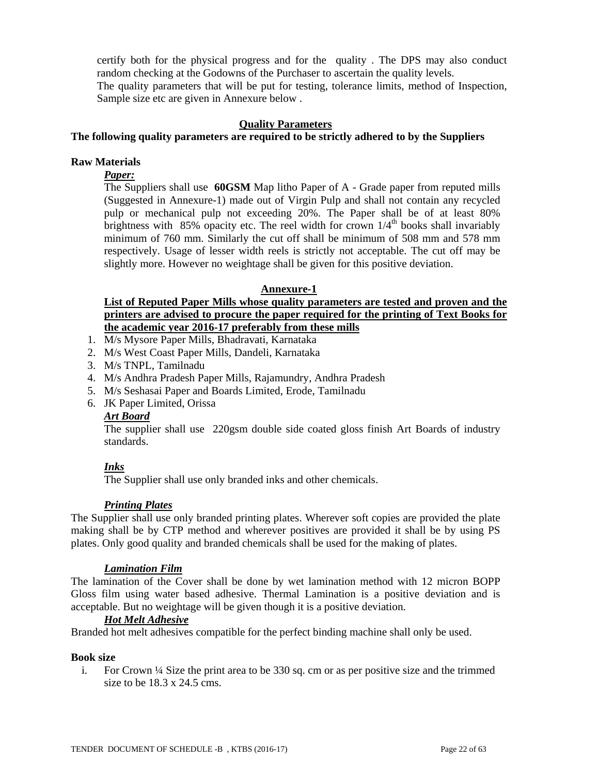certify both for the physical progress and for the quality . The DPS may also conduct random checking at the Godowns of the Purchaser to ascertain the quality levels. The quality parameters that will be put for testing, tolerance limits, method of Inspection, Sample size etc are given in Annexure below .

#### **Quality Parameters**

#### **The following quality parameters are required to be strictly adhered to by the Suppliers**

#### **Raw Materials**

# *Paper:*

The Suppliers shall use **60GSM** Map litho Paper of A - Grade paper from reputed mills (Suggested in Annexure-1) made out of Virgin Pulp and shall not contain any recycled pulp or mechanical pulp not exceeding 20%. The Paper shall be of at least 80% brightness with 85% opacity etc. The reel width for crown  $1/4<sup>th</sup>$  books shall invariably minimum of 760 mm. Similarly the cut off shall be minimum of 508 mm and 578 mm respectively. Usage of lesser width reels is strictly not acceptable. The cut off may be slightly more. However no weightage shall be given for this positive deviation.

#### **Annexure-1**

# **List of Reputed Paper Mills whose quality parameters are tested and proven and the printers are advised to procure the paper required for the printing of Text Books for the academic year 2016-17 preferably from these mills**

- 1. M/s Mysore Paper Mills, Bhadravati, Karnataka
- 2. M/s West Coast Paper Mills, Dandeli, Karnataka
- 3. M/s TNPL, Tamilnadu
- 4. M/s Andhra Pradesh Paper Mills, Rajamundry, Andhra Pradesh
- 5. M/s Seshasai Paper and Boards Limited, Erode, Tamilnadu
- 6. JK Paper Limited, Orissa

#### *Art Board*

The supplier shall use 220gsm double side coated gloss finish Art Boards of industry standards.

### *Inks*

The Supplier shall use only branded inks and other chemicals.

### *Printing Plates*

The Supplier shall use only branded printing plates. Wherever soft copies are provided the plate making shall be by CTP method and wherever positives are provided it shall be by using PS plates. Only good quality and branded chemicals shall be used for the making of plates.

#### *Lamination Film*

The lamination of the Cover shall be done by wet lamination method with 12 micron BOPP Gloss film using water based adhesive. Thermal Lamination is a positive deviation and is acceptable. But no weightage will be given though it is a positive deviation.

### *Hot Melt Adhesive*

Branded hot melt adhesives compatible for the perfect binding machine shall only be used.

#### **Book size**

i. For Crown ¼ Size the print area to be 330 sq. cm or as per positive size and the trimmed size to be 18.3 x 24.5 cms.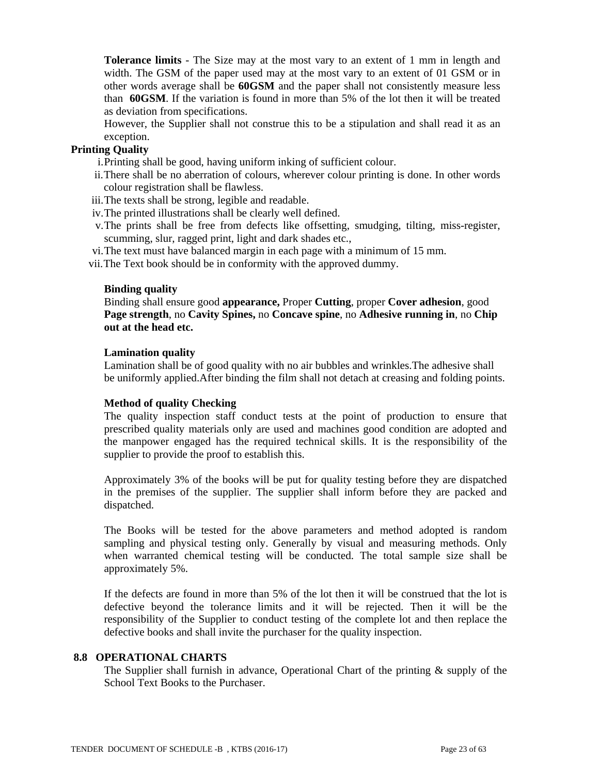**Tolerance limits** - The Size may at the most vary to an extent of 1 mm in length and width. The GSM of the paper used may at the most vary to an extent of 01 GSM or in other words average shall be **60GSM** and the paper shall not consistently measure less than **60GSM**. If the variation is found in more than 5% of the lot then it will be treated as deviation from specifications.

However, the Supplier shall not construe this to be a stipulation and shall read it as an exception.

### **Printing Quality**

i.Printing shall be good, having uniform inking of sufficient colour.

- ii.There shall be no aberration of colours, wherever colour printing is done. In other words colour registration shall be flawless.
- iii.The texts shall be strong, legible and readable.
- iv.The printed illustrations shall be clearly well defined.
- v.The prints shall be free from defects like offsetting, smudging, tilting, miss-register, scumming, slur, ragged print, light and dark shades etc.,
- vi.The text must have balanced margin in each page with a minimum of 15 mm.

vii.The Text book should be in conformity with the approved dummy.

#### **Binding quality**

Binding shall ensure good **appearance,** Proper **Cutting**, proper **Cover adhesion**, good **Page strength**, no **Cavity Spines,** no **Concave spine**, no **Adhesive running in**, no **Chip out at the head etc.** 

#### **Lamination quality**

Lamination shall be of good quality with no air bubbles and wrinkles.The adhesive shall be uniformly applied.After binding the film shall not detach at creasing and folding points.

#### **Method of quality Checking**

The quality inspection staff conduct tests at the point of production to ensure that prescribed quality materials only are used and machines good condition are adopted and the manpower engaged has the required technical skills. It is the responsibility of the supplier to provide the proof to establish this.

Approximately 3% of the books will be put for quality testing before they are dispatched in the premises of the supplier. The supplier shall inform before they are packed and dispatched.

The Books will be tested for the above parameters and method adopted is random sampling and physical testing only. Generally by visual and measuring methods. Only when warranted chemical testing will be conducted. The total sample size shall be approximately 5%.

If the defects are found in more than 5% of the lot then it will be construed that the lot is defective beyond the tolerance limits and it will be rejected. Then it will be the responsibility of the Supplier to conduct testing of the complete lot and then replace the defective books and shall invite the purchaser for the quality inspection.

#### **8.8 OPERATIONAL CHARTS**

The Supplier shall furnish in advance, Operational Chart of the printing & supply of the School Text Books to the Purchaser.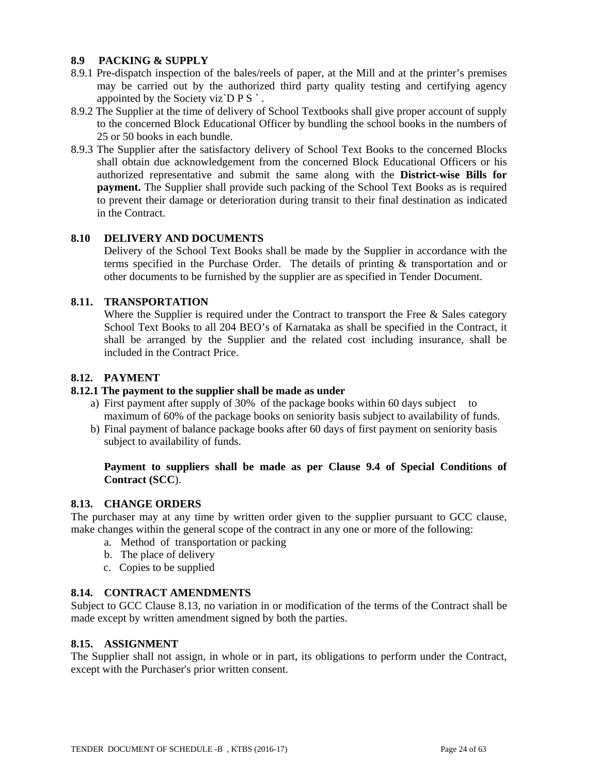# **8.9 PACKING & SUPPLY**

- 8.9.1 Pre-dispatch inspection of the bales/reels of paper, at the Mill and at the printer's premises may be carried out by the authorized third party quality testing and certifying agency appointed by the Society viz $\overline{D} P S$ .
- 8.9.2 The Supplier at the time of delivery of School Textbooks shall give proper account of supply to the concerned Block Educational Officer by bundling the school books in the numbers of 25 or 50 books in each bundle.
- 8.9.3 The Supplier after the satisfactory delivery of School Text Books to the concerned Blocks shall obtain due acknowledgement from the concerned Block Educational Officers or his authorized representative and submit the same along with the **District-wise Bills for payment.** The Supplier shall provide such packing of the School Text Books as is required to prevent their damage or deterioration during transit to their final destination as indicated in the Contract.

# **8.10 DELIVERY AND DOCUMENTS**

Delivery of the School Text Books shall be made by the Supplier in accordance with the terms specified in the Purchase Order. The details of printing & transportation and or other documents to be furnished by the supplier are as specified in Tender Document.

# **8.11. TRANSPORTATION**

Where the Supplier is required under the Contract to transport the Free  $\&$  Sales category School Text Books to all 204 BEO's of Karnataka as shall be specified in the Contract, it shall be arranged by the Supplier and the related cost including insurance, shall be included in the Contract Price.

### **8.12. PAYMENT**

### **8.12.1 The payment to the supplier shall be made as under**

- a) First payment after supply of 30% of the package books within 60 days subject to maximum of 60% of the package books on seniority basis subject to availability of funds.
- b) Final payment of balance package books after 60 days of first payment on seniority basis subject to availability of funds.

# **Payment to suppliers shall be made as per Clause 9.4 of Special Conditions of Contract (SCC**).

### **8.13. CHANGE ORDERS**

The purchaser may at any time by written order given to the supplier pursuant to GCC clause, make changes within the general scope of the contract in any one or more of the following:

- a. Method of transportation or packing
- b. The place of delivery
- c. Copies to be supplied

### **8.14. CONTRACT AMENDMENTS**

Subject to GCC Clause 8.13, no variation in or modification of the terms of the Contract shall be made except by written amendment signed by both the parties.

### **8.15. ASSIGNMENT**

The Supplier shall not assign, in whole or in part, its obligations to perform under the Contract, except with the Purchaser's prior written consent.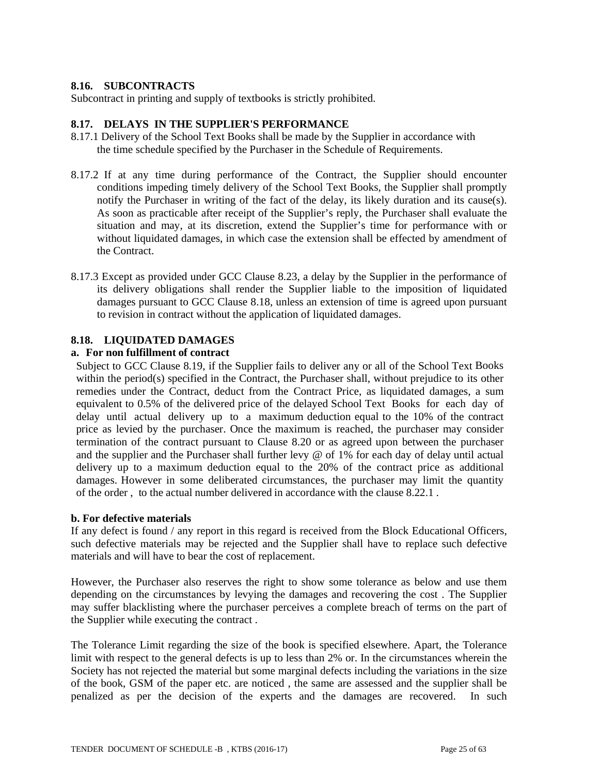# **8.16. SUBCONTRACTS**

Subcontract in printing and supply of textbooks is strictly prohibited.

### **8.17. DELAYS IN THE SUPPLIER'S PERFORMANCE**

- 8.17.1 Delivery of the School Text Books shall be made by the Supplier in accordance with the time schedule specified by the Purchaser in the Schedule of Requirements.
- 8.17.2 If at any time during performance of the Contract, the Supplier should encounter conditions impeding timely delivery of the School Text Books, the Supplier shall promptly notify the Purchaser in writing of the fact of the delay, its likely duration and its cause(s). As soon as practicable after receipt of the Supplier's reply, the Purchaser shall evaluate the situation and may, at its discretion, extend the Supplier's time for performance with or without liquidated damages, in which case the extension shall be effected by amendment of the Contract.
- 8.17.3 Except as provided under GCC Clause 8.23, a delay by the Supplier in the performance of its delivery obligations shall render the Supplier liable to the imposition of liquidated damages pursuant to GCC Clause 8.18, unless an extension of time is agreed upon pursuant to revision in contract without the application of liquidated damages.

### **8.18. LIQUIDATED DAMAGES**

#### **a. For non fulfillment of contract**

Subject to GCC Clause 8.19, if the Supplier fails to deliver any or all of the School Text Books within the period(s) specified in the Contract, the Purchaser shall, without prejudice to its other remedies under the Contract, deduct from the Contract Price, as liquidated damages, a sum equivalent to 0.5% of the delivered price of the delayed School Text Books for each day of delay until actual delivery up to a maximum deduction equal to the 10% of the contract price as levied by the purchaser. Once the maximum is reached, the purchaser may consider termination of the contract pursuant to Clause 8.20 or as agreed upon between the purchaser and the supplier and the Purchaser shall further levy @ of 1% for each day of delay until actual delivery up to a maximum deduction equal to the 20% of the contract price as additional damages. However in some deliberated circumstances, the purchaser may limit the quantity of the order , to the actual number delivered in accordance with the clause 8.22.1 .

#### **b. For defective materials**

If any defect is found / any report in this regard is received from the Block Educational Officers, such defective materials may be rejected and the Supplier shall have to replace such defective materials and will have to bear the cost of replacement.

However, the Purchaser also reserves the right to show some tolerance as below and use them depending on the circumstances by levying the damages and recovering the cost . The Supplier may suffer blacklisting where the purchaser perceives a complete breach of terms on the part of the Supplier while executing the contract .

The Tolerance Limit regarding the size of the book is specified elsewhere. Apart, the Tolerance limit with respect to the general defects is up to less than 2% or. In the circumstances wherein the Society has not rejected the material but some marginal defects including the variations in the size of the book, GSM of the paper etc. are noticed , the same are assessed and the supplier shall be penalized as per the decision of the experts and the damages are recovered. In such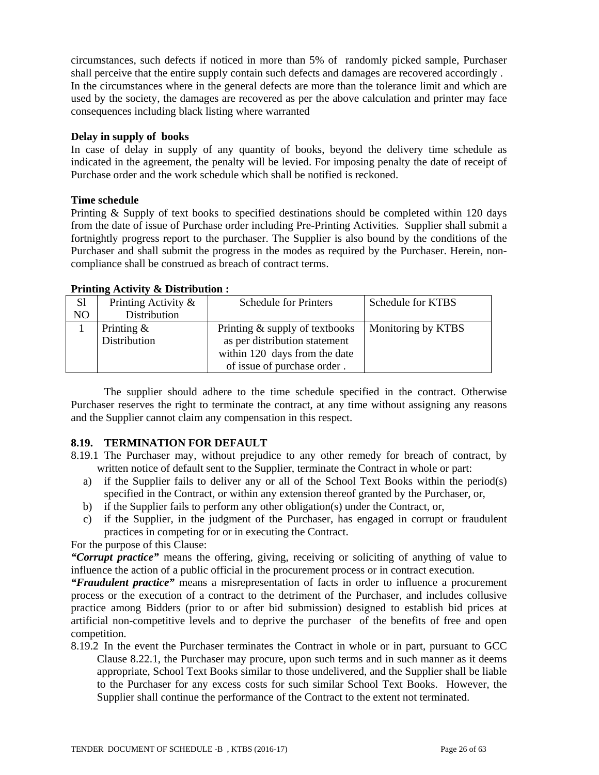circumstances, such defects if noticed in more than 5% of randomly picked sample, Purchaser shall perceive that the entire supply contain such defects and damages are recovered accordingly . In the circumstances where in the general defects are more than the tolerance limit and which are used by the society, the damages are recovered as per the above calculation and printer may face consequences including black listing where warranted

#### **Delay in supply of books**

In case of delay in supply of any quantity of books, beyond the delivery time schedule as indicated in the agreement, the penalty will be levied. For imposing penalty the date of receipt of Purchase order and the work schedule which shall be notified is reckoned.

#### **Time schedule**

Printing & Supply of text books to specified destinations should be completed within 120 days from the date of issue of Purchase order including Pre-Printing Activities. Supplier shall submit a fortnightly progress report to the purchaser. The Supplier is also bound by the conditions of the Purchaser and shall submit the progress in the modes as required by the Purchaser. Herein, noncompliance shall be construed as breach of contract terms.

### **Printing Activity & Distribution :**

| S <sub>1</sub> | Printing Activity & | <b>Schedule for Printers</b>   | Schedule for KTBS  |
|----------------|---------------------|--------------------------------|--------------------|
| N <sub>O</sub> | Distribution        |                                |                    |
|                | Printing $\&$       | Printing & supply of textbooks | Monitoring by KTBS |
|                | Distribution        | as per distribution statement  |                    |
|                |                     | within 120 days from the date  |                    |
|                |                     | of issue of purchase order.    |                    |

 The supplier should adhere to the time schedule specified in the contract. Otherwise Purchaser reserves the right to terminate the contract, at any time without assigning any reasons and the Supplier cannot claim any compensation in this respect.

### **8.19. TERMINATION FOR DEFAULT**

- 8.19.1 The Purchaser may, without prejudice to any other remedy for breach of contract, by written notice of default sent to the Supplier, terminate the Contract in whole or part:
	- a) if the Supplier fails to deliver any or all of the School Text Books within the period(s) specified in the Contract, or within any extension thereof granted by the Purchaser, or,
	- b) if the Supplier fails to perform any other obligation(s) under the Contract, or,
	- c) if the Supplier, in the judgment of the Purchaser, has engaged in corrupt or fraudulent practices in competing for or in executing the Contract.

# For the purpose of this Clause:

*"Corrupt practice"* means the offering, giving, receiving or soliciting of anything of value to influence the action of a public official in the procurement process or in contract execution.

*"Fraudulent practice"* means a misrepresentation of facts in order to influence a procurement process or the execution of a contract to the detriment of the Purchaser, and includes collusive practice among Bidders (prior to or after bid submission) designed to establish bid prices at artificial non-competitive levels and to deprive the purchaser of the benefits of free and open competition.

8.19.2 In the event the Purchaser terminates the Contract in whole or in part, pursuant to GCC Clause 8.22.1, the Purchaser may procure, upon such terms and in such manner as it deems appropriate, School Text Books similar to those undelivered, and the Supplier shall be liable to the Purchaser for any excess costs for such similar School Text Books. However, the Supplier shall continue the performance of the Contract to the extent not terminated.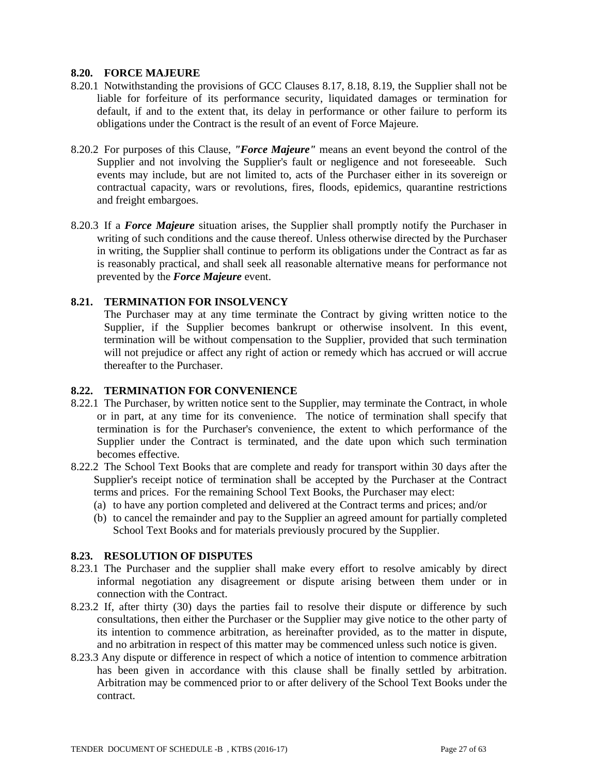#### **8.20. FORCE MAJEURE**

- 8.20.1 Notwithstanding the provisions of GCC Clauses 8.17, 8.18, 8.19, the Supplier shall not be liable for forfeiture of its performance security, liquidated damages or termination for default, if and to the extent that, its delay in performance or other failure to perform its obligations under the Contract is the result of an event of Force Majeure.
- 8.20.2 For purposes of this Clause, *"Force Majeure"* means an event beyond the control of the Supplier and not involving the Supplier's fault or negligence and not foreseeable. Such events may include, but are not limited to, acts of the Purchaser either in its sovereign or contractual capacity, wars or revolutions, fires, floods, epidemics, quarantine restrictions and freight embargoes.
- 8.20.3 If a *Force Majeure* situation arises, the Supplier shall promptly notify the Purchaser in writing of such conditions and the cause thereof. Unless otherwise directed by the Purchaser in writing, the Supplier shall continue to perform its obligations under the Contract as far as is reasonably practical, and shall seek all reasonable alternative means for performance not prevented by the *Force Majeure* event.

### **8.21. TERMINATION FOR INSOLVENCY**

The Purchaser may at any time terminate the Contract by giving written notice to the Supplier, if the Supplier becomes bankrupt or otherwise insolvent. In this event, termination will be without compensation to the Supplier, provided that such termination will not prejudice or affect any right of action or remedy which has accrued or will accrue thereafter to the Purchaser.

### **8.22. TERMINATION FOR CONVENIENCE**

- 8.22.1 The Purchaser, by written notice sent to the Supplier, may terminate the Contract, in whole or in part, at any time for its convenience. The notice of termination shall specify that termination is for the Purchaser's convenience, the extent to which performance of the Supplier under the Contract is terminated, and the date upon which such termination becomes effective.
- 8.22.2 The School Text Books that are complete and ready for transport within 30 days after the Supplier's receipt notice of termination shall be accepted by the Purchaser at the Contract terms and prices. For the remaining School Text Books, the Purchaser may elect:
	- (a) to have any portion completed and delivered at the Contract terms and prices; and/or
	- (b) to cancel the remainder and pay to the Supplier an agreed amount for partially completed School Text Books and for materials previously procured by the Supplier.

### **8.23. RESOLUTION OF DISPUTES**

- 8.23.1 The Purchaser and the supplier shall make every effort to resolve amicably by direct informal negotiation any disagreement or dispute arising between them under or in connection with the Contract.
- 8.23.2 If, after thirty (30) days the parties fail to resolve their dispute or difference by such consultations, then either the Purchaser or the Supplier may give notice to the other party of its intention to commence arbitration, as hereinafter provided, as to the matter in dispute, and no arbitration in respect of this matter may be commenced unless such notice is given.
- 8.23.3 Any dispute or difference in respect of which a notice of intention to commence arbitration has been given in accordance with this clause shall be finally settled by arbitration. Arbitration may be commenced prior to or after delivery of the School Text Books under the contract.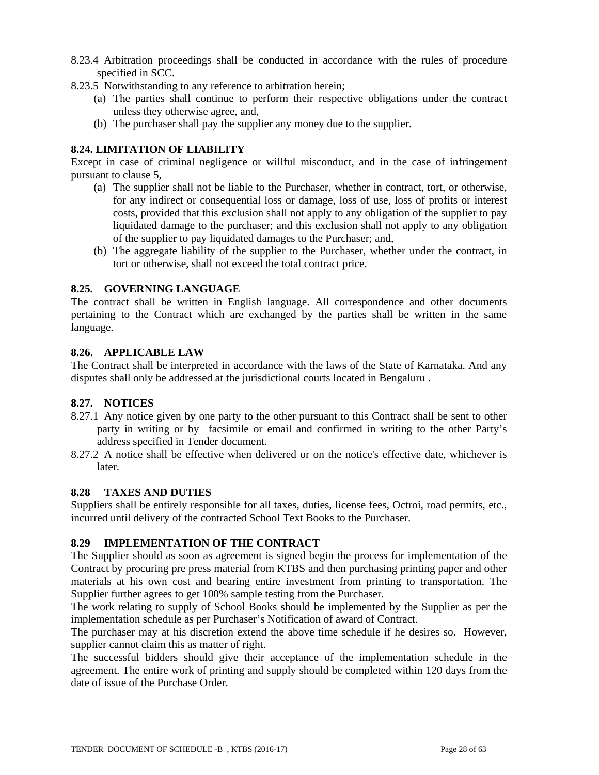- 8.23.4 Arbitration proceedings shall be conducted in accordance with the rules of procedure specified in SCC.
- 8.23.5 Notwithstanding to any reference to arbitration herein;
	- (a) The parties shall continue to perform their respective obligations under the contract unless they otherwise agree, and,
	- (b) The purchaser shall pay the supplier any money due to the supplier.

# **8.24. LIMITATION OF LIABILITY**

Except in case of criminal negligence or willful misconduct, and in the case of infringement pursuant to clause 5,

- (a) The supplier shall not be liable to the Purchaser, whether in contract, tort, or otherwise, for any indirect or consequential loss or damage, loss of use, loss of profits or interest costs, provided that this exclusion shall not apply to any obligation of the supplier to pay liquidated damage to the purchaser; and this exclusion shall not apply to any obligation of the supplier to pay liquidated damages to the Purchaser; and,
- (b) The aggregate liability of the supplier to the Purchaser, whether under the contract, in tort or otherwise, shall not exceed the total contract price.

### **8.25. GOVERNING LANGUAGE**

The contract shall be written in English language. All correspondence and other documents pertaining to the Contract which are exchanged by the parties shall be written in the same language.

### **8.26. APPLICABLE LAW**

The Contract shall be interpreted in accordance with the laws of the State of Karnataka. And any disputes shall only be addressed at the jurisdictional courts located in Bengaluru .

# **8.27. NOTICES**

- 8.27.1 Any notice given by one party to the other pursuant to this Contract shall be sent to other party in writing or by facsimile or email and confirmed in writing to the other Party's address specified in Tender document.
- 8.27.2 A notice shall be effective when delivered or on the notice's effective date, whichever is later.

### **8.28 TAXES AND DUTIES**

Suppliers shall be entirely responsible for all taxes, duties, license fees, Octroi, road permits, etc., incurred until delivery of the contracted School Text Books to the Purchaser.

### **8.29 IMPLEMENTATION OF THE CONTRACT**

The Supplier should as soon as agreement is signed begin the process for implementation of the Contract by procuring pre press material from KTBS and then purchasing printing paper and other materials at his own cost and bearing entire investment from printing to transportation. The Supplier further agrees to get 100% sample testing from the Purchaser.

The work relating to supply of School Books should be implemented by the Supplier as per the implementation schedule as per Purchaser's Notification of award of Contract.

The purchaser may at his discretion extend the above time schedule if he desires so. However, supplier cannot claim this as matter of right.

The successful bidders should give their acceptance of the implementation schedule in the agreement. The entire work of printing and supply should be completed within 120 days from the date of issue of the Purchase Order.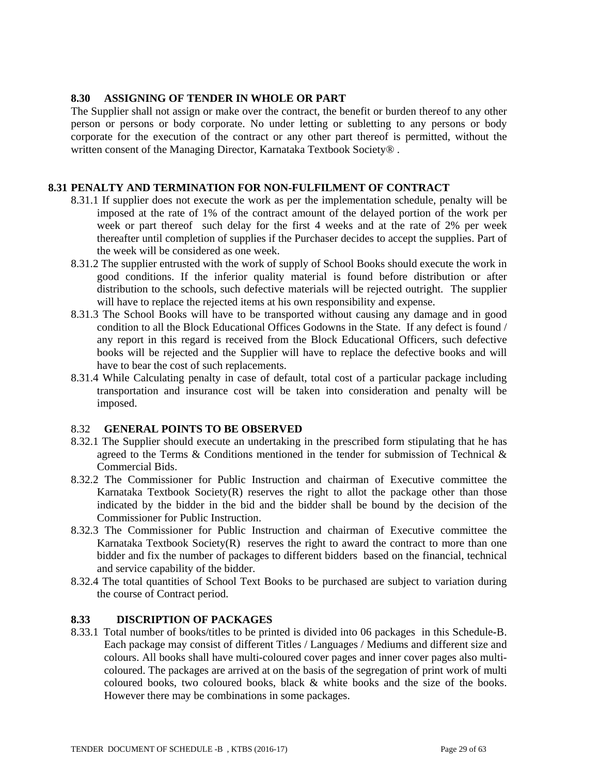#### **8.30 ASSIGNING OF TENDER IN WHOLE OR PART**

The Supplier shall not assign or make over the contract, the benefit or burden thereof to any other person or persons or body corporate. No under letting or subletting to any persons or body corporate for the execution of the contract or any other part thereof is permitted, without the written consent of the Managing Director, Karnataka Textbook Society<sup>®</sup>.

#### **8.31 PENALTY AND TERMINATION FOR NON-FULFILMENT OF CONTRACT**

- 8.31.1 If supplier does not execute the work as per the implementation schedule, penalty will be imposed at the rate of 1% of the contract amount of the delayed portion of the work per week or part thereof such delay for the first 4 weeks and at the rate of 2% per week thereafter until completion of supplies if the Purchaser decides to accept the supplies. Part of the week will be considered as one week.
- 8.31.2 The supplier entrusted with the work of supply of School Books should execute the work in good conditions. If the inferior quality material is found before distribution or after distribution to the schools, such defective materials will be rejected outright. The supplier will have to replace the rejected items at his own responsibility and expense.
- 8.31.3 The School Books will have to be transported without causing any damage and in good condition to all the Block Educational Offices Godowns in the State. If any defect is found / any report in this regard is received from the Block Educational Officers, such defective books will be rejected and the Supplier will have to replace the defective books and will have to bear the cost of such replacements.
- 8.31.4 While Calculating penalty in case of default, total cost of a particular package including transportation and insurance cost will be taken into consideration and penalty will be imposed.

### 8.32 **GENERAL POINTS TO BE OBSERVED**

- 8.32.1 The Supplier should execute an undertaking in the prescribed form stipulating that he has agreed to the Terms & Conditions mentioned in the tender for submission of Technical & Commercial Bids.
- 8.32.2 The Commissioner for Public Instruction and chairman of Executive committee the Karnataka Textbook Society $(R)$  reserves the right to allot the package other than those indicated by the bidder in the bid and the bidder shall be bound by the decision of the Commissioner for Public Instruction.
- 8.32.3 The Commissioner for Public Instruction and chairman of Executive committee the Karnataka Textbook Society $(R)$  reserves the right to award the contract to more than one bidder and fix the number of packages to different bidders based on the financial, technical and service capability of the bidder.
- 8.32.4 The total quantities of School Text Books to be purchased are subject to variation during the course of Contract period.

### **8.33 DISCRIPTION OF PACKAGES**

8.33.1 Total number of books/titles to be printed is divided into 06 packages in this Schedule-B. Each package may consist of different Titles / Languages / Mediums and different size and colours. All books shall have multi-coloured cover pages and inner cover pages also multicoloured. The packages are arrived at on the basis of the segregation of print work of multi coloured books, two coloured books, black & white books and the size of the books. However there may be combinations in some packages.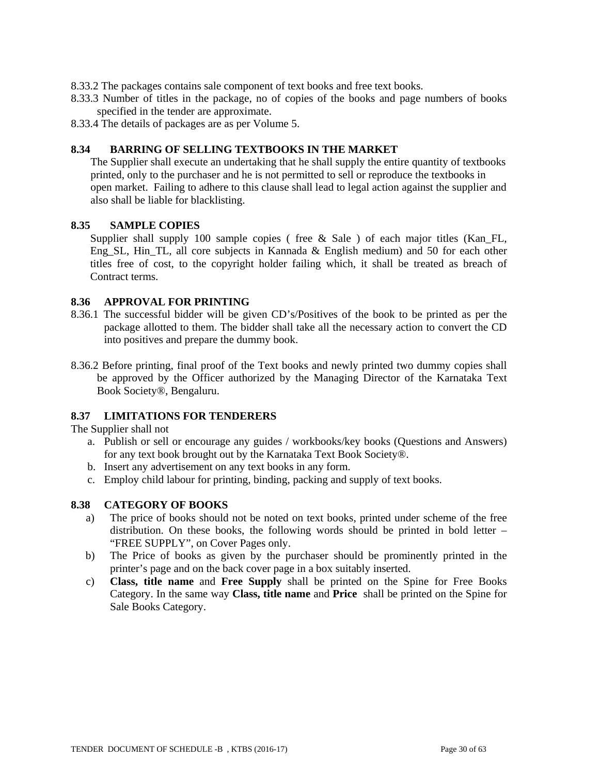- 8.33.2 The packages contains sale component of text books and free text books.
- 8.33.3 Number of titles in the package, no of copies of the books and page numbers of books specified in the tender are approximate.
- 8.33.4 The details of packages are as per Volume 5.

#### **8.34 BARRING OF SELLING TEXTBOOKS IN THE MARKET**

The Supplier shall execute an undertaking that he shall supply the entire quantity of textbooks printed, only to the purchaser and he is not permitted to sell or reproduce the textbooks in open market. Failing to adhere to this clause shall lead to legal action against the supplier and also shall be liable for blacklisting.

#### **8.35 SAMPLE COPIES**

Supplier shall supply 100 sample copies ( free & Sale ) of each major titles (Kan\_FL, Eng\_SL, Hin\_TL, all core subjects in Kannada & English medium) and 50 for each other titles free of cost, to the copyright holder failing which, it shall be treated as breach of Contract terms.

### **8.36 APPROVAL FOR PRINTING**

- 8.36.1 The successful bidder will be given CD's/Positives of the book to be printed as per the package allotted to them. The bidder shall take all the necessary action to convert the CD into positives and prepare the dummy book.
- 8.36.2 Before printing, final proof of the Text books and newly printed two dummy copies shall be approved by the Officer authorized by the Managing Director of the Karnataka Text Book Society®, Bengaluru.

### **8.37 LIMITATIONS FOR TENDERERS**

The Supplier shall not

- a. Publish or sell or encourage any guides / workbooks/key books (Questions and Answers) for any text book brought out by the Karnataka Text Book Society®.
- b. Insert any advertisement on any text books in any form.
- c. Employ child labour for printing, binding, packing and supply of text books.

### **8.38 CATEGORY OF BOOKS**

- a) The price of books should not be noted on text books, printed under scheme of the free distribution. On these books, the following words should be printed in bold letter – "FREE SUPPLY", on Cover Pages only.
- b) The Price of books as given by the purchaser should be prominently printed in the printer's page and on the back cover page in a box suitably inserted.
- c) **Class, title name** and **Free Supply** shall be printed on the Spine for Free Books Category. In the same way **Class, title name** and **Price** shall be printed on the Spine for Sale Books Category.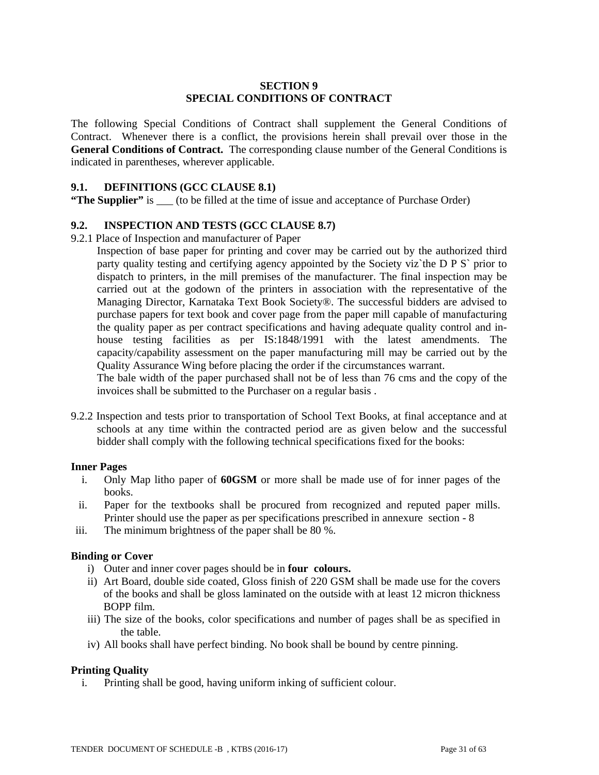### **SECTION 9 SPECIAL CONDITIONS OF CONTRACT**

The following Special Conditions of Contract shall supplement the General Conditions of Contract. Whenever there is a conflict, the provisions herein shall prevail over those in the **General Conditions of Contract.** The corresponding clause number of the General Conditions is indicated in parentheses, wherever applicable.

#### **9.1. DEFINITIONS (GCC CLAUSE 8.1)**

**"The Supplier"** is (to be filled at the time of issue and acceptance of Purchase Order)

### **9.2. INSPECTION AND TESTS (GCC CLAUSE 8.7)**

9.2.1 Place of Inspection and manufacturer of Paper

Inspection of base paper for printing and cover may be carried out by the authorized third party quality testing and certifying agency appointed by the Society viz`the D P S` prior to dispatch to printers, in the mill premises of the manufacturer. The final inspection may be carried out at the godown of the printers in association with the representative of the Managing Director, Karnataka Text Book Society®. The successful bidders are advised to purchase papers for text book and cover page from the paper mill capable of manufacturing the quality paper as per contract specifications and having adequate quality control and inhouse testing facilities as per IS:1848/1991 with the latest amendments. The capacity/capability assessment on the paper manufacturing mill may be carried out by the Quality Assurance Wing before placing the order if the circumstances warrant.

The bale width of the paper purchased shall not be of less than 76 cms and the copy of the invoices shall be submitted to the Purchaser on a regular basis .

9.2.2 Inspection and tests prior to transportation of School Text Books, at final acceptance and at schools at any time within the contracted period are as given below and the successful bidder shall comply with the following technical specifications fixed for the books:

#### **Inner Pages**

- i. Only Map litho paper of **60GSM** or more shall be made use of for inner pages of the books.
- ii. Paper for the textbooks shall be procured from recognized and reputed paper mills. Printer should use the paper as per specifications prescribed in annexure section - 8
- iii. The minimum brightness of the paper shall be 80 %.

#### **Binding or Cover**

- i) Outer and inner cover pages should be in **four colours.**
- ii) Art Board, double side coated, Gloss finish of 220 GSM shall be made use for the covers of the books and shall be gloss laminated on the outside with at least 12 micron thickness BOPP film.
- iii) The size of the books, color specifications and number of pages shall be as specified in the table.
- iv) All books shall have perfect binding. No book shall be bound by centre pinning.

### **Printing Quality**

i. Printing shall be good, having uniform inking of sufficient colour.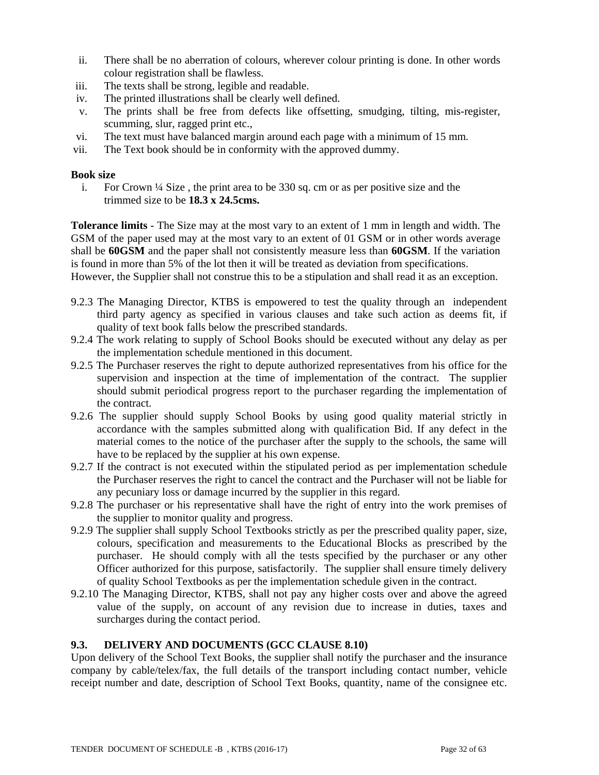- ii. There shall be no aberration of colours, wherever colour printing is done. In other words colour registration shall be flawless.
- iii. The texts shall be strong, legible and readable.
- iv. The printed illustrations shall be clearly well defined.
- v. The prints shall be free from defects like offsetting, smudging, tilting, mis-register, scumming, slur, ragged print etc.,
- vi. The text must have balanced margin around each page with a minimum of 15 mm.
- vii. The Text book should be in conformity with the approved dummy.

### **Book size**

i. For Crown ¼ Size , the print area to be 330 sq. cm or as per positive size and the trimmed size to be **18.3 x 24.5cms.**

**Tolerance limits** - The Size may at the most vary to an extent of 1 mm in length and width. The GSM of the paper used may at the most vary to an extent of 01 GSM or in other words average shall be **60GSM** and the paper shall not consistently measure less than **60GSM**. If the variation is found in more than 5% of the lot then it will be treated as deviation from specifications.

However, the Supplier shall not construe this to be a stipulation and shall read it as an exception.

- 9.2.3 The Managing Director, KTBS is empowered to test the quality through an independent third party agency as specified in various clauses and take such action as deems fit, if quality of text book falls below the prescribed standards.
- 9.2.4 The work relating to supply of School Books should be executed without any delay as per the implementation schedule mentioned in this document.
- 9.2.5 The Purchaser reserves the right to depute authorized representatives from his office for the supervision and inspection at the time of implementation of the contract. The supplier should submit periodical progress report to the purchaser regarding the implementation of the contract.
- 9.2.6 The supplier should supply School Books by using good quality material strictly in accordance with the samples submitted along with qualification Bid. If any defect in the material comes to the notice of the purchaser after the supply to the schools, the same will have to be replaced by the supplier at his own expense.
- 9.2.7 If the contract is not executed within the stipulated period as per implementation schedule the Purchaser reserves the right to cancel the contract and the Purchaser will not be liable for any pecuniary loss or damage incurred by the supplier in this regard.
- 9.2.8 The purchaser or his representative shall have the right of entry into the work premises of the supplier to monitor quality and progress.
- 9.2.9 The supplier shall supply School Textbooks strictly as per the prescribed quality paper, size, colours, specification and measurements to the Educational Blocks as prescribed by the purchaser. He should comply with all the tests specified by the purchaser or any other Officer authorized for this purpose, satisfactorily. The supplier shall ensure timely delivery of quality School Textbooks as per the implementation schedule given in the contract.
- 9.2.10 The Managing Director, KTBS, shall not pay any higher costs over and above the agreed value of the supply, on account of any revision due to increase in duties, taxes and surcharges during the contact period.

### **9.3. DELIVERY AND DOCUMENTS (GCC CLAUSE 8.10)**

Upon delivery of the School Text Books, the supplier shall notify the purchaser and the insurance company by cable/telex/fax, the full details of the transport including contact number, vehicle receipt number and date, description of School Text Books, quantity, name of the consignee etc.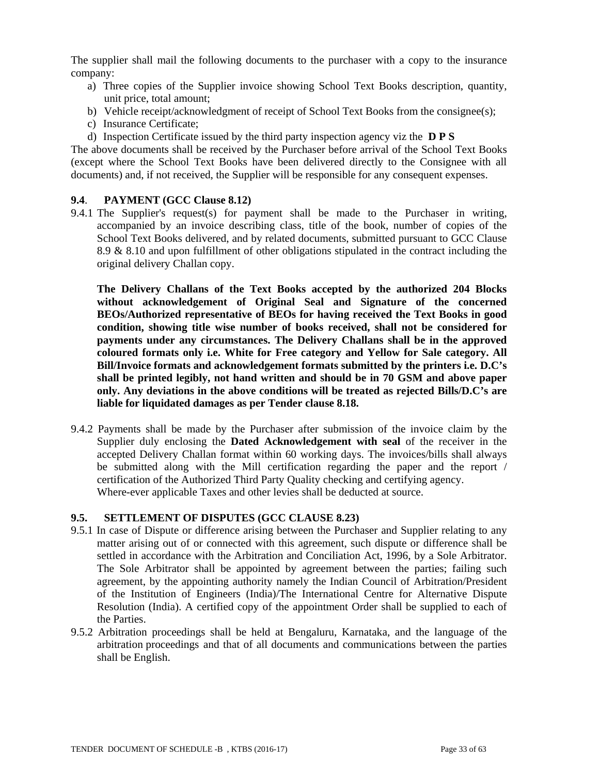The supplier shall mail the following documents to the purchaser with a copy to the insurance company:

- a) Three copies of the Supplier invoice showing School Text Books description, quantity, unit price, total amount;
- b) Vehicle receipt/acknowledgment of receipt of School Text Books from the consignee(s);
- c) Insurance Certificate;
- d) Inspection Certificate issued by the third party inspection agency viz the **D P S**

The above documents shall be received by the Purchaser before arrival of the School Text Books (except where the School Text Books have been delivered directly to the Consignee with all documents) and, if not received, the Supplier will be responsible for any consequent expenses.

# **9.4**. **PAYMENT (GCC Clause 8.12)**

9.4.1 The Supplier's request(s) for payment shall be made to the Purchaser in writing, accompanied by an invoice describing class, title of the book, number of copies of the School Text Books delivered, and by related documents, submitted pursuant to GCC Clause 8.9 & 8.10 and upon fulfillment of other obligations stipulated in the contract including the original delivery Challan copy.

**The Delivery Challans of the Text Books accepted by the authorized 204 Blocks without acknowledgement of Original Seal and Signature of the concerned BEOs/Authorized representative of BEOs for having received the Text Books in good condition, showing title wise number of books received, shall not be considered for payments under any circumstances. The Delivery Challans shall be in the approved coloured formats only i.e. White for Free category and Yellow for Sale category. All Bill/Invoice formats and acknowledgement formats submitted by the printers i.e. D.C's shall be printed legibly, not hand written and should be in 70 GSM and above paper only. Any deviations in the above conditions will be treated as rejected Bills/D.C's are liable for liquidated damages as per Tender clause 8.18.** 

9.4.2 Payments shall be made by the Purchaser after submission of the invoice claim by the Supplier duly enclosing the **Dated Acknowledgement with seal** of the receiver in the accepted Delivery Challan format within 60 working days. The invoices/bills shall always be submitted along with the Mill certification regarding the paper and the report / certification of the Authorized Third Party Quality checking and certifying agency. Where-ever applicable Taxes and other levies shall be deducted at source.

### **9.5. SETTLEMENT OF DISPUTES (GCC CLAUSE 8.23)**

- 9.5.1 In case of Dispute or difference arising between the Purchaser and Supplier relating to any matter arising out of or connected with this agreement, such dispute or difference shall be settled in accordance with the Arbitration and Conciliation Act, 1996, by a Sole Arbitrator. The Sole Arbitrator shall be appointed by agreement between the parties; failing such agreement, by the appointing authority namely the Indian Council of Arbitration/President of the Institution of Engineers (India)/The International Centre for Alternative Dispute Resolution (India). A certified copy of the appointment Order shall be supplied to each of the Parties.
- 9.5.2 Arbitration proceedings shall be held at Bengaluru, Karnataka, and the language of the arbitration proceedings and that of all documents and communications between the parties shall be English.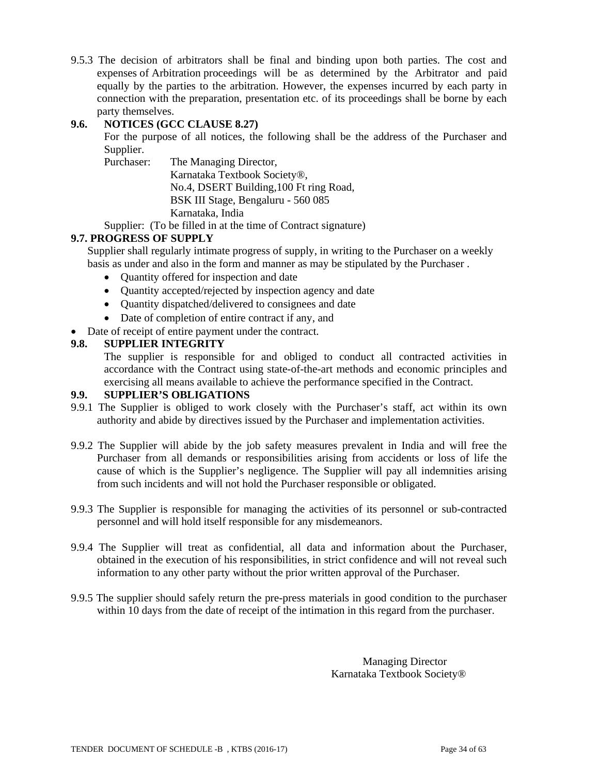9.5.3 The decision of arbitrators shall be final and binding upon both parties. The cost and expenses of Arbitration proceedings will be as determined by the Arbitrator and paid equally by the parties to the arbitration. However, the expenses incurred by each party in connection with the preparation, presentation etc. of its proceedings shall be borne by each party themselves.

# **9.6. NOTICES (GCC CLAUSE 8.27)**

 For the purpose of all notices, the following shall be the address of the Purchaser and Supplier.

 Purchaser: The Managing Director, Karnataka Textbook Society®, No.4, DSERT Building,100 Ft ring Road, BSK III Stage, Bengaluru - 560 085 Karnataka, India

Supplier: (To be filled in at the time of Contract signature)

### **9.7. PROGRESS OF SUPPLY**

Supplier shall regularly intimate progress of supply, in writing to the Purchaser on a weekly basis as under and also in the form and manner as may be stipulated by the Purchaser .

- Quantity offered for inspection and date
- Quantity accepted/rejected by inspection agency and date
- Ouantity dispatched/delivered to consignees and date
- Date of completion of entire contract if any, and
- Date of receipt of entire payment under the contract.

# **9.8. SUPPLIER INTEGRITY**

The supplier is responsible for and obliged to conduct all contracted activities in accordance with the Contract using state-of-the-art methods and economic principles and exercising all means available to achieve the performance specified in the Contract.

### **9.9. SUPPLIER'S OBLIGATIONS**

- 9.9.1 The Supplier is obliged to work closely with the Purchaser's staff, act within its own authority and abide by directives issued by the Purchaser and implementation activities.
- 9.9.2 The Supplier will abide by the job safety measures prevalent in India and will free the Purchaser from all demands or responsibilities arising from accidents or loss of life the cause of which is the Supplier's negligence. The Supplier will pay all indemnities arising from such incidents and will not hold the Purchaser responsible or obligated.
- 9.9.3 The Supplier is responsible for managing the activities of its personnel or sub-contracted personnel and will hold itself responsible for any misdemeanors.
- 9.9.4 The Supplier will treat as confidential, all data and information about the Purchaser, obtained in the execution of his responsibilities, in strict confidence and will not reveal such information to any other party without the prior written approval of the Purchaser.
- 9.9.5 The supplier should safely return the pre-press materials in good condition to the purchaser within 10 days from the date of receipt of the intimation in this regard from the purchaser.

Managing Director Karnataka Textbook Society®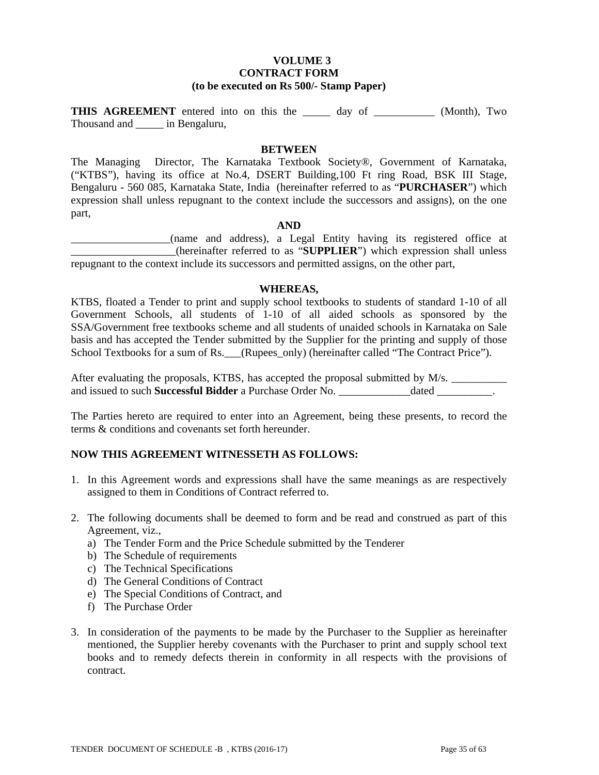# **VOLUME 3 CONTRACT FORM (to be executed on Rs 500/- Stamp Paper)**

**THIS AGREEMENT** entered into on this the \_\_\_\_\_ day of \_\_\_\_\_\_\_\_\_\_\_ (Month), Two Thousand and \_\_\_\_\_ in Bengaluru,

#### **BETWEEN**

The Managing Director, The Karnataka Textbook Society®, Government of Karnataka, ("KTBS"), having its office at No.4, DSERT Building,100 Ft ring Road, BSK III Stage, Bengaluru - 560 085, Karnataka State, India (hereinafter referred to as "**PURCHASER**") which expression shall unless repugnant to the context include the successors and assigns), on the one part,

#### **AND**

\_\_\_\_\_\_\_\_\_\_\_\_\_\_\_\_\_\_(name and address), a Legal Entity having its registered office at \_\_\_\_\_\_\_\_\_\_\_\_\_\_\_\_\_\_\_(hereinafter referred to as "**SUPPLIER**") which expression shall unless repugnant to the context include its successors and permitted assigns, on the other part,

#### **WHEREAS,**

KTBS, floated a Tender to print and supply school textbooks to students of standard 1-10 of all Government Schools, all students of 1-10 of all aided schools as sponsored by the SSA/Government free textbooks scheme and all students of unaided schools in Karnataka on Sale basis and has accepted the Tender submitted by the Supplier for the printing and supply of those School Textbooks for a sum of Rs. (Rupees\_only) (hereinafter called "The Contract Price").

After evaluating the proposals, KTBS, has accepted the proposal submitted by M/s. and issued to such **Successful Bidder** a Purchase Order No. \_\_\_\_\_\_\_\_\_\_\_\_\_dated \_\_\_\_\_\_\_\_\_\_.

The Parties hereto are required to enter into an Agreement, being these presents, to record the terms & conditions and covenants set forth hereunder.

### **NOW THIS AGREEMENT WITNESSETH AS FOLLOWS:**

- 1. In this Agreement words and expressions shall have the same meanings as are respectively assigned to them in Conditions of Contract referred to.
- 2. The following documents shall be deemed to form and be read and construed as part of this Agreement, viz.,
	- a) The Tender Form and the Price Schedule submitted by the Tenderer
	- b) The Schedule of requirements
	- c) The Technical Specifications
	- d) The General Conditions of Contract
	- e) The Special Conditions of Contract, and
	- f) The Purchase Order
- 3. In consideration of the payments to be made by the Purchaser to the Supplier as hereinafter mentioned, the Supplier hereby covenants with the Purchaser to print and supply school text books and to remedy defects therein in conformity in all respects with the provisions of contract.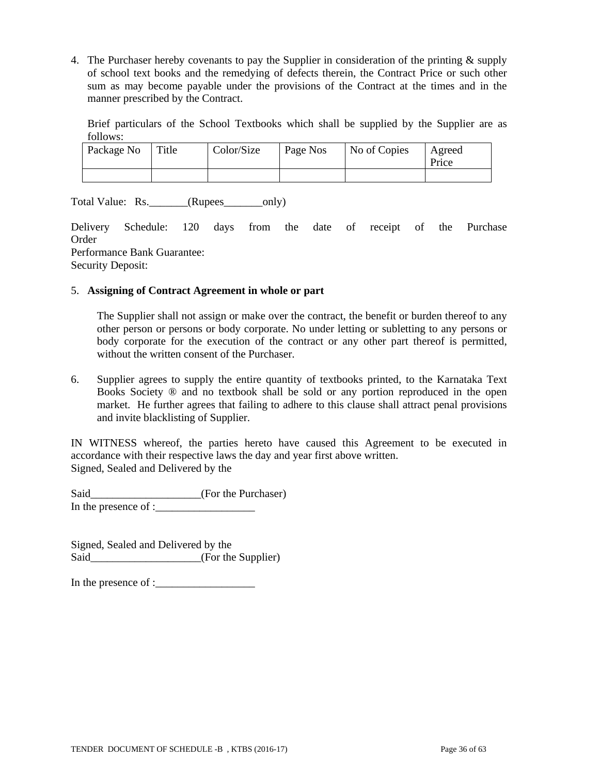4. The Purchaser hereby covenants to pay the Supplier in consideration of the printing & supply of school text books and the remedying of defects therein, the Contract Price or such other sum as may become payable under the provisions of the Contract at the times and in the manner prescribed by the Contract.

Brief particulars of the School Textbooks which shall be supplied by the Supplier are as follows:

| Package No | Title | Color/Size | Page Nos | No of Copies | Agreed<br>Price |
|------------|-------|------------|----------|--------------|-----------------|
|            |       |            |          |              |                 |

Total Value: Rs. \_\_\_\_\_\_\_(Rupees\_\_\_\_\_\_\_\_only)

Delivery Schedule: 120 days from the date of receipt of the Purchase Order Performance Bank Guarantee: Security Deposit:

#### 5. **Assigning of Contract Agreement in whole or part**

The Supplier shall not assign or make over the contract, the benefit or burden thereof to any other person or persons or body corporate. No under letting or subletting to any persons or body corporate for the execution of the contract or any other part thereof is permitted, without the written consent of the Purchaser.

6. Supplier agrees to supply the entire quantity of textbooks printed, to the Karnataka Text Books Society ® and no textbook shall be sold or any portion reproduced in the open market. He further agrees that failing to adhere to this clause shall attract penal provisions and invite blacklisting of Supplier.

IN WITNESS whereof, the parties hereto have caused this Agreement to be executed in accordance with their respective laws the day and year first above written. Signed, Sealed and Delivered by the

Said\_\_\_\_\_\_\_\_\_\_\_\_\_\_\_\_\_\_\_\_(For the Purchaser) In the presence of : $\frac{1}{\sqrt{2\pi}}$ 

Signed, Sealed and Delivered by the Said (For the Supplier)

In the presence of :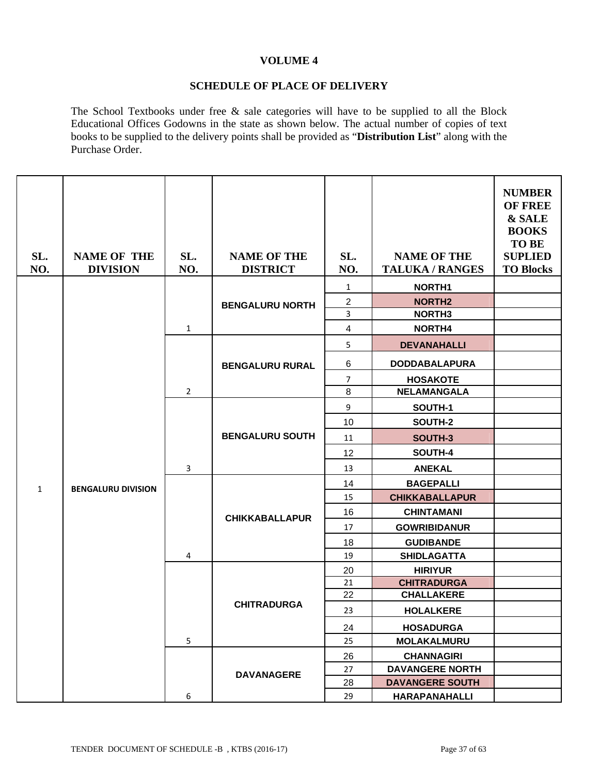### **VOLUME 4**

#### **SCHEDULE OF PLACE OF DELIVERY**

The School Textbooks under free & sale categories will have to be supplied to all the Block Educational Offices Godowns in the state as shown below. The actual number of copies of text books to be supplied to the delivery points shall be provided as "**Distribution List**" along with the Purchase Order.

| SL.<br>NO.   | <b>NAME OF THE</b><br><b>DIVISION</b> | SL.<br>NO.     | <b>NAME OF THE</b><br><b>DISTRICT</b> | SL.<br>NO.              | <b>NAME OF THE</b><br><b>TALUKA / RANGES</b> | <b>NUMBER</b><br><b>OF FREE</b><br>& SALE<br><b>BOOKS</b><br><b>TO BE</b><br><b>SUPLIED</b><br><b>TO Blocks</b> |
|--------------|---------------------------------------|----------------|---------------------------------------|-------------------------|----------------------------------------------|-----------------------------------------------------------------------------------------------------------------|
|              |                                       |                |                                       | $\mathbf{1}$            | NORTH <sub>1</sub>                           |                                                                                                                 |
|              |                                       |                | <b>BENGALURU NORTH</b>                | $\overline{\mathbf{c}}$ | <b>NORTH2</b>                                |                                                                                                                 |
|              |                                       |                |                                       | 3                       | NORTH <sub>3</sub>                           |                                                                                                                 |
|              |                                       | $\mathbf{1}$   |                                       | 4                       | NORTH4                                       |                                                                                                                 |
|              |                                       |                |                                       | 5                       | <b>DEVANAHALLI</b>                           |                                                                                                                 |
|              |                                       |                | <b>BENGALURU RURAL</b>                | 6                       | <b>DODDABALAPURA</b>                         |                                                                                                                 |
|              |                                       |                |                                       | $\overline{7}$          | <b>HOSAKOTE</b>                              |                                                                                                                 |
|              |                                       | $\overline{2}$ |                                       | 8                       | <b>NELAMANGALA</b>                           |                                                                                                                 |
|              |                                       |                |                                       | 9                       | SOUTH-1                                      |                                                                                                                 |
|              |                                       |                | <b>BENGALURU SOUTH</b>                | 10                      | SOUTH-2                                      |                                                                                                                 |
|              |                                       |                |                                       | 11                      | SOUTH-3                                      |                                                                                                                 |
|              |                                       |                |                                       | 12                      | SOUTH-4                                      |                                                                                                                 |
|              |                                       | 3              |                                       | 13                      | <b>ANEKAL</b>                                |                                                                                                                 |
| $\mathbf{1}$ | <b>BENGALURU DIVISION</b>             |                | <b>CHIKKABALLAPUR</b>                 | 14                      | <b>BAGEPALLI</b>                             |                                                                                                                 |
|              |                                       |                |                                       | 15                      | <b>CHIKKABALLAPUR</b>                        |                                                                                                                 |
|              |                                       |                |                                       | 16                      | <b>CHINTAMANI</b>                            |                                                                                                                 |
|              |                                       |                |                                       | 17                      | <b>GOWRIBIDANUR</b>                          |                                                                                                                 |
|              |                                       |                |                                       | 18                      | <b>GUDIBANDE</b>                             |                                                                                                                 |
|              |                                       | 4              |                                       | 19                      | <b>SHIDLAGATTA</b>                           |                                                                                                                 |
|              |                                       |                |                                       | 20                      | <b>HIRIYUR</b>                               |                                                                                                                 |
|              |                                       |                |                                       | 21                      | <b>CHITRADURGA</b>                           |                                                                                                                 |
|              |                                       |                | <b>CHITRADURGA</b>                    | 22                      | <b>CHALLAKERE</b>                            |                                                                                                                 |
|              |                                       |                |                                       | 23                      | <b>HOLALKERE</b>                             |                                                                                                                 |
|              |                                       |                |                                       | 24                      | <b>HOSADURGA</b>                             |                                                                                                                 |
|              |                                       | 5              |                                       | 25                      | <b>MOLAKALMURU</b>                           |                                                                                                                 |
|              |                                       |                |                                       | 26                      | <b>CHANNAGIRI</b>                            |                                                                                                                 |
|              |                                       |                | <b>DAVANAGERE</b>                     | 27                      | <b>DAVANGERE NORTH</b>                       |                                                                                                                 |
|              |                                       |                |                                       | 28                      | <b>DAVANGERE SOUTH</b>                       |                                                                                                                 |
|              |                                       | 6              |                                       | 29                      | <b>HARAPANAHALLI</b>                         |                                                                                                                 |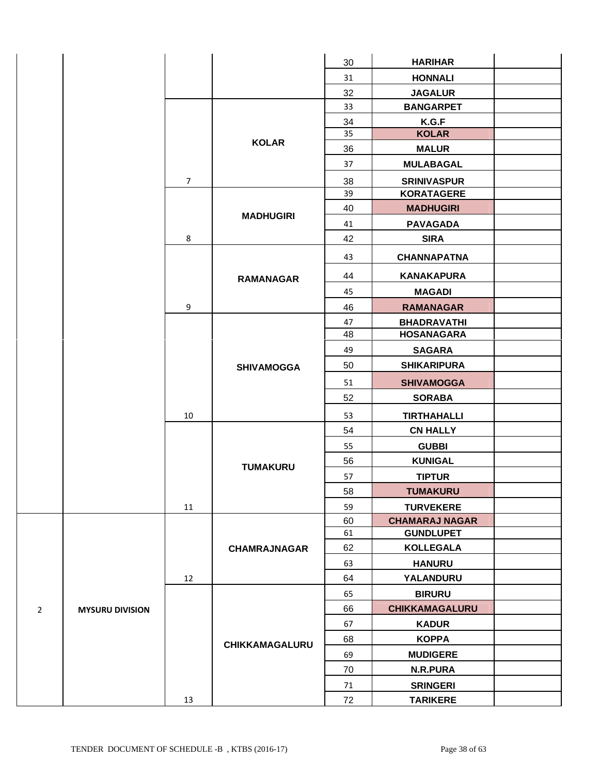|                |                        |                |                     | 30 | <b>HARIHAR</b>        |  |
|----------------|------------------------|----------------|---------------------|----|-----------------------|--|
|                |                        |                |                     | 31 | <b>HONNALI</b>        |  |
|                |                        |                |                     | 32 | <b>JAGALUR</b>        |  |
|                |                        |                |                     | 33 | <b>BANGARPET</b>      |  |
|                |                        |                |                     | 34 | K.G.F                 |  |
|                |                        |                | 35<br><b>KOLAR</b>  |    | <b>KOLAR</b>          |  |
|                |                        |                |                     | 36 | <b>MALUR</b>          |  |
|                |                        |                |                     | 37 | <b>MULABAGAL</b>      |  |
|                |                        | $\overline{7}$ |                     | 38 | <b>SRINIVASPUR</b>    |  |
|                |                        |                |                     | 39 | <b>KORATAGERE</b>     |  |
|                |                        |                | <b>MADHUGIRI</b>    | 40 | <b>MADHUGIRI</b>      |  |
|                |                        |                |                     | 41 | <b>PAVAGADA</b>       |  |
|                |                        | 8              |                     | 42 | <b>SIRA</b>           |  |
|                |                        |                |                     | 43 | <b>CHANNAPATNA</b>    |  |
|                |                        |                | <b>RAMANAGAR</b>    | 44 | <b>KANAKAPURA</b>     |  |
|                |                        |                |                     | 45 | <b>MAGADI</b>         |  |
|                |                        | 9              |                     | 46 | <b>RAMANAGAR</b>      |  |
|                |                        |                |                     | 47 | <b>BHADRAVATHI</b>    |  |
|                |                        |                | <b>SHIVAMOGGA</b>   | 48 | <b>HOSANAGARA</b>     |  |
|                |                        |                |                     | 49 | <b>SAGARA</b>         |  |
|                |                        |                |                     | 50 | <b>SHIKARIPURA</b>    |  |
|                |                        |                |                     | 51 | <b>SHIVAMOGGA</b>     |  |
|                |                        |                |                     | 52 | <b>SORABA</b>         |  |
|                |                        | 10             |                     | 53 | <b>TIRTHAHALLI</b>    |  |
|                |                        |                |                     | 54 | <b>CN HALLY</b>       |  |
|                |                        |                |                     | 55 | <b>GUBBI</b>          |  |
|                |                        |                | <b>TUMAKURU</b>     | 56 | <b>KUNIGAL</b>        |  |
|                |                        |                |                     | 57 | <b>TIPTUR</b>         |  |
|                |                        |                |                     | 58 | <b>TUMAKURU</b>       |  |
|                |                        | 11             |                     | 59 | <b>TURVEKERE</b>      |  |
|                |                        |                |                     | 60 | <b>CHAMARAJ NAGAR</b> |  |
|                |                        |                |                     | 61 | <b>GUNDLUPET</b>      |  |
|                |                        |                | <b>CHAMRAJNAGAR</b> | 62 | <b>KOLLEGALA</b>      |  |
|                |                        |                |                     | 63 | <b>HANURU</b>         |  |
|                |                        | 12             |                     | 64 | YALANDURU             |  |
|                |                        |                |                     | 65 | <b>BIRURU</b>         |  |
| $\overline{2}$ | <b>MYSURU DIVISION</b> |                |                     | 66 | <b>CHIKKAMAGALURU</b> |  |
|                |                        |                |                     | 67 | <b>KADUR</b>          |  |
|                |                        |                | CHIKKAMAGALURU      | 68 | <b>KOPPA</b>          |  |
|                |                        |                |                     | 69 | <b>MUDIGERE</b>       |  |
|                |                        |                |                     | 70 | N.R.PURA              |  |
|                |                        |                |                     | 71 | <b>SRINGERI</b>       |  |
|                |                        | 13             |                     | 72 | <b>TARIKERE</b>       |  |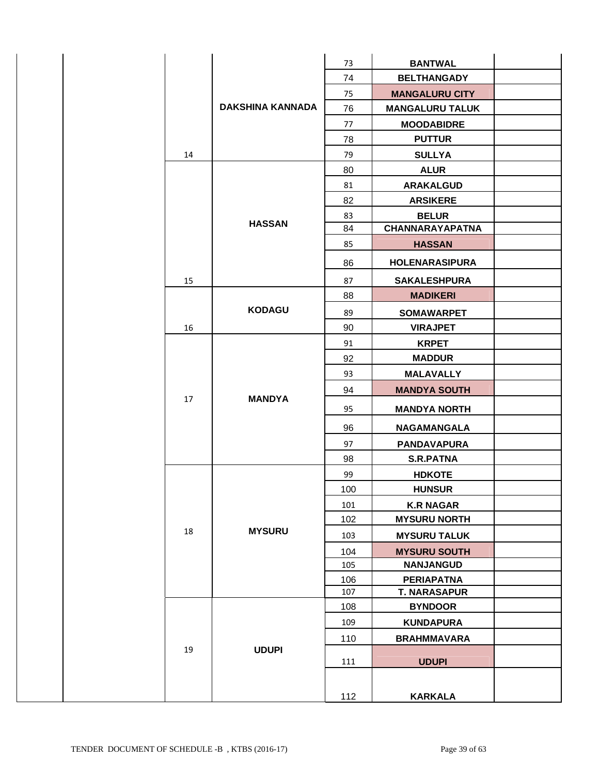|  |    |                         | 73  | <b>BANTWAL</b>         |  |
|--|----|-------------------------|-----|------------------------|--|
|  |    |                         | 74  | <b>BELTHANGADY</b>     |  |
|  |    |                         | 75  | <b>MANGALURU CITY</b>  |  |
|  |    | <b>DAKSHINA KANNADA</b> | 76  | <b>MANGALURU TALUK</b> |  |
|  |    |                         | 77  | <b>MOODABIDRE</b>      |  |
|  |    |                         | 78  | <b>PUTTUR</b>          |  |
|  | 14 |                         | 79  | <b>SULLYA</b>          |  |
|  |    |                         | 80  | <b>ALUR</b>            |  |
|  |    |                         | 81  | <b>ARAKALGUD</b>       |  |
|  |    |                         | 82  | <b>ARSIKERE</b>        |  |
|  |    |                         | 83  | <b>BELUR</b>           |  |
|  |    | <b>HASSAN</b>           | 84  | <b>CHANNARAYAPATNA</b> |  |
|  |    |                         | 85  | <b>HASSAN</b>          |  |
|  |    |                         | 86  | <b>HOLENARASIPURA</b>  |  |
|  | 15 |                         | 87  | <b>SAKALESHPURA</b>    |  |
|  |    |                         | 88  | <b>MADIKERI</b>        |  |
|  |    | <b>KODAGU</b>           | 89  | <b>SOMAWARPET</b>      |  |
|  | 16 |                         | 90  | <b>VIRAJPET</b>        |  |
|  |    |                         | 91  | <b>KRPET</b>           |  |
|  |    |                         | 92  | <b>MADDUR</b>          |  |
|  |    |                         | 93  | <b>MALAVALLY</b>       |  |
|  | 17 | <b>MANDYA</b>           | 94  | <b>MANDYA SOUTH</b>    |  |
|  |    |                         | 95  | <b>MANDYA NORTH</b>    |  |
|  |    |                         | 96  | NAGAMANGALA            |  |
|  |    |                         | 97  | <b>PANDAVAPURA</b>     |  |
|  |    |                         | 98  | <b>S.R.PATNA</b>       |  |
|  |    |                         | 99  | <b>HDKOTE</b>          |  |
|  |    |                         | 100 | <b>HUNSUR</b>          |  |
|  |    |                         | 101 | <b>K.R NAGAR</b>       |  |
|  |    |                         | 102 | <b>MYSURU NORTH</b>    |  |
|  | 18 | <b>MYSURU</b>           | 103 | <b>MYSURU TALUK</b>    |  |
|  |    |                         | 104 | <b>MYSURU SOUTH</b>    |  |
|  |    |                         | 105 | <b>NANJANGUD</b>       |  |
|  |    |                         | 106 | <b>PERIAPATNA</b>      |  |
|  |    |                         | 107 | <b>T. NARASAPUR</b>    |  |
|  |    |                         | 108 | <b>BYNDOOR</b>         |  |
|  |    |                         | 109 | <b>KUNDAPURA</b>       |  |
|  |    |                         | 110 | <b>BRAHMMAVARA</b>     |  |
|  | 19 | <b>UDUPI</b>            | 111 | <b>UDUPI</b>           |  |
|  |    |                         | 112 | <b>KARKALA</b>         |  |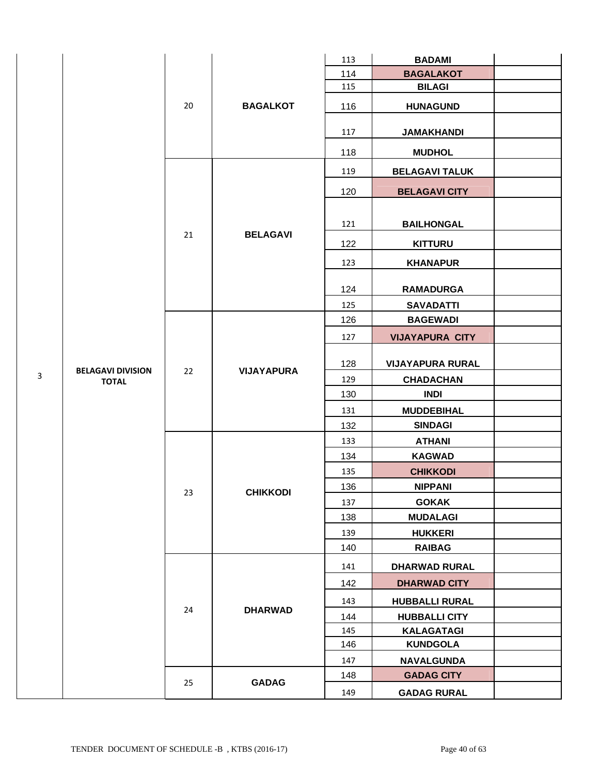|   |                          |    |                   | 113 | <b>BADAMI</b>           |  |
|---|--------------------------|----|-------------------|-----|-------------------------|--|
|   |                          |    |                   | 114 | <b>BAGALAKOT</b>        |  |
|   |                          |    |                   | 115 | <b>BILAGI</b>           |  |
|   |                          | 20 | <b>BAGALKOT</b>   | 116 | <b>HUNAGUND</b>         |  |
|   |                          |    |                   | 117 | <b>JAMAKHANDI</b>       |  |
|   |                          |    |                   | 118 | <b>MUDHOL</b>           |  |
|   |                          |    |                   | 119 | <b>BELAGAVI TALUK</b>   |  |
|   |                          |    |                   | 120 | <b>BELAGAVI CITY</b>    |  |
|   |                          |    |                   |     |                         |  |
|   |                          |    |                   | 121 | <b>BAILHONGAL</b>       |  |
|   |                          | 21 | <b>BELAGAVI</b>   | 122 | <b>KITTURU</b>          |  |
|   |                          |    |                   | 123 | <b>KHANAPUR</b>         |  |
|   |                          |    |                   | 124 | <b>RAMADURGA</b>        |  |
|   |                          |    |                   | 125 | <b>SAVADATTI</b>        |  |
|   |                          |    |                   | 126 | <b>BAGEWADI</b>         |  |
|   |                          | 22 |                   | 127 | <b>VIJAYAPURA CITY</b>  |  |
|   | <b>BELAGAVI DIVISION</b> |    | <b>VIJAYAPURA</b> | 128 | <b>VIJAYAPURA RURAL</b> |  |
| 3 | <b>TOTAL</b>             |    |                   | 129 | <b>CHADACHAN</b>        |  |
|   |                          |    |                   | 130 | <b>INDI</b>             |  |
|   |                          |    |                   | 131 | <b>MUDDEBIHAL</b>       |  |
|   |                          |    |                   | 132 | <b>SINDAGI</b>          |  |
|   |                          |    |                   | 133 | <b>ATHANI</b>           |  |
|   |                          |    |                   | 134 | <b>KAGWAD</b>           |  |
|   |                          |    |                   | 135 | <b>CHIKKODI</b>         |  |
|   |                          | 23 | <b>CHIKKODI</b>   | 136 | <b>NIPPANI</b>          |  |
|   |                          |    |                   | 137 | <b>GOKAK</b>            |  |
|   |                          |    |                   | 138 | <b>MUDALAGI</b>         |  |
|   |                          |    |                   | 139 | <b>HUKKERI</b>          |  |
|   |                          |    |                   | 140 | <b>RAIBAG</b>           |  |
|   |                          |    |                   | 141 | <b>DHARWAD RURAL</b>    |  |
|   |                          |    |                   | 142 | <b>DHARWAD CITY</b>     |  |
|   |                          | 24 | <b>DHARWAD</b>    | 143 | <b>HUBBALLI RURAL</b>   |  |
|   |                          |    |                   | 144 | <b>HUBBALLI CITY</b>    |  |
|   |                          |    |                   | 145 | <b>KALAGATAGI</b>       |  |
|   |                          |    |                   | 146 | <b>KUNDGOLA</b>         |  |
|   |                          |    |                   | 147 | <b>NAVALGUNDA</b>       |  |
|   |                          | 25 | <b>GADAG</b>      | 148 | <b>GADAG CITY</b>       |  |
|   |                          |    |                   | 149 | <b>GADAG RURAL</b>      |  |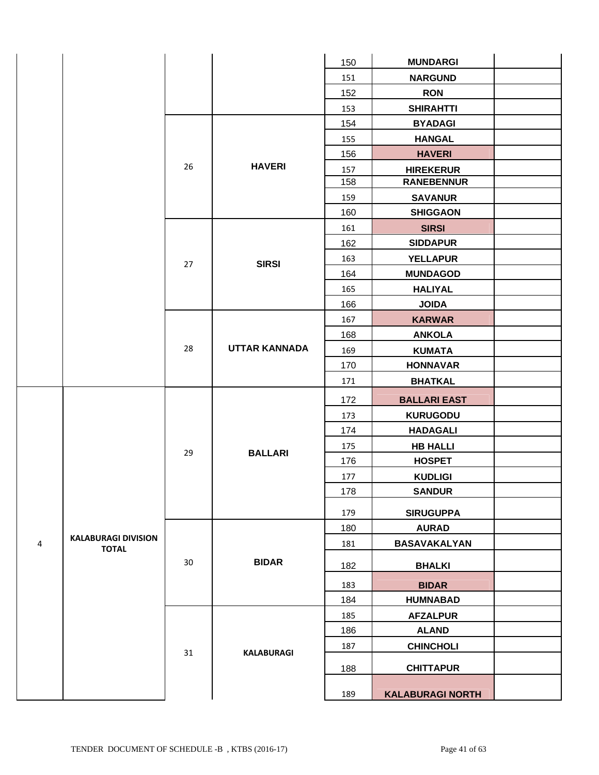|                |                            |    |                      | 150 | <b>MUNDARGI</b>         |  |
|----------------|----------------------------|----|----------------------|-----|-------------------------|--|
|                |                            |    |                      | 151 | <b>NARGUND</b>          |  |
|                |                            |    |                      | 152 | <b>RON</b>              |  |
|                |                            |    |                      | 153 | <b>SHIRAHTTI</b>        |  |
|                |                            |    |                      | 154 | <b>BYADAGI</b>          |  |
|                |                            |    |                      | 155 | <b>HANGAL</b>           |  |
|                |                            |    |                      | 156 | <b>HAVERI</b>           |  |
|                |                            | 26 | <b>HAVERI</b>        | 157 | <b>HIREKERUR</b>        |  |
|                |                            |    |                      | 158 | <b>RANEBENNUR</b>       |  |
|                |                            |    |                      | 159 | <b>SAVANUR</b>          |  |
|                |                            |    |                      | 160 | <b>SHIGGAON</b>         |  |
|                |                            |    |                      | 161 | <b>SIRSI</b>            |  |
|                |                            |    |                      | 162 | <b>SIDDAPUR</b>         |  |
|                |                            | 27 | <b>SIRSI</b>         | 163 | <b>YELLAPUR</b>         |  |
|                |                            |    |                      | 164 | <b>MUNDAGOD</b>         |  |
|                |                            |    |                      |     | <b>HALIYAL</b>          |  |
|                |                            |    |                      | 166 | <b>JOIDA</b>            |  |
|                |                            |    |                      | 167 | <b>KARWAR</b>           |  |
|                |                            |    |                      | 168 | <b>ANKOLA</b>           |  |
|                |                            | 28 | <b>UTTAR KANNADA</b> | 169 | <b>KUMATA</b>           |  |
|                |                            |    |                      | 170 | <b>HONNAVAR</b>         |  |
|                |                            |    |                      | 171 | <b>BHATKAL</b>          |  |
|                |                            |    |                      | 172 | <b>BALLARI EAST</b>     |  |
|                |                            |    |                      | 173 | <b>KURUGODU</b>         |  |
|                |                            |    |                      | 174 | <b>HADAGALI</b>         |  |
|                |                            |    |                      | 175 | <b>HB HALLI</b>         |  |
|                |                            | 29 | <b>BALLARI</b>       | 176 | <b>HOSPET</b>           |  |
|                |                            |    |                      | 177 | <b>KUDLIGI</b>          |  |
|                |                            |    |                      | 178 | <b>SANDUR</b>           |  |
|                |                            |    |                      | 179 | <b>SIRUGUPPA</b>        |  |
|                |                            |    |                      | 180 | <b>AURAD</b>            |  |
| $\overline{4}$ | <b>KALABURAGI DIVISION</b> |    |                      | 181 | BASAVAKALYAN            |  |
|                | <b>TOTAL</b>               |    |                      |     |                         |  |
|                |                            | 30 | <b>BIDAR</b>         | 182 | <b>BHALKI</b>           |  |
|                |                            |    |                      | 183 | <b>BIDAR</b>            |  |
|                |                            |    |                      | 184 | <b>HUMNABAD</b>         |  |
|                |                            |    |                      | 185 | <b>AFZALPUR</b>         |  |
|                |                            |    |                      | 186 | <b>ALAND</b>            |  |
|                |                            |    | <b>KALABURAGI</b>    | 187 | <b>CHINCHOLI</b>        |  |
|                |                            | 31 |                      | 188 | <b>CHITTAPUR</b>        |  |
|                |                            |    |                      |     |                         |  |
|                |                            |    |                      | 189 | <b>KALABURAGI NORTH</b> |  |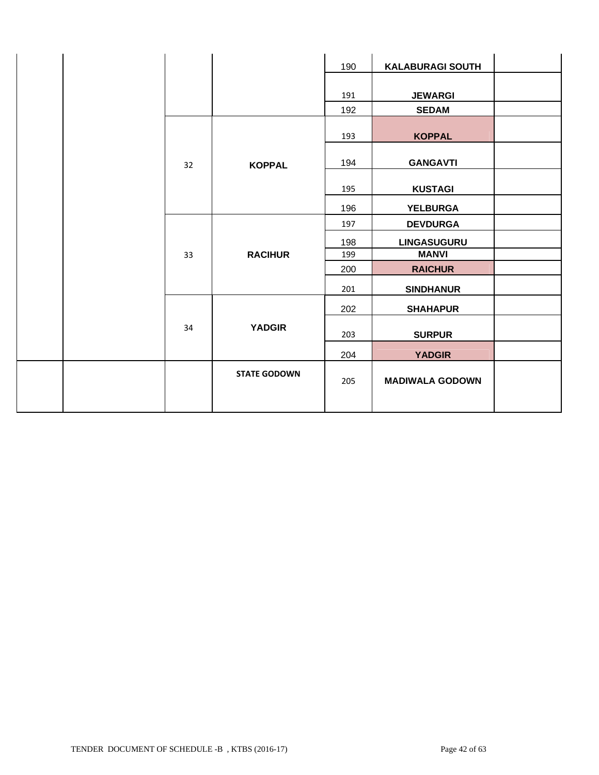|  |    |                     | 190 | <b>KALABURAGI SOUTH</b> |  |
|--|----|---------------------|-----|-------------------------|--|
|  |    |                     |     |                         |  |
|  |    |                     | 191 | <b>JEWARGI</b>          |  |
|  |    |                     | 192 | <b>SEDAM</b>            |  |
|  |    |                     | 193 | <b>KOPPAL</b>           |  |
|  | 32 | <b>KOPPAL</b>       | 194 | <b>GANGAVTI</b>         |  |
|  |    |                     | 195 | <b>KUSTAGI</b>          |  |
|  |    |                     | 196 | <b>YELBURGA</b>         |  |
|  |    |                     | 197 | <b>DEVDURGA</b>         |  |
|  |    |                     | 198 | <b>LINGASUGURU</b>      |  |
|  | 33 | <b>RACIHUR</b>      | 199 | <b>MANVI</b>            |  |
|  |    |                     | 200 | <b>RAICHUR</b>          |  |
|  |    |                     | 201 | <b>SINDHANUR</b>        |  |
|  |    |                     | 202 | <b>SHAHAPUR</b>         |  |
|  | 34 | <b>YADGIR</b>       | 203 | <b>SURPUR</b>           |  |
|  |    |                     | 204 | <b>YADGIR</b>           |  |
|  |    | <b>STATE GODOWN</b> | 205 | <b>MADIWALA GODOWN</b>  |  |
|  |    |                     |     |                         |  |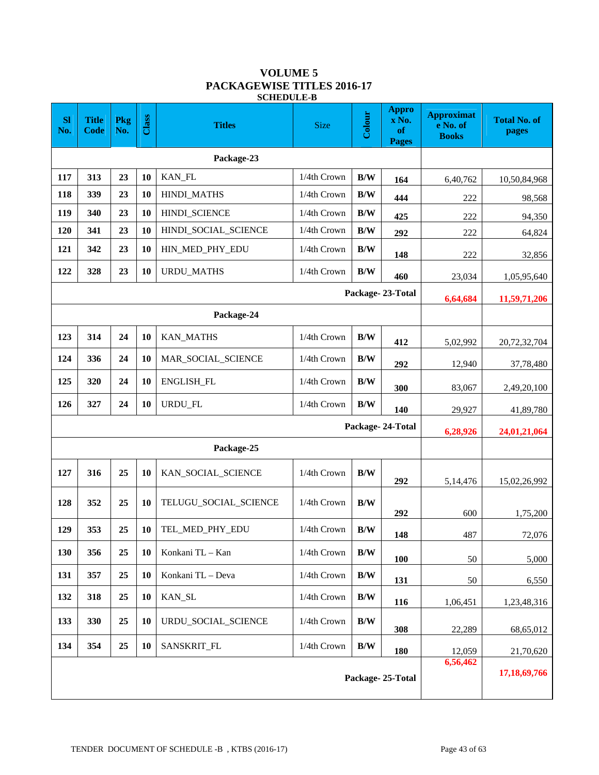#### **VOLUME 5 PACKAGEWISE TITLES 2016-17 SCHEDULE-B**

| <b>SI</b><br>No. | <b>Title</b><br><b>Code</b>  | Pkg<br>No. | Class     | <b>Titles</b>         | Colour<br><b>Size</b> |                         | <b>Appro</b><br>x No.<br>of<br><b>Pages</b> | <b>Approximat</b><br>e No. of<br><b>Books</b> | <b>Total No. of</b><br>pages |
|------------------|------------------------------|------------|-----------|-----------------------|-----------------------|-------------------------|---------------------------------------------|-----------------------------------------------|------------------------------|
|                  |                              |            |           |                       |                       |                         |                                             |                                               |                              |
| 117              | 313                          | 23         | 10        | KAN_FL                | 1/4th Crown           | B/W                     | 164                                         | 6,40,762                                      | 10,50,84,968                 |
| 118              | 339                          | 23         | 10        | <b>HINDI_MATHS</b>    | 1/4th Crown           | B/W                     | 444                                         | 222                                           | 98,568                       |
| 119              | 340                          | 23         | 10        | HINDI_SCIENCE         | 1/4th Crown           | B/W                     | 425                                         | 222                                           | 94,350                       |
| 120              | 341                          | 23         | 10        | HINDI_SOCIAL_SCIENCE  | 1/4th Crown           | B/W                     | 292                                         | 222                                           | 64,824                       |
| 121              | 342                          | 23         | 10        | HIN_MED_PHY_EDU       | 1/4th Crown           | B/W                     | 148                                         | 222                                           | 32,856                       |
| 122              | 328                          | 23         | 10        | <b>URDU_MATHS</b>     | 1/4th Crown           | B/W                     | 460                                         | 23,034                                        | 1,05,95,640                  |
|                  |                              |            |           |                       |                       |                         | Package-23-Total                            | 6,64,684                                      | 11,59,71,206                 |
|                  |                              |            |           | Package-24            |                       |                         |                                             |                                               |                              |
| 123              | 314                          | 24         | 10        | <b>KAN_MATHS</b>      | 1/4th Crown           | B/W                     | 412                                         | 5,02,992                                      | 20,72,32,704                 |
| 124              | 336                          | 24         | 10        | MAR_SOCIAL_SCIENCE    | 1/4th Crown           | B/W                     | 292                                         | 12,940                                        | 37,78,480                    |
| 125              | 320                          | 24         | 10        | ENGLISH_FL            | 1/4th Crown           | B/W                     | 300                                         | 83,067                                        | 2,49,20,100                  |
| 126              | 327                          | 24         | 10        | URDU_FL               | 1/4th Crown           | $\mathbf{B}/\mathbf{W}$ | 140                                         | 29,927                                        | 41,89,780                    |
|                  |                              |            |           |                       |                       |                         | Package-24-Total                            | 6,28,926                                      | 24,01,21,064                 |
|                  |                              |            |           | Package-25            |                       |                         |                                             |                                               |                              |
| 127              | 316                          | 25         | 10        | KAN_SOCIAL_SCIENCE    | 1/4th Crown           | B/W                     | 292                                         | 5,14,476                                      | 15,02,26,992                 |
| 128              | 352                          | 25         | <b>10</b> | TELUGU SOCIAL SCIENCE | 1/4th Crown           | B/W                     | 292                                         | 600                                           | 1,75,200                     |
| 129              | 353                          | 25         | 10        | TEL_MED_PHY_EDU       | 1/4th Crown           | B/W                     | 148                                         | 487                                           | 72,076                       |
| 130              | 356                          | 25         | 10        | Konkani TL - Kan      | 1/4th Crown           | $\mathbf{B}/\mathbf{W}$ | <b>100</b>                                  | 50                                            | 5,000                        |
| 131              | 357                          | 25         | <b>10</b> | Konkani TL - Deva     | 1/4th Crown           | B/W                     | 131                                         | $50\,$                                        | 6,550                        |
| 132              | 318                          | 25         | <b>10</b> | KAN_SL                | 1/4th Crown           | B/W                     | 116                                         | 1,06,451                                      | 1,23,48,316                  |
| 133              | 330                          | 25         | 10        | URDU_SOCIAL_SCIENCE   | 1/4th Crown           | B/W                     | 308                                         | 22,289                                        | 68,65,012                    |
| 134              | 354                          | 25         | 10        | SANSKRIT_FL           | 1/4th Crown           | $\mathbf{B}/\mathbf{W}$ | 180                                         | 12,059                                        | 21,70,620                    |
|                  | 6,56,462<br>Package-25-Total |            |           |                       |                       |                         |                                             |                                               | 17,18,69,766                 |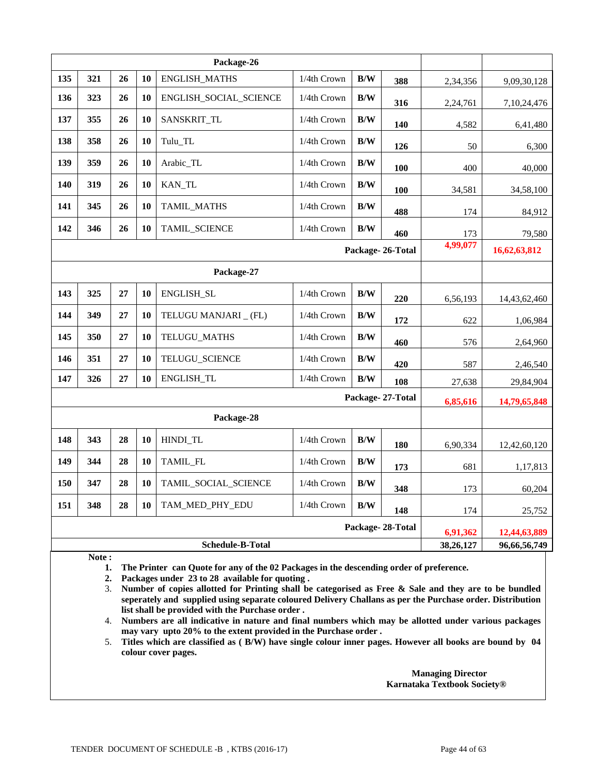|     |                         |    |    | Package-26             |             |     |                  |           |              |
|-----|-------------------------|----|----|------------------------|-------------|-----|------------------|-----------|--------------|
| 135 | 321                     | 26 | 10 | <b>ENGLISH_MATHS</b>   | 1/4th Crown | B/W | 388              | 2,34,356  | 9,09,30,128  |
| 136 | 323                     | 26 | 10 | ENGLISH_SOCIAL_SCIENCE | 1/4th Crown | B/W | 316              | 2,24,761  | 7,10,24,476  |
| 137 | 355                     | 26 | 10 | SANSKRIT_TL            | 1/4th Crown | B/W | 140              | 4,582     | 6,41,480     |
| 138 | 358                     | 26 | 10 | Tulu_TL                | 1/4th Crown | B/W | 126              | 50        | 6,300        |
| 139 | 359                     | 26 | 10 | Arabic_TL              | 1/4th Crown | B/W | 100              | 400       | 40,000       |
| 140 | 319                     | 26 | 10 | KAN_TL                 | 1/4th Crown | B/W | 100              | 34,581    | 34,58,100    |
| 141 | 345                     | 26 | 10 | TAMIL_MATHS            | 1/4th Crown | B/W | 488              | 174       | 84,912       |
| 142 | 346                     | 26 | 10 | <b>TAMIL SCIENCE</b>   | 1/4th Crown | B/W | 460              | 173       | 79,580       |
|     |                         |    |    |                        |             |     | Package-26-Total | 4,99,077  | 16,62,63,812 |
|     |                         |    |    | Package-27             |             |     |                  |           |              |
| 143 | 325                     | 27 | 10 | ENGLISH_SL             | 1/4th Crown | B/W | 220              | 6,56,193  | 14,43,62,460 |
| 144 | 349                     | 27 | 10 | TELUGU MANJARI _ (FL)  | 1/4th Crown | B/W | 172              | 622       | 1,06,984     |
| 145 | 350                     | 27 | 10 | TELUGU_MATHS           | 1/4th Crown | B/W | 460              | 576       | 2,64,960     |
| 146 | 351                     | 27 | 10 | TELUGU_SCIENCE         | 1/4th Crown | B/W | 420              | 587       | 2,46,540     |
| 147 | 326                     | 27 | 10 | ENGLISH_TL             | 1/4th Crown | B/W | 108              | 27,638    | 29,84,904    |
|     |                         |    |    |                        |             |     | Package-27-Total | 6,85,616  | 14,79,65,848 |
|     |                         |    |    | Package-28             |             |     |                  |           |              |
| 148 | 343                     | 28 | 10 | HINDI_TL               | 1/4th Crown | B/W | 180              | 6,90,334  | 12,42,60,120 |
| 149 | 344                     | 28 | 10 | TAMIL_FL               | 1/4th Crown | B/W | 173              | 681       | 1,17,813     |
| 150 | 347                     | 28 | 10 | TAMIL_SOCIAL_SCIENCE   | 1/4th Crown | B/W | 348              | 173       | 60,204       |
| 151 | 348                     | 28 | 10 | TAM_MED_PHY_EDU        | 1/4th Crown | B/W | 148              | 174       | 25,752       |
|     |                         |    |    |                        |             |     | Package-28-Total | 6,91,362  | 12,44,63,889 |
|     | <b>Schedule-B-Total</b> |    |    |                        |             |     |                  | 38,26,127 | 96,66,56,749 |

**Note :** 

**1. The Printer can Quote for any of the 02 Packages in the descending order of preference.** 

**2. Packages under 23 to 28 available for quoting .** 

3. **Number of copies allotted for Printing shall be categorised as Free & Sale and they are to be bundled seperately and supplied using separate coloured Delivery Challans as per the Purchase order. Distribution list shall be provided with the Purchase order .**

4. **Numbers are all indicative in nature and final numbers which may be allotted under various packages may vary upto 20% to the extent provided in the Purchase order .**

5. **Titles which are classified as ( B/W) have single colour inner pages. However all books are bound by 04 colour cover pages.**

> **Managing Director Karnataka Textbook Society®**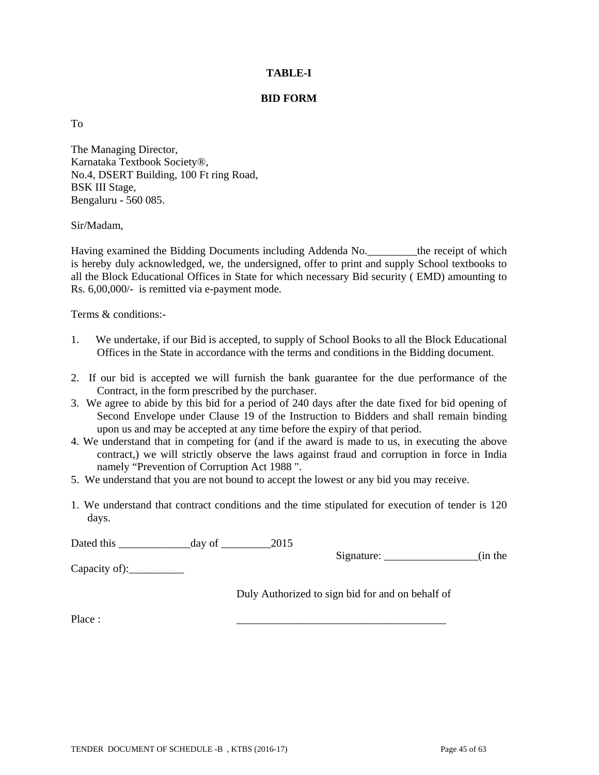### **TABLE-I**

### **BID FORM**

To

The Managing Director, Karnataka Textbook Society®, No.4, DSERT Building, 100 Ft ring Road, BSK III Stage, Bengaluru - 560 085.

### Sir/Madam,

Having examined the Bidding Documents including Addenda No.\_\_\_\_\_\_\_\_\_the receipt of which is hereby duly acknowledged, we, the undersigned, offer to print and supply School textbooks to all the Block Educational Offices in State for which necessary Bid security ( EMD) amounting to Rs. 6,00,000/- is remitted via e-payment mode.

Terms & conditions:-

- 1. We undertake, if our Bid is accepted, to supply of School Books to all the Block Educational Offices in the State in accordance with the terms and conditions in the Bidding document.
- 2. If our bid is accepted we will furnish the bank guarantee for the due performance of the Contract, in the form prescribed by the purchaser.
- 3. We agree to abide by this bid for a period of 240 days after the date fixed for bid opening of Second Envelope under Clause 19 of the Instruction to Bidders and shall remain binding upon us and may be accepted at any time before the expiry of that period.
- 4. We understand that in competing for (and if the award is made to us, in executing the above contract,) we will strictly observe the laws against fraud and corruption in force in India namely "Prevention of Corruption Act 1988 ".
- 5. We understand that you are not bound to accept the lowest or any bid you may receive.
- 1. We understand that contract conditions and the time stipulated for execution of tender is 120 days.

Dated this \_\_\_\_\_\_\_\_\_\_\_\_\_day of \_\_\_\_\_\_\_\_\_2015

Signature:  $\qquad \qquad$  (in the

Capacity of):\_\_\_\_\_\_\_\_\_\_

Duly Authorized to sign bid for and on behalf of

Place : \_\_\_\_\_\_\_\_\_\_\_\_\_\_\_\_\_\_\_\_\_\_\_\_\_\_\_\_\_\_\_\_\_\_\_\_\_\_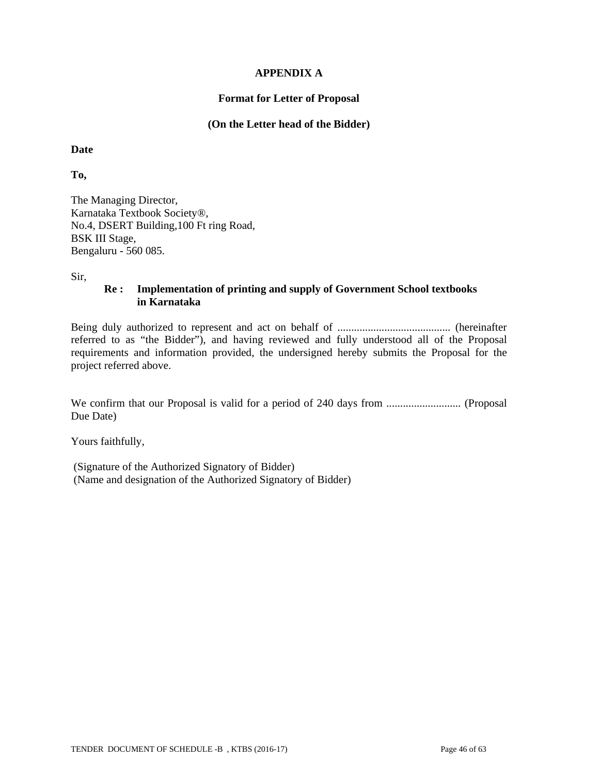### **APPENDIX A**

### **Format for Letter of Proposal**

#### **(On the Letter head of the Bidder)**

**Date** 

**To,** 

The Managing Director, Karnataka Textbook Society®, No.4, DSERT Building,100 Ft ring Road, BSK III Stage, Bengaluru - 560 085.

Sir,

### **Re : Implementation of printing and supply of Government School textbooks in Karnataka**

Being duly authorized to represent and act on behalf of ......................................... (hereinafter referred to as "the Bidder"), and having reviewed and fully understood all of the Proposal requirements and information provided, the undersigned hereby submits the Proposal for the project referred above.

We confirm that our Proposal is valid for a period of 240 days from ........................... (Proposal Due Date)

Yours faithfully,

 (Signature of the Authorized Signatory of Bidder) (Name and designation of the Authorized Signatory of Bidder)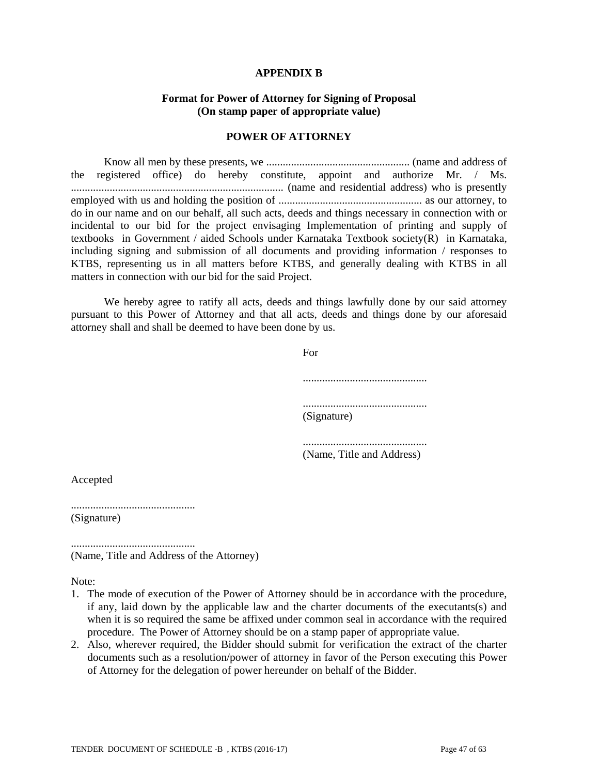#### **APPENDIX B**

### **Format for Power of Attorney for Signing of Proposal (On stamp paper of appropriate value)**

#### **POWER OF ATTORNEY**

 Know all men by these presents, we .................................................... (name and address of the registered office) do hereby constitute, appoint and authorize Mr. / Ms. ............................................................................. (name and residential address) who is presently employed with us and holding the position of .................................................... as our attorney, to do in our name and on our behalf, all such acts, deeds and things necessary in connection with or incidental to our bid for the project envisaging Implementation of printing and supply of textbooks in Government / aided Schools under Karnataka Textbook society(R) in Karnataka, including signing and submission of all documents and providing information / responses to KTBS, representing us in all matters before KTBS, and generally dealing with KTBS in all matters in connection with our bid for the said Project.

 We hereby agree to ratify all acts, deeds and things lawfully done by our said attorney pursuant to this Power of Attorney and that all acts, deeds and things done by our aforesaid attorney shall and shall be deemed to have been done by us.

For

 ............................................. ............................................. (Signature)

............................................. (Name, Title and Address)

Accepted

............................................. (Signature)

.............................................

(Name, Title and Address of the Attorney)

Note:

- 1. The mode of execution of the Power of Attorney should be in accordance with the procedure, if any, laid down by the applicable law and the charter documents of the executants(s) and when it is so required the same be affixed under common seal in accordance with the required procedure. The Power of Attorney should be on a stamp paper of appropriate value.
- 2. Also, wherever required, the Bidder should submit for verification the extract of the charter documents such as a resolution/power of attorney in favor of the Person executing this Power of Attorney for the delegation of power hereunder on behalf of the Bidder.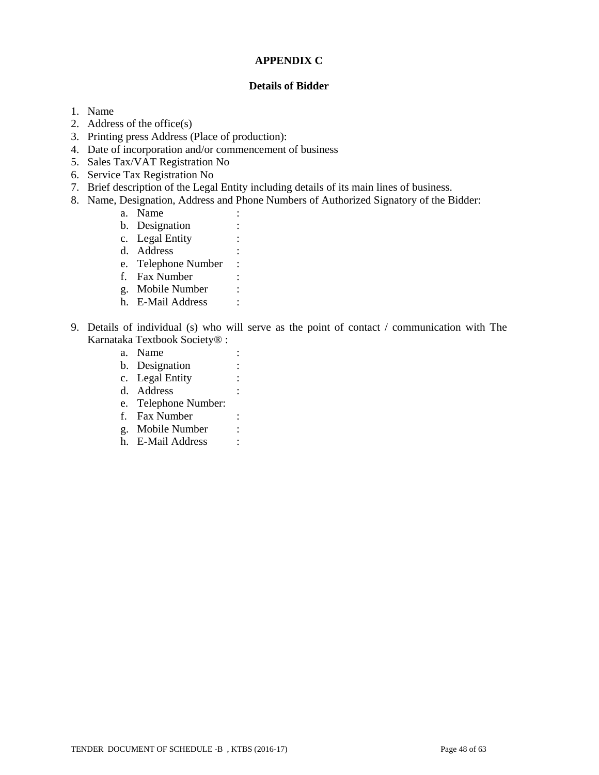### **APPENDIX C**

### **Details of Bidder**

- 1. Name
- 2. Address of the office(s)
- 3. Printing press Address (Place of production):
- 4. Date of incorporation and/or commencement of business
- 5. Sales Tax/VAT Registration No
- 6. Service Tax Registration No
- 7. Brief description of the Legal Entity including details of its main lines of business.
- 8. Name, Designation, Address and Phone Numbers of Authorized Signatory of the Bidder:
	- a. Name :
	- b. Designation :
	- c. Legal Entity :
	- d. Address :
	- e. Telephone Number :
	- f. Fax Number :
	- g. Mobile Number :
	- h. E-Mail Address :
- 9. Details of individual (s) who will serve as the point of contact / communication with The Karnataka Textbook Society® :
	- a. Name :
	- b. Designation :
	- c. Legal Entity :
	- d. Address :
	- e. Telephone Number:
	- f. Fax Number :
	- g. Mobile Number :
	- h. E-Mail Address :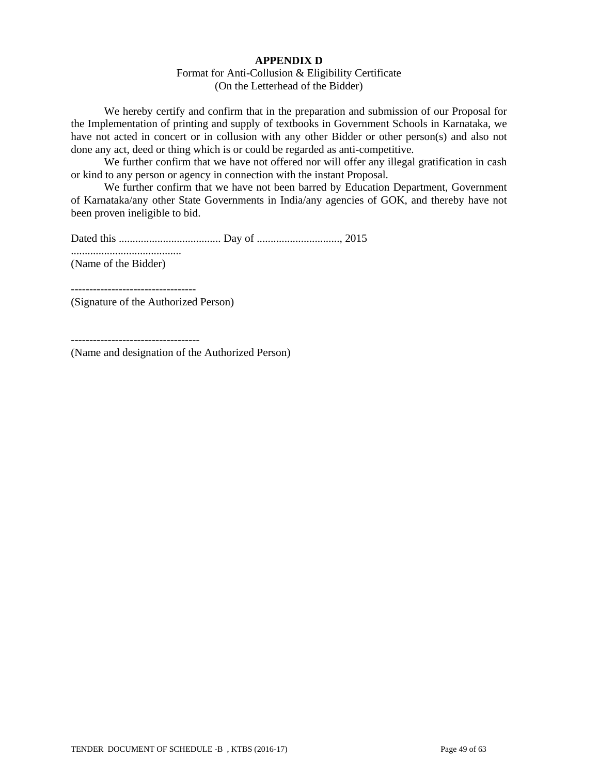### **APPENDIX D**

#### Format for Anti-Collusion & Eligibility Certificate (On the Letterhead of the Bidder)

 We hereby certify and confirm that in the preparation and submission of our Proposal for the Implementation of printing and supply of textbooks in Government Schools in Karnataka, we have not acted in concert or in collusion with any other Bidder or other person(s) and also not done any act, deed or thing which is or could be regarded as anti-competitive.

We further confirm that we have not offered nor will offer any illegal gratification in cash or kind to any person or agency in connection with the instant Proposal.

 We further confirm that we have not been barred by Education Department, Government of Karnataka/any other State Governments in India/any agencies of GOK, and thereby have not been proven ineligible to bid.

Dated this ..................................... Day of .............................., 2015 ........................................ (Name of the Bidder)

(Signature of the Authorized Person)

----------------------------------

(Name and designation of the Authorized Person)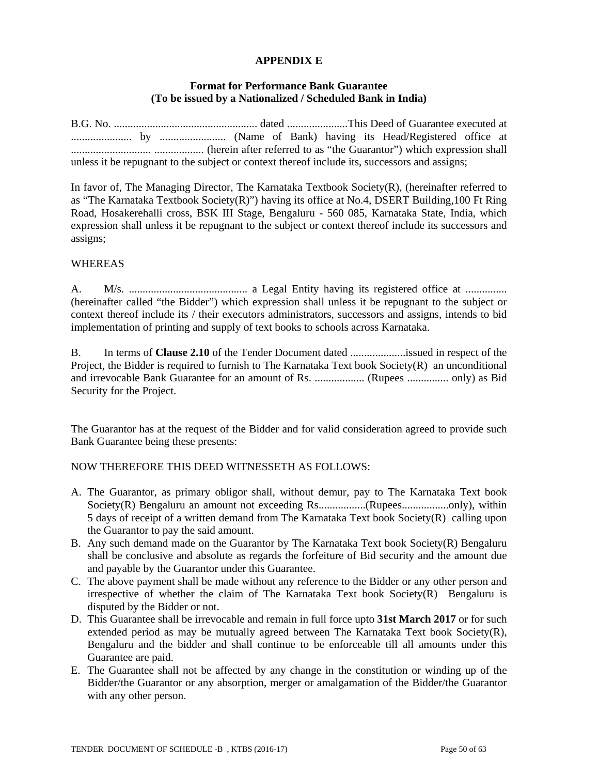### **APPENDIX E**

# **Format for Performance Bank Guarantee (To be issued by a Nationalized / Scheduled Bank in India)**

B.G. No. .................................................... dated ......................This Deed of Guarantee executed at ...................... by ........................ (Name of Bank) having its Head/Registered office at ............................. .................. (herein after referred to as "the Guarantor") which expression shall unless it be repugnant to the subject or context thereof include its, successors and assigns;

In favor of, The Managing Director, The Karnataka Textbook Society(R), (hereinafter referred to as "The Karnataka Textbook Society(R)") having its office at No.4, DSERT Building,100 Ft Ring Road, Hosakerehalli cross, BSK III Stage, Bengaluru - 560 085, Karnataka State, India, which expression shall unless it be repugnant to the subject or context thereof include its successors and assigns;

### WHEREAS

A. M/s. ........................................... a Legal Entity having its registered office at ............... (hereinafter called "the Bidder") which expression shall unless it be repugnant to the subject or context thereof include its / their executors administrators, successors and assigns, intends to bid implementation of printing and supply of text books to schools across Karnataka.

B. In terms of **Clause 2.10** of the Tender Document dated ....................issued in respect of the Project, the Bidder is required to furnish to The Karnataka Text book Society(R) an unconditional and irrevocable Bank Guarantee for an amount of Rs. .................. (Rupees ............... only) as Bid Security for the Project.

The Guarantor has at the request of the Bidder and for valid consideration agreed to provide such Bank Guarantee being these presents:

### NOW THEREFORE THIS DEED WITNESSETH AS FOLLOWS:

- A. The Guarantor, as primary obligor shall, without demur, pay to The Karnataka Text book Society(R) Bengaluru an amount not exceeding Rs.................(Rupees....................only), within 5 days of receipt of a written demand from The Karnataka Text book Society(R) calling upon the Guarantor to pay the said amount.
- B. Any such demand made on the Guarantor by The Karnataka Text book Society(R) Bengaluru shall be conclusive and absolute as regards the forfeiture of Bid security and the amount due and payable by the Guarantor under this Guarantee.
- C. The above payment shall be made without any reference to the Bidder or any other person and irrespective of whether the claim of The Karnataka Text book Society(R) Bengaluru is disputed by the Bidder or not.
- D. This Guarantee shall be irrevocable and remain in full force upto **31st March 2017** or for such extended period as may be mutually agreed between The Karnataka Text book Society $(R)$ , Bengaluru and the bidder and shall continue to be enforceable till all amounts under this Guarantee are paid.
- E. The Guarantee shall not be affected by any change in the constitution or winding up of the Bidder/the Guarantor or any absorption, merger or amalgamation of the Bidder/the Guarantor with any other person.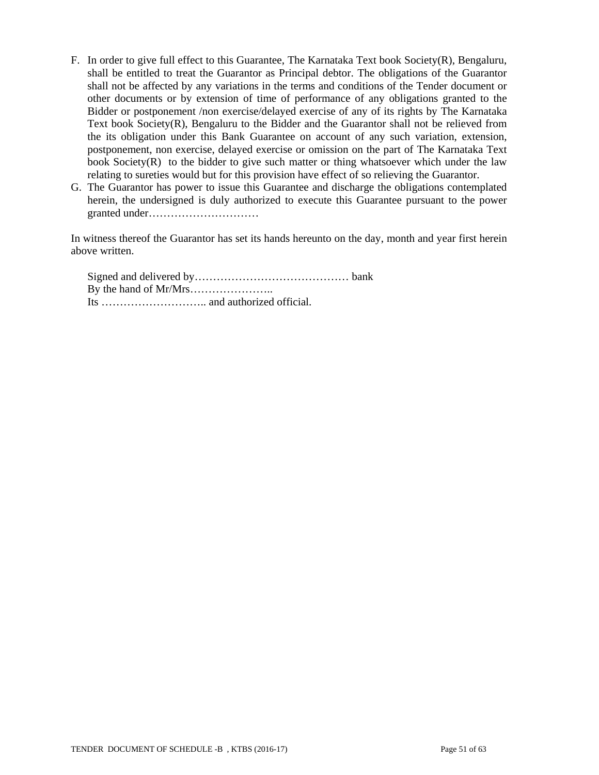- F. In order to give full effect to this Guarantee, The Karnataka Text book Society(R), Bengaluru, shall be entitled to treat the Guarantor as Principal debtor. The obligations of the Guarantor shall not be affected by any variations in the terms and conditions of the Tender document or other documents or by extension of time of performance of any obligations granted to the Bidder or postponement /non exercise/delayed exercise of any of its rights by The Karnataka Text book Society(R), Bengaluru to the Bidder and the Guarantor shall not be relieved from the its obligation under this Bank Guarantee on account of any such variation, extension, postponement, non exercise, delayed exercise or omission on the part of The Karnataka Text book Society(R) to the bidder to give such matter or thing whatsoever which under the law relating to sureties would but for this provision have effect of so relieving the Guarantor.
- G. The Guarantor has power to issue this Guarantee and discharge the obligations contemplated herein, the undersigned is duly authorized to execute this Guarantee pursuant to the power granted under…………………………

In witness thereof the Guarantor has set its hands hereunto on the day, month and year first herein above written.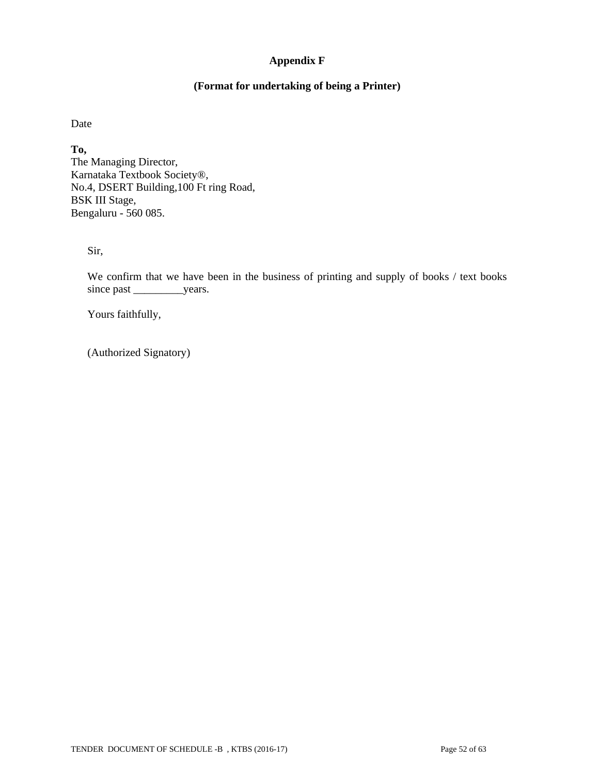# **Appendix F**

# **(Format for undertaking of being a Printer)**

Date

**To,**  The Managing Director, Karnataka Textbook Society®, No.4, DSERT Building,100 Ft ring Road, BSK III Stage, Bengaluru - 560 085.

Sir,

We confirm that we have been in the business of printing and supply of books / text books since past \_\_\_\_\_\_\_\_\_\_\_\_years.

Yours faithfully,

(Authorized Signatory)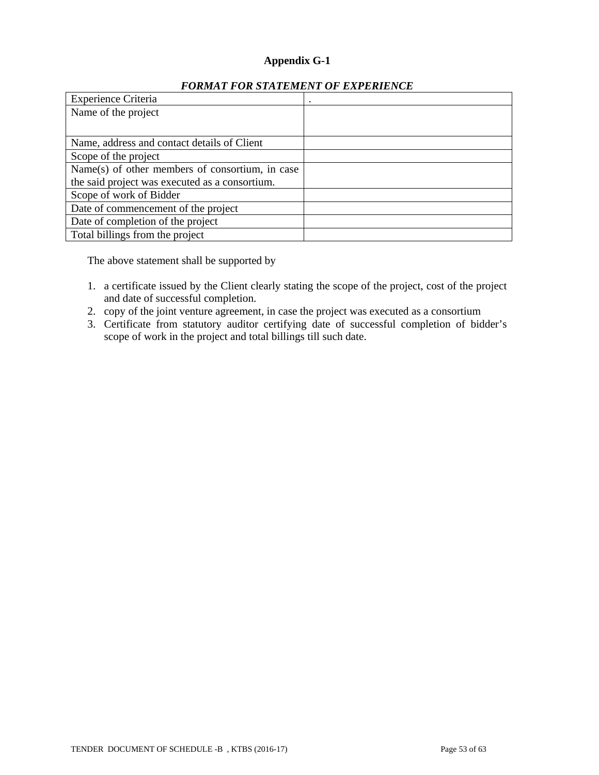# **Appendix G-1**

| Experience Criteria                             | ٠ |
|-------------------------------------------------|---|
| Name of the project                             |   |
|                                                 |   |
| Name, address and contact details of Client     |   |
| Scope of the project                            |   |
| Name(s) of other members of consortium, in case |   |
| the said project was executed as a consortium.  |   |
| Scope of work of Bidder                         |   |
| Date of commencement of the project             |   |
| Date of completion of the project               |   |
| Total billings from the project                 |   |

# *FORMAT FOR STATEMENT OF EXPERIENCE*

The above statement shall be supported by

- 1. a certificate issued by the Client clearly stating the scope of the project, cost of the project and date of successful completion.
- 2. copy of the joint venture agreement, in case the project was executed as a consortium
- 3. Certificate from statutory auditor certifying date of successful completion of bidder's scope of work in the project and total billings till such date.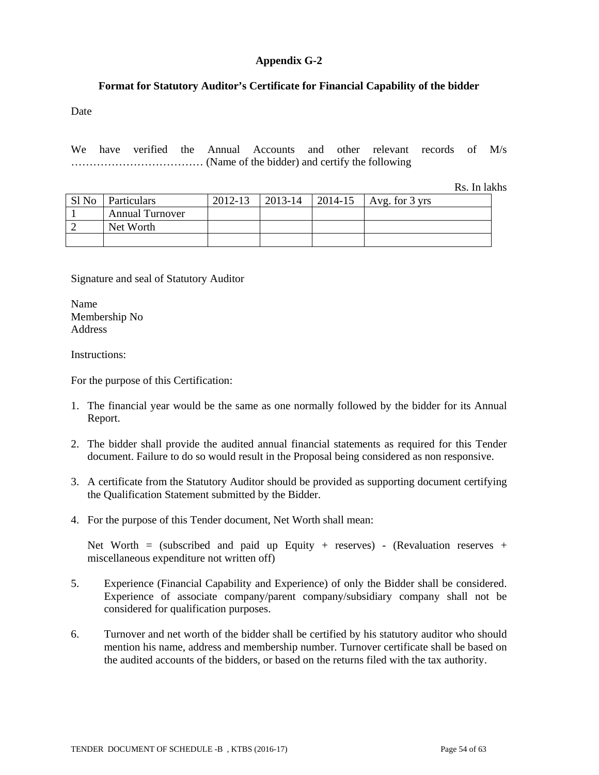# **Appendix G-2**

# **Format for Statutory Auditor's Certificate for Financial Capability of the bidder**

Date

We have verified the Annual Accounts and other relevant records of M/s ……………………………… (Name of the bidder) and certify the following

Rs. In lakhs

| Sl No | Particulars            | 2012-13 | 2013-14 | $ 2014-15 $ | Avg. for $3 \text{ yrs}$ |
|-------|------------------------|---------|---------|-------------|--------------------------|
|       | <b>Annual Turnover</b> |         |         |             |                          |
|       | Net Worth              |         |         |             |                          |
|       |                        |         |         |             |                          |

Signature and seal of Statutory Auditor

Name Membership No Address

Instructions:

For the purpose of this Certification:

- 1. The financial year would be the same as one normally followed by the bidder for its Annual Report.
- 2. The bidder shall provide the audited annual financial statements as required for this Tender document. Failure to do so would result in the Proposal being considered as non responsive.
- 3. A certificate from the Statutory Auditor should be provided as supporting document certifying the Qualification Statement submitted by the Bidder.
- 4. For the purpose of this Tender document, Net Worth shall mean:

Net Worth = (subscribed and paid up Equity + reserves) - (Revaluation reserves + miscellaneous expenditure not written off)

- 5. Experience (Financial Capability and Experience) of only the Bidder shall be considered. Experience of associate company/parent company/subsidiary company shall not be considered for qualification purposes.
- 6. Turnover and net worth of the bidder shall be certified by his statutory auditor who should mention his name, address and membership number. Turnover certificate shall be based on the audited accounts of the bidders, or based on the returns filed with the tax authority.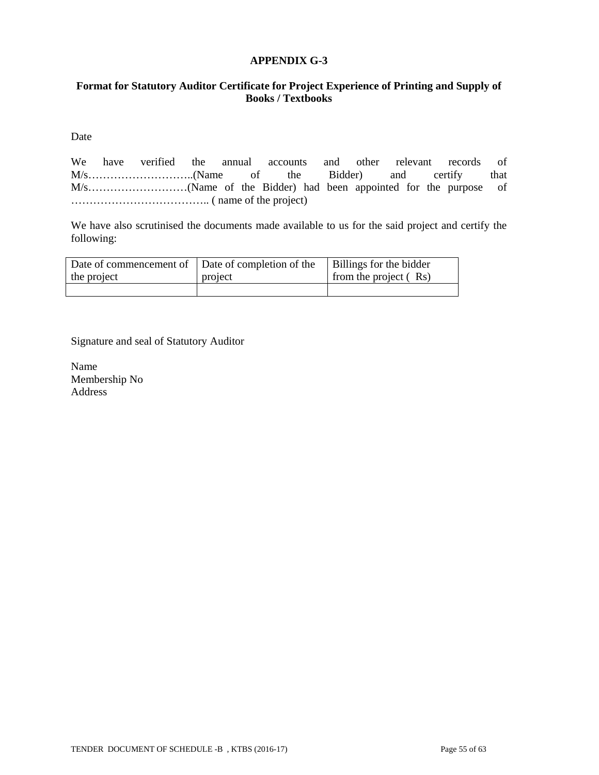#### **APPENDIX G-3**

# **Format for Statutory Auditor Certificate for Project Experience of Printing and Supply of Books / Textbooks**

Date

We have verified the annual accounts and other relevant records of M/s………………………..(Name of the Bidder) and certify that M/s………………………(Name of the Bidder) had been appointed for the purpose of ……………………………….. ( name of the project)

We have also scrutinised the documents made available to us for the said project and certify the following:

|             | Date of commencement of $\vert$ Date of completion of the $\vert$ Billings for the bidder |                       |
|-------------|-------------------------------------------------------------------------------------------|-----------------------|
| the project | project                                                                                   | from the project (Rs) |
|             |                                                                                           |                       |

Signature and seal of Statutory Auditor

Name Membership No Address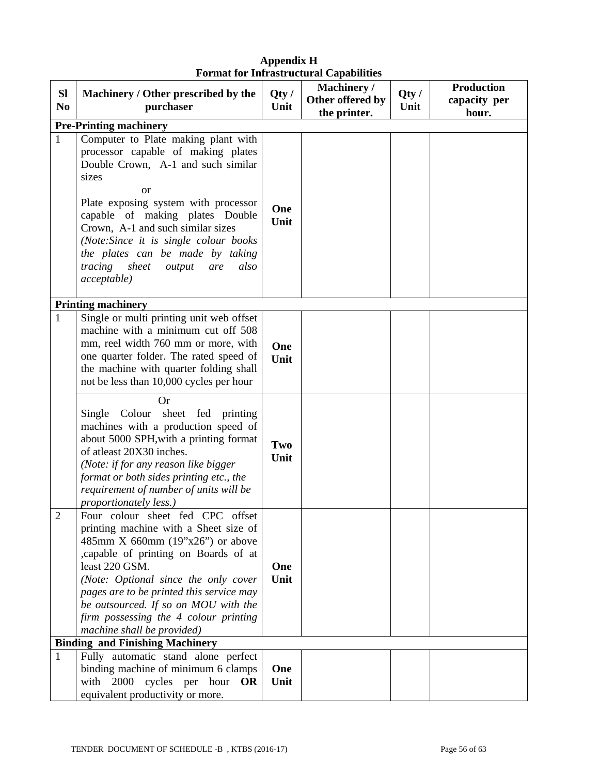| <b>SI</b>      | Machinery / Other prescribed by the                                                                                                                                                                                                                                                                                                                                                            | Qty/        | Machinery /<br>Other offered by | Qty/ | <b>Production</b><br>capacity per |
|----------------|------------------------------------------------------------------------------------------------------------------------------------------------------------------------------------------------------------------------------------------------------------------------------------------------------------------------------------------------------------------------------------------------|-------------|---------------------------------|------|-----------------------------------|
| N <sub>0</sub> | purchaser                                                                                                                                                                                                                                                                                                                                                                                      | Unit        | the printer.                    | Unit | hour.                             |
|                | <b>Pre-Printing machinery</b>                                                                                                                                                                                                                                                                                                                                                                  |             |                                 |      |                                   |
| $\mathbf{1}$   | Computer to Plate making plant with<br>processor capable of making plates<br>Double Crown, A-1 and such similar<br>sizes<br><b>or</b><br>Plate exposing system with processor<br>capable of making plates Double<br>Crown, A-1 and such similar sizes<br>(Note:Since it is single colour books<br>the plates can be made by taking<br>tracing<br>sheet<br>also<br>output<br>are<br>acceptable) | One<br>Unit |                                 |      |                                   |
|                | <b>Printing machinery</b>                                                                                                                                                                                                                                                                                                                                                                      |             |                                 |      |                                   |
| $\mathbf{1}$   | Single or multi printing unit web offset<br>machine with a minimum cut off 508<br>mm, reel width 760 mm or more, with<br>one quarter folder. The rated speed of<br>the machine with quarter folding shall<br>not be less than 10,000 cycles per hour                                                                                                                                           | One<br>Unit |                                 |      |                                   |
|                | <b>Or</b><br>sheet fed printing<br>Single Colour<br>machines with a production speed of<br>about 5000 SPH, with a printing format<br>of atleast 20X30 inches.<br>(Note: if for any reason like bigger<br>format or both sides printing etc., the<br>requirement of number of units will be<br>proportionately less.)                                                                           | Two<br>Unit |                                 |      |                                   |
| $\overline{2}$ | Four colour sheet fed CPC offset<br>printing machine with a Sheet size of<br>485mm X 660mm $(19"x26")$ or above<br>, capable of printing on Boards of at<br>least 220 GSM.<br>(Note: Optional since the only cover<br>pages are to be printed this service may<br>be outsourced. If so on MOU with the<br>firm possessing the 4 colour printing<br>machine shall be provided)                  | One<br>Unit |                                 |      |                                   |
|                | <b>Binding and Finishing Machinery</b>                                                                                                                                                                                                                                                                                                                                                         |             |                                 |      |                                   |
| 1              | Fully automatic stand alone perfect                                                                                                                                                                                                                                                                                                                                                            |             |                                 |      |                                   |
|                | binding machine of minimum 6 clamps                                                                                                                                                                                                                                                                                                                                                            | One         |                                 |      |                                   |
|                | with 2000 cycles per hour<br><b>OR</b><br>equivalent productivity or more.                                                                                                                                                                                                                                                                                                                     | Unit        |                                 |      |                                   |

# **Appendix H Format for Infrastructural Capabilities**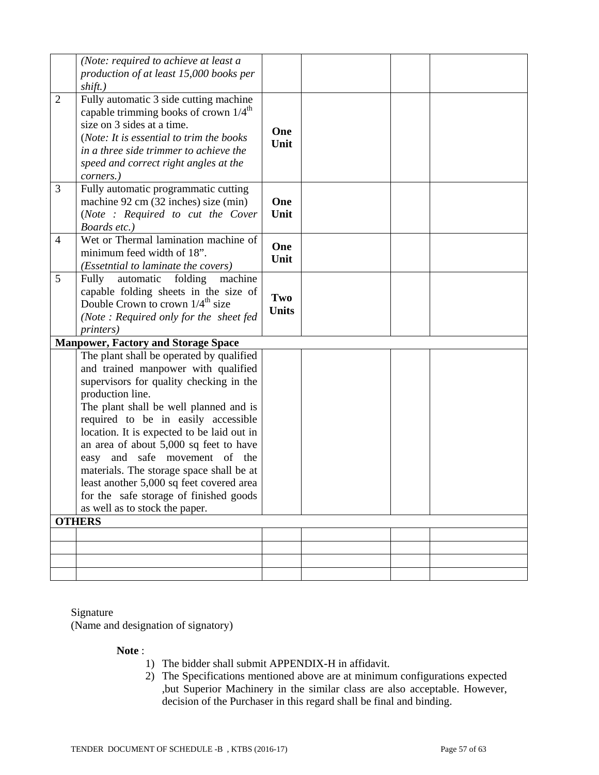|                | (Note: required to achieve at least a<br>production of at least 15,000 books per<br>shift.)                                                                                                                                                                                                                                                                                                                                                                                                          |                     |  |  |
|----------------|------------------------------------------------------------------------------------------------------------------------------------------------------------------------------------------------------------------------------------------------------------------------------------------------------------------------------------------------------------------------------------------------------------------------------------------------------------------------------------------------------|---------------------|--|--|
| $\overline{2}$ | Fully automatic 3 side cutting machine<br>capable trimming books of crown 1/4 <sup>th</sup><br>size on 3 sides at a time.<br>(Note: It is essential to trim the books<br>in a three side trimmer to achieve the<br>speed and correct right angles at the<br>corners.)                                                                                                                                                                                                                                | One<br>Unit         |  |  |
| 3              | Fully automatic programmatic cutting<br>machine 92 cm (32 inches) size (min)<br>(Note : Required to cut the Cover<br>Boards etc.)                                                                                                                                                                                                                                                                                                                                                                    | One<br>Unit         |  |  |
| $\overline{4}$ | Wet or Thermal lamination machine of<br>minimum feed width of 18".<br>(Essetntial to laminate the covers)                                                                                                                                                                                                                                                                                                                                                                                            | One<br>Unit         |  |  |
| 5              | Fully<br>automatic<br>folding<br>machine<br>capable folding sheets in the size of<br>Double Crown to crown $1/4^{\text{th}}$ size<br>(Note: Required only for the sheet fed<br><i>printers</i> )                                                                                                                                                                                                                                                                                                     | Two<br><b>Units</b> |  |  |
|                | <b>Manpower, Factory and Storage Space</b><br>The plant shall be operated by qualified                                                                                                                                                                                                                                                                                                                                                                                                               |                     |  |  |
|                | and trained manpower with qualified<br>supervisors for quality checking in the<br>production line.<br>The plant shall be well planned and is<br>required to be in easily accessible<br>location. It is expected to be laid out in<br>an area of about 5,000 sq feet to have<br>and safe movement of the<br>easy<br>materials. The storage space shall be at<br>least another 5,000 sq feet covered area<br>for the safe storage of finished goods<br>as well as to stock the paper.<br><b>OTHERS</b> |                     |  |  |
|                |                                                                                                                                                                                                                                                                                                                                                                                                                                                                                                      |                     |  |  |
|                |                                                                                                                                                                                                                                                                                                                                                                                                                                                                                                      |                     |  |  |
|                |                                                                                                                                                                                                                                                                                                                                                                                                                                                                                                      |                     |  |  |
|                |                                                                                                                                                                                                                                                                                                                                                                                                                                                                                                      |                     |  |  |

# Signature

(Name and designation of signatory)

### **Note** :

- 1) The bidder shall submit APPENDIX-H in affidavit.
- 2) The Specifications mentioned above are at minimum configurations expected ,but Superior Machinery in the similar class are also acceptable. However, decision of the Purchaser in this regard shall be final and binding.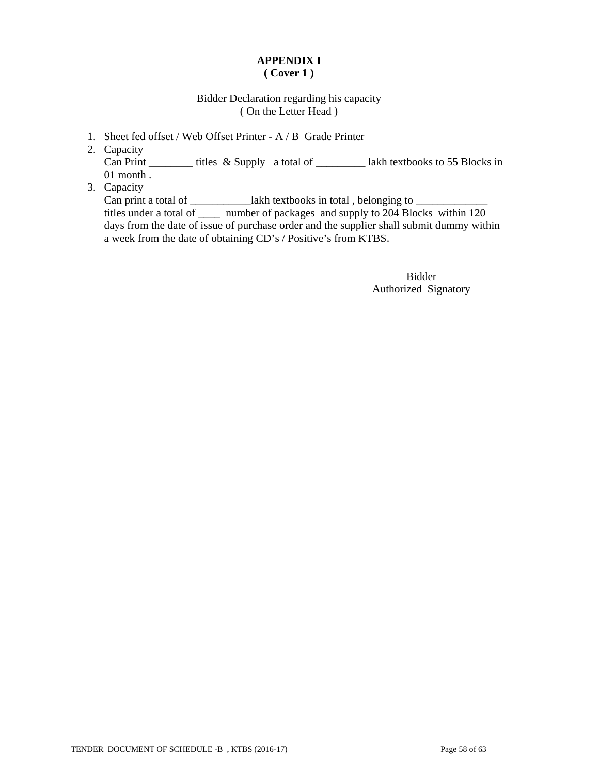# **APPENDIX I ( Cover 1 )**

# Bidder Declaration regarding his capacity ( On the Letter Head )

- 1. Sheet fed offset / Web Offset Printer A / B Grade Printer
- 2. Capacity Can Print \_\_\_\_\_\_\_\_\_ titles & Supply a total of \_\_\_\_\_\_\_\_\_\_\_\_ lakh textbooks to 55 Blocks in 01 month .
- 3. Capacity

Can print a total of \_\_\_\_\_\_\_\_\_\_\_\_\_lakh textbooks in total, belonging to \_\_\_\_\_\_\_\_\_\_\_\_\_ titles under a total of \_\_\_\_ number of packages and supply to 204 Blocks within 120 days from the date of issue of purchase order and the supplier shall submit dummy within a week from the date of obtaining CD's / Positive's from KTBS.

> Bidder Authorized Signatory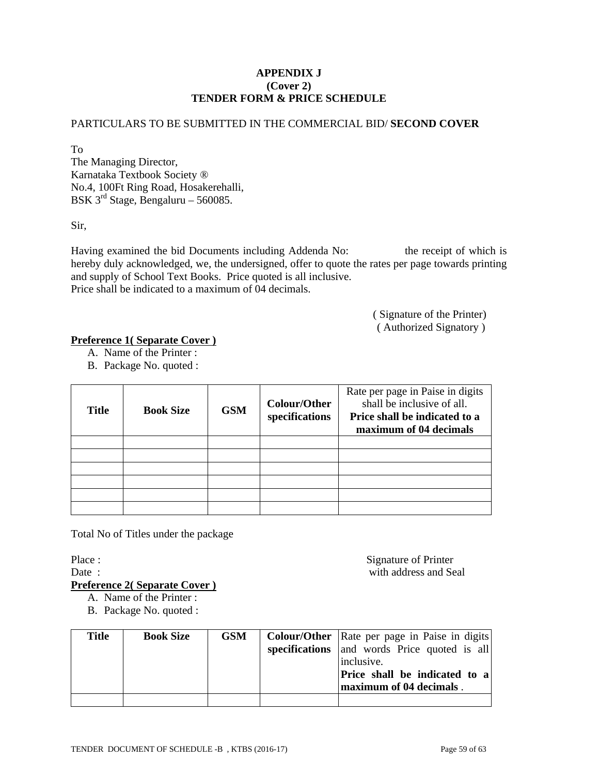# **APPENDIX J (Cover 2) TENDER FORM & PRICE SCHEDULE**

# PARTICULARS TO BE SUBMITTED IN THE COMMERCIAL BID/ **SECOND COVER**

To The Managing Director, Karnataka Textbook Society ® No.4, 100Ft Ring Road, Hosakerehalli, BSK 3rd Stage, Bengaluru – 560085.

Sir,

Having examined the bid Documents including Addenda No: the receipt of which is hereby duly acknowledged, we, the undersigned, offer to quote the rates per page towards printing and supply of School Text Books. Price quoted is all inclusive. Price shall be indicated to a maximum of 04 decimals.

> ( Signature of the Printer) ( Authorized Signatory )

# **Preference 1( Separate Cover )**

- A. Name of the Printer :
- B. Package No. quoted :

| <b>Title</b> | <b>Book Size</b> | <b>GSM</b> | Colour/Other<br>specifications | Rate per page in Paise in digits<br>shall be inclusive of all.<br>Price shall be indicated to a<br>maximum of 04 decimals |
|--------------|------------------|------------|--------------------------------|---------------------------------------------------------------------------------------------------------------------------|
|              |                  |            |                                |                                                                                                                           |
|              |                  |            |                                |                                                                                                                           |
|              |                  |            |                                |                                                                                                                           |
|              |                  |            |                                |                                                                                                                           |
|              |                  |            |                                |                                                                                                                           |
|              |                  |            |                                |                                                                                                                           |

Total No of Titles under the package

Place : Signature of Printer Date : with address and Seal

**Preference 2( Separate Cover )**

- A. Name of the Printer :
- B. Package No. quoted :

| <b>Title</b> | <b>Book Size</b> | <b>GSM</b> | <b>Colour/Other</b> Rate per page in Paise in digits |
|--------------|------------------|------------|------------------------------------------------------|
|              |                  |            | specifications and words Price quoted is all         |
|              |                  |            | inclusive.                                           |
|              |                  |            | <b>Price shall be indicated to a</b>                 |
|              |                  |            | maximum of 04 decimals.                              |
|              |                  |            |                                                      |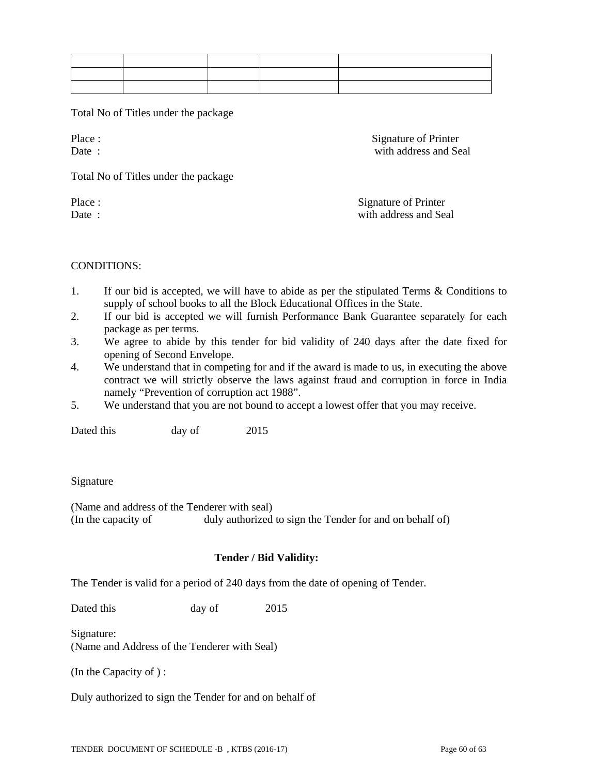Total No of Titles under the package

Place : Signature of Printer Date : with address and Seal

Total No of Titles under the package

Place : Signature of Printer Date : with address and Seal

CONDITIONS:

- 1. If our bid is accepted, we will have to abide as per the stipulated Terms & Conditions to supply of school books to all the Block Educational Offices in the State.
- 2. If our bid is accepted we will furnish Performance Bank Guarantee separately for each package as per terms.
- 3. We agree to abide by this tender for bid validity of 240 days after the date fixed for opening of Second Envelope.
- 4. We understand that in competing for and if the award is made to us, in executing the above contract we will strictly observe the laws against fraud and corruption in force in India namely "Prevention of corruption act 1988".
- 5. We understand that you are not bound to accept a lowest offer that you may receive.

Dated this day of 2015

Signature

(Name and address of the Tenderer with seal) (In the capacity of duly authorized to sign the Tender for and on behalf of)

# **Tender / Bid Validity:**

The Tender is valid for a period of 240 days from the date of opening of Tender.

Dated this day of 2015

Signature: (Name and Address of the Tenderer with Seal)

(In the Capacity of ) :

Duly authorized to sign the Tender for and on behalf of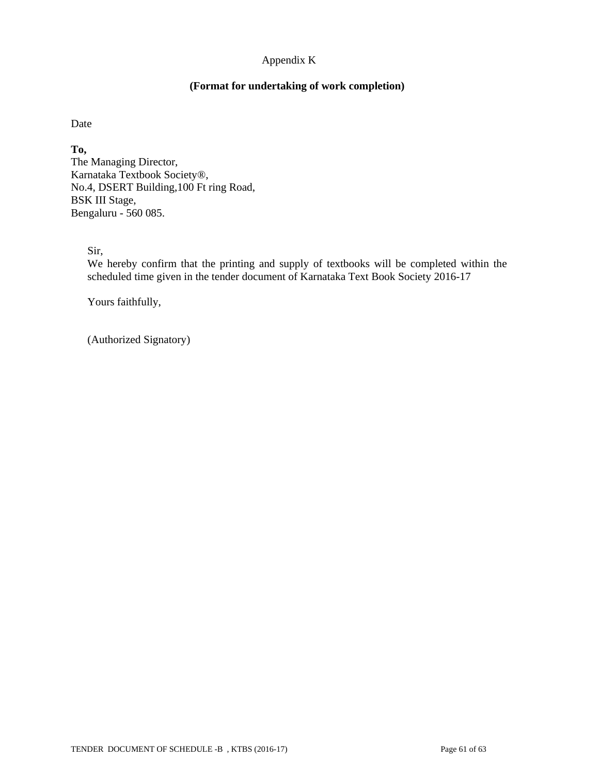# Appendix K

### **(Format for undertaking of work completion)**

Date

**To,**  The Managing Director, Karnataka Textbook Society®, No.4, DSERT Building,100 Ft ring Road, BSK III Stage, Bengaluru - 560 085.

Sir,

We hereby confirm that the printing and supply of textbooks will be completed within the scheduled time given in the tender document of Karnataka Text Book Society 2016-17

Yours faithfully,

(Authorized Signatory)